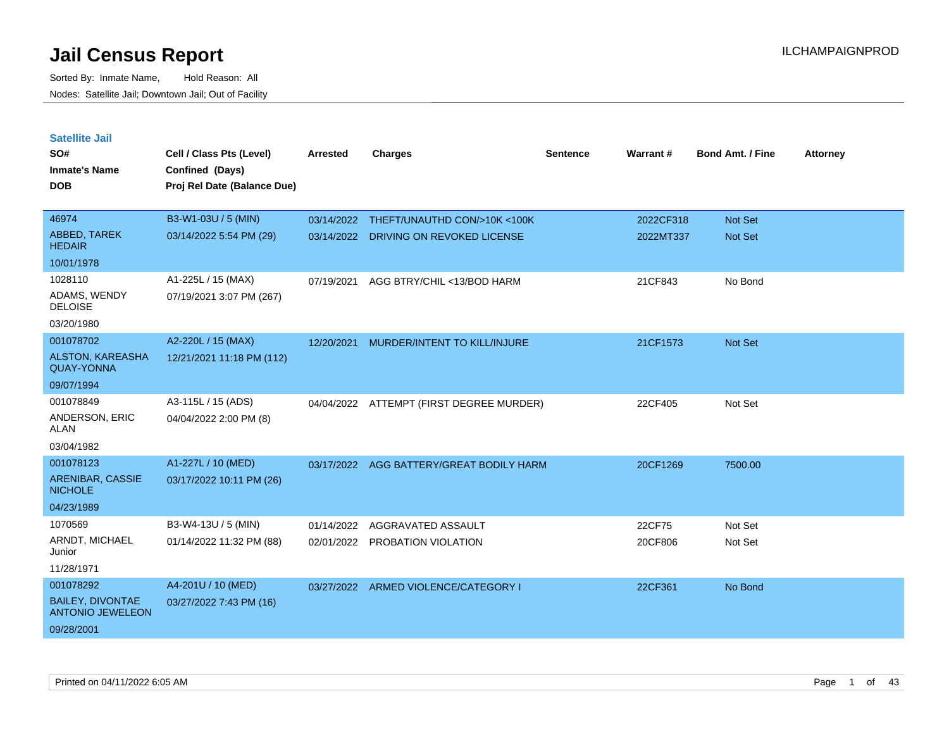| <b>Satellite Jail</b>                              |                             |            |                                          |                 |                 |                         |                 |
|----------------------------------------------------|-----------------------------|------------|------------------------------------------|-----------------|-----------------|-------------------------|-----------------|
| SO#                                                | Cell / Class Pts (Level)    | Arrested   | <b>Charges</b>                           | <b>Sentence</b> | <b>Warrant#</b> | <b>Bond Amt. / Fine</b> | <b>Attorney</b> |
| Inmate's Name                                      | Confined (Days)             |            |                                          |                 |                 |                         |                 |
| <b>DOB</b>                                         | Proj Rel Date (Balance Due) |            |                                          |                 |                 |                         |                 |
|                                                    |                             |            |                                          |                 |                 |                         |                 |
| 46974                                              | B3-W1-03U / 5 (MIN)         |            | 03/14/2022 THEFT/UNAUTHD CON/>10K <100K  |                 | 2022CF318       | <b>Not Set</b>          |                 |
| ABBED, TAREK<br><b>HEDAIR</b>                      | 03/14/2022 5:54 PM (29)     | 03/14/2022 | DRIVING ON REVOKED LICENSE               |                 | 2022MT337       | Not Set                 |                 |
| 10/01/1978                                         |                             |            |                                          |                 |                 |                         |                 |
| 1028110                                            | A1-225L / 15 (MAX)          | 07/19/2021 | AGG BTRY/CHIL <13/BOD HARM               |                 | 21CF843         | No Bond                 |                 |
| ADAMS, WENDY<br><b>DELOISE</b>                     | 07/19/2021 3:07 PM (267)    |            |                                          |                 |                 |                         |                 |
| 03/20/1980                                         |                             |            |                                          |                 |                 |                         |                 |
| 001078702                                          | A2-220L / 15 (MAX)          | 12/20/2021 | MURDER/INTENT TO KILL/INJURE             |                 | 21CF1573        | <b>Not Set</b>          |                 |
| <b>ALSTON, KAREASHA</b><br><b>QUAY-YONNA</b>       | 12/21/2021 11:18 PM (112)   |            |                                          |                 |                 |                         |                 |
| 09/07/1994                                         |                             |            |                                          |                 |                 |                         |                 |
| 001078849                                          | A3-115L / 15 (ADS)          |            | 04/04/2022 ATTEMPT (FIRST DEGREE MURDER) |                 | 22CF405         | Not Set                 |                 |
| ANDERSON, ERIC<br>ALAN                             | 04/04/2022 2:00 PM (8)      |            |                                          |                 |                 |                         |                 |
| 03/04/1982                                         |                             |            |                                          |                 |                 |                         |                 |
| 001078123                                          | A1-227L / 10 (MED)          | 03/17/2022 | AGG BATTERY/GREAT BODILY HARM            |                 | 20CF1269        | 7500.00                 |                 |
| ARENIBAR, CASSIE<br><b>NICHOLE</b>                 | 03/17/2022 10:11 PM (26)    |            |                                          |                 |                 |                         |                 |
| 04/23/1989                                         |                             |            |                                          |                 |                 |                         |                 |
| 1070569                                            | B3-W4-13U / 5 (MIN)         | 01/14/2022 | AGGRAVATED ASSAULT                       |                 | 22CF75          | Not Set                 |                 |
| ARNDT, MICHAEL<br>Junior                           | 01/14/2022 11:32 PM (88)    |            | 02/01/2022 PROBATION VIOLATION           |                 | 20CF806         | Not Set                 |                 |
| 11/28/1971                                         |                             |            |                                          |                 |                 |                         |                 |
| 001078292                                          | A4-201U / 10 (MED)          |            | 03/27/2022 ARMED VIOLENCE/CATEGORY I     |                 | 22CF361         | No Bond                 |                 |
| <b>BAILEY, DIVONTAE</b><br><b>ANTONIO JEWELEON</b> | 03/27/2022 7:43 PM (16)     |            |                                          |                 |                 |                         |                 |
| 09/28/2001                                         |                             |            |                                          |                 |                 |                         |                 |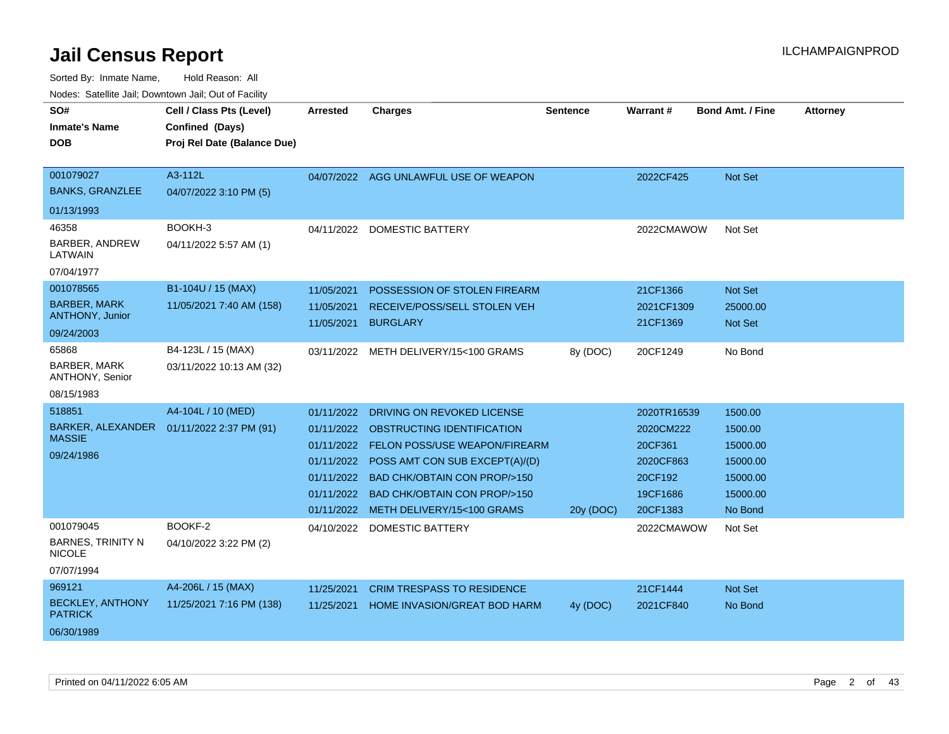| SO#                                       | Cell / Class Pts (Level)    | <b>Arrested</b> | <b>Charges</b>                            | <b>Sentence</b> | <b>Warrant#</b> | <b>Bond Amt. / Fine</b> | <b>Attorney</b> |
|-------------------------------------------|-----------------------------|-----------------|-------------------------------------------|-----------------|-----------------|-------------------------|-----------------|
| <b>Inmate's Name</b>                      | Confined (Days)             |                 |                                           |                 |                 |                         |                 |
| <b>DOB</b>                                | Proj Rel Date (Balance Due) |                 |                                           |                 |                 |                         |                 |
|                                           |                             |                 |                                           |                 |                 |                         |                 |
| 001079027                                 | A3-112L                     |                 | 04/07/2022 AGG UNLAWFUL USE OF WEAPON     |                 | 2022CF425       | <b>Not Set</b>          |                 |
| <b>BANKS, GRANZLEE</b>                    | 04/07/2022 3:10 PM (5)      |                 |                                           |                 |                 |                         |                 |
| 01/13/1993                                |                             |                 |                                           |                 |                 |                         |                 |
| 46358                                     | BOOKH-3                     |                 | 04/11/2022 DOMESTIC BATTERY               |                 | 2022CMAWOW      | Not Set                 |                 |
| BARBER, ANDREW<br>LATWAIN                 | 04/11/2022 5:57 AM (1)      |                 |                                           |                 |                 |                         |                 |
| 07/04/1977                                |                             |                 |                                           |                 |                 |                         |                 |
| 001078565                                 | B1-104U / 15 (MAX)          | 11/05/2021      | POSSESSION OF STOLEN FIREARM              |                 | 21CF1366        | Not Set                 |                 |
| <b>BARBER, MARK</b>                       | 11/05/2021 7:40 AM (158)    | 11/05/2021      | RECEIVE/POSS/SELL STOLEN VEH              |                 | 2021CF1309      | 25000.00                |                 |
| <b>ANTHONY, Junior</b>                    |                             | 11/05/2021      | <b>BURGLARY</b>                           |                 | 21CF1369        | Not Set                 |                 |
| 09/24/2003                                |                             |                 |                                           |                 |                 |                         |                 |
| 65868                                     | B4-123L / 15 (MAX)          | 03/11/2022      | METH DELIVERY/15<100 GRAMS                | 8y (DOC)        | 20CF1249        | No Bond                 |                 |
| <b>BARBER, MARK</b><br>ANTHONY, Senior    | 03/11/2022 10:13 AM (32)    |                 |                                           |                 |                 |                         |                 |
| 08/15/1983                                |                             |                 |                                           |                 |                 |                         |                 |
| 518851                                    | A4-104L / 10 (MED)          | 01/11/2022      | DRIVING ON REVOKED LICENSE                |                 | 2020TR16539     | 1500.00                 |                 |
| BARKER, ALEXANDER                         | 01/11/2022 2:37 PM (91)     |                 | 01/11/2022 OBSTRUCTING IDENTIFICATION     |                 | 2020CM222       | 1500.00                 |                 |
| <b>MASSIE</b>                             |                             | 01/11/2022      | <b>FELON POSS/USE WEAPON/FIREARM</b>      |                 | 20CF361         | 15000.00                |                 |
| 09/24/1986                                |                             |                 | 01/11/2022 POSS AMT CON SUB EXCEPT(A)/(D) |                 | 2020CF863       | 15000.00                |                 |
|                                           |                             | 01/11/2022      | BAD CHK/OBTAIN CON PROP/>150              |                 | 20CF192         | 15000.00                |                 |
|                                           |                             | 01/11/2022      | <b>BAD CHK/OBTAIN CON PROP/&gt;150</b>    |                 | 19CF1686        | 15000.00                |                 |
|                                           |                             | 01/11/2022      | METH DELIVERY/15<100 GRAMS                | 20y (DOC)       | 20CF1383        | No Bond                 |                 |
| 001079045                                 | BOOKF-2                     |                 | 04/10/2022 DOMESTIC BATTERY               |                 | 2022CMAWOW      | Not Set                 |                 |
| <b>BARNES, TRINITY N</b><br><b>NICOLE</b> | 04/10/2022 3:22 PM (2)      |                 |                                           |                 |                 |                         |                 |
| 07/07/1994                                |                             |                 |                                           |                 |                 |                         |                 |
| 969121                                    | A4-206L / 15 (MAX)          | 11/25/2021      | <b>CRIM TRESPASS TO RESIDENCE</b>         |                 | 21CF1444        | Not Set                 |                 |
| <b>BECKLEY, ANTHONY</b><br><b>PATRICK</b> | 11/25/2021 7:16 PM (138)    | 11/25/2021      | HOME INVASION/GREAT BOD HARM              | 4y (DOC)        | 2021CF840       | No Bond                 |                 |
| 06/30/1989                                |                             |                 |                                           |                 |                 |                         |                 |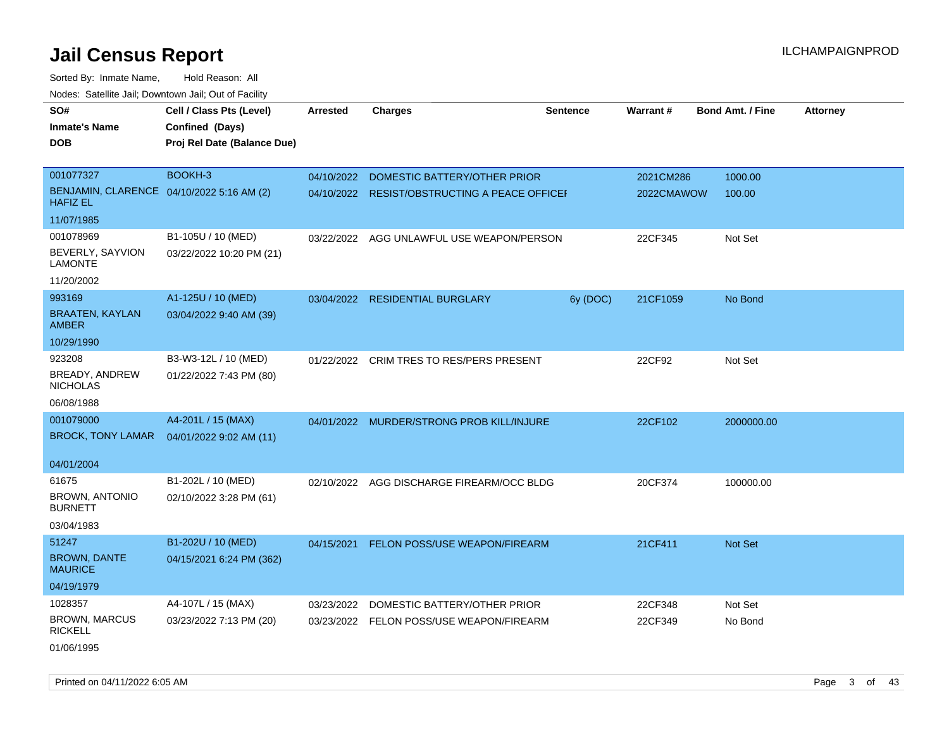| roaco. Catolino cali, Domntonn cali, Out of Facility         |                             |            |                                               |                 |            |                         |                 |
|--------------------------------------------------------------|-----------------------------|------------|-----------------------------------------------|-----------------|------------|-------------------------|-----------------|
| SO#                                                          | Cell / Class Pts (Level)    | Arrested   | <b>Charges</b>                                | <b>Sentence</b> | Warrant#   | <b>Bond Amt. / Fine</b> | <b>Attorney</b> |
| <b>Inmate's Name</b>                                         | Confined (Days)             |            |                                               |                 |            |                         |                 |
| <b>DOB</b>                                                   | Proj Rel Date (Balance Due) |            |                                               |                 |            |                         |                 |
|                                                              |                             |            |                                               |                 |            |                         |                 |
| 001077327                                                    | BOOKH-3                     |            | 04/10/2022 DOMESTIC BATTERY/OTHER PRIOR       |                 | 2021CM286  | 1000.00                 |                 |
| BENJAMIN, CLARENCE 04/10/2022 5:16 AM (2)<br><b>HAFIZ EL</b> |                             |            | 04/10/2022 RESIST/OBSTRUCTING A PEACE OFFICEH |                 | 2022CMAWOW | 100.00                  |                 |
| 11/07/1985                                                   |                             |            |                                               |                 |            |                         |                 |
| 001078969                                                    | B1-105U / 10 (MED)          |            | 03/22/2022 AGG UNLAWFUL USE WEAPON/PERSON     |                 | 22CF345    | Not Set                 |                 |
| BEVERLY, SAYVION<br><b>LAMONTE</b>                           | 03/22/2022 10:20 PM (21)    |            |                                               |                 |            |                         |                 |
| 11/20/2002                                                   |                             |            |                                               |                 |            |                         |                 |
| 993169                                                       | A1-125U / 10 (MED)          |            | 03/04/2022 RESIDENTIAL BURGLARY               | 6y (DOC)        | 21CF1059   | No Bond                 |                 |
| <b>BRAATEN, KAYLAN</b><br><b>AMBER</b>                       | 03/04/2022 9:40 AM (39)     |            |                                               |                 |            |                         |                 |
| 10/29/1990                                                   |                             |            |                                               |                 |            |                         |                 |
| 923208                                                       | B3-W3-12L / 10 (MED)        |            | 01/22/2022 CRIM TRES TO RES/PERS PRESENT      |                 | 22CF92     | Not Set                 |                 |
| <b>BREADY, ANDREW</b><br><b>NICHOLAS</b>                     | 01/22/2022 7:43 PM (80)     |            |                                               |                 |            |                         |                 |
| 06/08/1988                                                   |                             |            |                                               |                 |            |                         |                 |
| 001079000                                                    | A4-201L / 15 (MAX)          |            | 04/01/2022 MURDER/STRONG PROB KILL/INJURE     |                 | 22CF102    | 2000000.00              |                 |
| <b>BROCK, TONY LAMAR</b>                                     | 04/01/2022 9:02 AM (11)     |            |                                               |                 |            |                         |                 |
| 04/01/2004                                                   |                             |            |                                               |                 |            |                         |                 |
| 61675                                                        | B1-202L / 10 (MED)          |            | 02/10/2022 AGG DISCHARGE FIREARM/OCC BLDG     |                 | 20CF374    | 100000.00               |                 |
| <b>BROWN, ANTONIO</b><br><b>BURNETT</b>                      | 02/10/2022 3:28 PM (61)     |            |                                               |                 |            |                         |                 |
| 03/04/1983                                                   |                             |            |                                               |                 |            |                         |                 |
| 51247                                                        | B1-202U / 10 (MED)          | 04/15/2021 | FELON POSS/USE WEAPON/FIREARM                 |                 | 21CF411    | Not Set                 |                 |
| <b>BROWN, DANTE</b><br><b>MAURICE</b>                        | 04/15/2021 6:24 PM (362)    |            |                                               |                 |            |                         |                 |
| 04/19/1979                                                   |                             |            |                                               |                 |            |                         |                 |
| 1028357                                                      | A4-107L / 15 (MAX)          | 03/23/2022 | DOMESTIC BATTERY/OTHER PRIOR                  |                 | 22CF348    | Not Set                 |                 |
| <b>BROWN, MARCUS</b><br><b>RICKELL</b>                       | 03/23/2022 7:13 PM (20)     | 03/23/2022 | FELON POSS/USE WEAPON/FIREARM                 |                 | 22CF349    | No Bond                 |                 |
| 01/06/1995                                                   |                             |            |                                               |                 |            |                         |                 |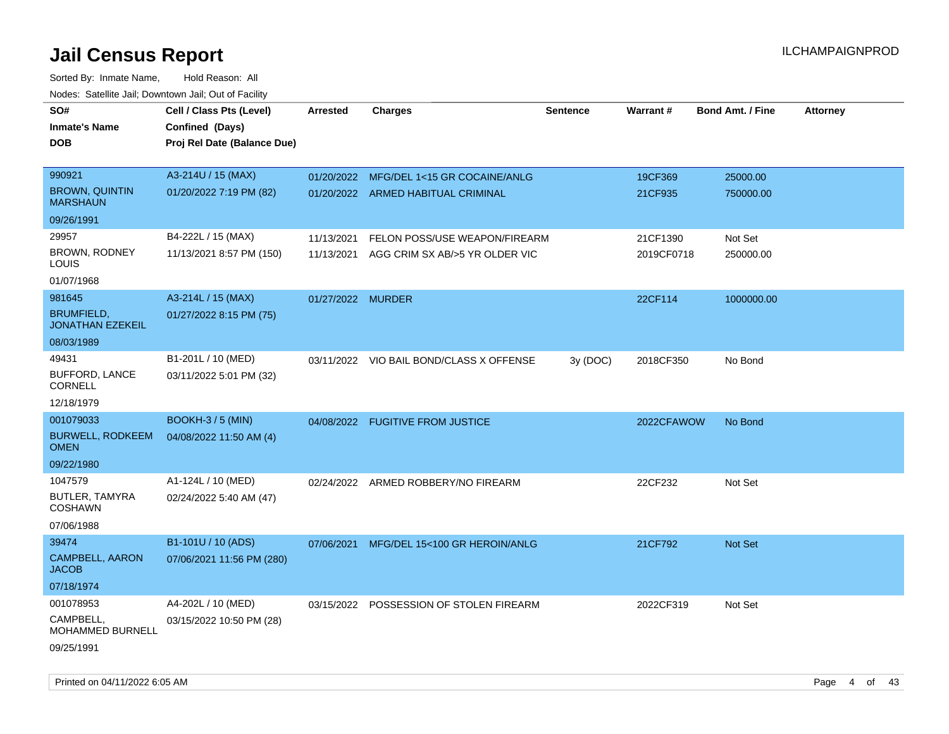| SO#                                          | Cell / Class Pts (Level)    | <b>Arrested</b>   | <b>Charges</b>                           | Sentence | Warrant#   | <b>Bond Amt. / Fine</b> | <b>Attorney</b> |
|----------------------------------------------|-----------------------------|-------------------|------------------------------------------|----------|------------|-------------------------|-----------------|
| <b>Inmate's Name</b>                         | Confined (Days)             |                   |                                          |          |            |                         |                 |
| <b>DOB</b>                                   | Proj Rel Date (Balance Due) |                   |                                          |          |            |                         |                 |
|                                              |                             |                   |                                          |          |            |                         |                 |
| 990921                                       | A3-214U / 15 (MAX)          |                   | 01/20/2022 MFG/DEL 1<15 GR COCAINE/ANLG  |          | 19CF369    | 25000.00                |                 |
| <b>BROWN, QUINTIN</b><br><b>MARSHAUN</b>     | 01/20/2022 7:19 PM (82)     |                   | 01/20/2022 ARMED HABITUAL CRIMINAL       |          | 21CF935    | 750000.00               |                 |
| 09/26/1991                                   |                             |                   |                                          |          |            |                         |                 |
| 29957                                        | B4-222L / 15 (MAX)          | 11/13/2021        | FELON POSS/USE WEAPON/FIREARM            |          | 21CF1390   | Not Set                 |                 |
| <b>BROWN, RODNEY</b><br>LOUIS                | 11/13/2021 8:57 PM (150)    | 11/13/2021        | AGG CRIM SX AB/>5 YR OLDER VIC           |          | 2019CF0718 | 250000.00               |                 |
| 01/07/1968                                   |                             |                   |                                          |          |            |                         |                 |
| 981645                                       | A3-214L / 15 (MAX)          | 01/27/2022 MURDER |                                          |          | 22CF114    | 1000000.00              |                 |
| <b>BRUMFIELD,</b><br><b>JONATHAN EZEKEIL</b> | 01/27/2022 8:15 PM (75)     |                   |                                          |          |            |                         |                 |
| 08/03/1989                                   |                             |                   |                                          |          |            |                         |                 |
| 49431                                        | B1-201L / 10 (MED)          |                   | 03/11/2022 VIO BAIL BOND/CLASS X OFFENSE | 3y (DOC) | 2018CF350  | No Bond                 |                 |
| <b>BUFFORD, LANCE</b><br><b>CORNELL</b>      | 03/11/2022 5:01 PM (32)     |                   |                                          |          |            |                         |                 |
| 12/18/1979                                   |                             |                   |                                          |          |            |                         |                 |
| 001079033                                    | <b>BOOKH-3 / 5 (MIN)</b>    |                   | 04/08/2022 FUGITIVE FROM JUSTICE         |          | 2022CFAWOW | No Bond                 |                 |
| <b>BURWELL, RODKEEM</b><br><b>OMEN</b>       | 04/08/2022 11:50 AM (4)     |                   |                                          |          |            |                         |                 |
| 09/22/1980                                   |                             |                   |                                          |          |            |                         |                 |
| 1047579                                      | A1-124L / 10 (MED)          |                   | 02/24/2022 ARMED ROBBERY/NO FIREARM      |          | 22CF232    | Not Set                 |                 |
| <b>BUTLER, TAMYRA</b><br><b>COSHAWN</b>      | 02/24/2022 5:40 AM (47)     |                   |                                          |          |            |                         |                 |
| 07/06/1988                                   |                             |                   |                                          |          |            |                         |                 |
| 39474                                        | B1-101U / 10 (ADS)          | 07/06/2021        | MFG/DEL 15<100 GR HEROIN/ANLG            |          | 21CF792    | Not Set                 |                 |
| CAMPBELL, AARON<br><b>JACOB</b>              | 07/06/2021 11:56 PM (280)   |                   |                                          |          |            |                         |                 |
| 07/18/1974                                   |                             |                   |                                          |          |            |                         |                 |
| 001078953                                    | A4-202L / 10 (MED)          |                   | 03/15/2022 POSSESSION OF STOLEN FIREARM  |          | 2022CF319  | Not Set                 |                 |
| CAMPBELL,<br>MOHAMMED BURNELL                | 03/15/2022 10:50 PM (28)    |                   |                                          |          |            |                         |                 |
| 09/25/1991                                   |                             |                   |                                          |          |            |                         |                 |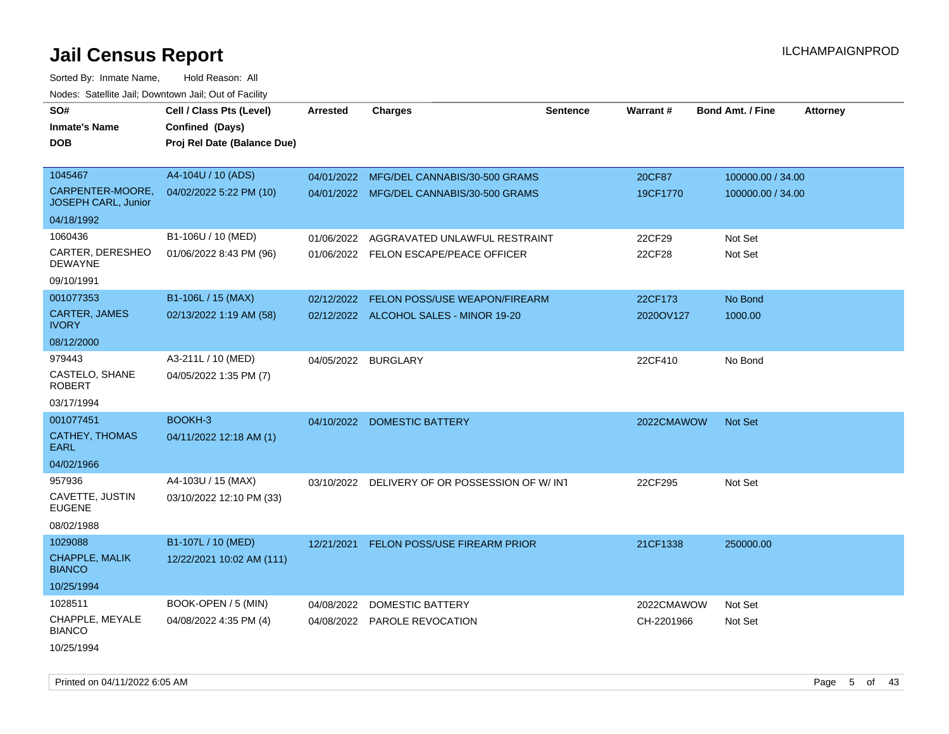Sorted By: Inmate Name, Hold Reason: All

|                                         | Nodes: Satellite Jail; Downtown Jail; Out of Facility |                 |                                          |                 |            |                                            |  |  |  |  |
|-----------------------------------------|-------------------------------------------------------|-----------------|------------------------------------------|-----------------|------------|--------------------------------------------|--|--|--|--|
| SO#                                     | Cell / Class Pts (Level)                              | <b>Arrested</b> | <b>Charges</b>                           | <b>Sentence</b> | Warrant#   | <b>Bond Amt. / Fine</b><br><b>Attorney</b> |  |  |  |  |
| <b>Inmate's Name</b>                    | Confined (Days)                                       |                 |                                          |                 |            |                                            |  |  |  |  |
| <b>DOB</b>                              | Proj Rel Date (Balance Due)                           |                 |                                          |                 |            |                                            |  |  |  |  |
|                                         |                                                       |                 |                                          |                 |            |                                            |  |  |  |  |
| 1045467                                 | A4-104U / 10 (ADS)                                    |                 | 04/01/2022 MFG/DEL CANNABIS/30-500 GRAMS |                 | 20CF87     | 100000.00 / 34.00                          |  |  |  |  |
| CARPENTER-MOORE,<br>JOSEPH CARL, Junior | 04/02/2022 5:22 PM (10)                               |                 | 04/01/2022 MFG/DEL CANNABIS/30-500 GRAMS |                 | 19CF1770   | 100000.00 / 34.00                          |  |  |  |  |
| 04/18/1992                              |                                                       |                 |                                          |                 |            |                                            |  |  |  |  |
| 1060436                                 | B1-106U / 10 (MED)                                    | 01/06/2022      | AGGRAVATED UNLAWFUL RESTRAINT            |                 | 22CF29     | Not Set                                    |  |  |  |  |
| CARTER, DERESHEO<br><b>DEWAYNE</b>      | 01/06/2022 8:43 PM (96)                               |                 | 01/06/2022 FELON ESCAPE/PEACE OFFICER    |                 | 22CF28     | Not Set                                    |  |  |  |  |
| 09/10/1991                              |                                                       |                 |                                          |                 |            |                                            |  |  |  |  |
| 001077353                               | B1-106L / 15 (MAX)                                    | 02/12/2022      | FELON POSS/USE WEAPON/FIREARM            |                 | 22CF173    | No Bond                                    |  |  |  |  |
| <b>CARTER, JAMES</b><br><b>IVORY</b>    | 02/13/2022 1:19 AM (58)                               |                 | 02/12/2022 ALCOHOL SALES - MINOR 19-20   |                 | 2020OV127  | 1000.00                                    |  |  |  |  |
| 08/12/2000                              |                                                       |                 |                                          |                 |            |                                            |  |  |  |  |
| 979443                                  | A3-211L / 10 (MED)                                    |                 | 04/05/2022 BURGLARY                      |                 | 22CF410    | No Bond                                    |  |  |  |  |
| CASTELO, SHANE<br><b>ROBERT</b>         | 04/05/2022 1:35 PM (7)                                |                 |                                          |                 |            |                                            |  |  |  |  |
| 03/17/1994                              |                                                       |                 |                                          |                 |            |                                            |  |  |  |  |
| 001077451                               | BOOKH-3                                               | 04/10/2022      | <b>DOMESTIC BATTERY</b>                  |                 | 2022CMAWOW | Not Set                                    |  |  |  |  |
| <b>CATHEY, THOMAS</b><br><b>EARL</b>    | 04/11/2022 12:18 AM (1)                               |                 |                                          |                 |            |                                            |  |  |  |  |
| 04/02/1966                              |                                                       |                 |                                          |                 |            |                                            |  |  |  |  |
| 957936                                  | A4-103U / 15 (MAX)                                    | 03/10/2022      | DELIVERY OF OR POSSESSION OF W/INT       |                 | 22CF295    | Not Set                                    |  |  |  |  |
| CAVETTE, JUSTIN<br><b>EUGENE</b>        | 03/10/2022 12:10 PM (33)                              |                 |                                          |                 |            |                                            |  |  |  |  |
| 08/02/1988                              |                                                       |                 |                                          |                 |            |                                            |  |  |  |  |
| 1029088                                 | B1-107L / 10 (MED)                                    | 12/21/2021      | <b>FELON POSS/USE FIREARM PRIOR</b>      |                 | 21CF1338   | 250000.00                                  |  |  |  |  |
| CHAPPLE, MALIK<br><b>BIANCO</b>         | 12/22/2021 10:02 AM (111)                             |                 |                                          |                 |            |                                            |  |  |  |  |
| 10/25/1994                              |                                                       |                 |                                          |                 |            |                                            |  |  |  |  |
| 1028511                                 | BOOK-OPEN / 5 (MIN)                                   | 04/08/2022      | <b>DOMESTIC BATTERY</b>                  |                 | 2022CMAWOW | Not Set                                    |  |  |  |  |
| CHAPPLE, MEYALE<br><b>BIANCO</b>        | 04/08/2022 4:35 PM (4)                                | 04/08/2022      | <b>PAROLE REVOCATION</b>                 |                 | CH-2201966 | Not Set                                    |  |  |  |  |
| 10/25/1994                              |                                                       |                 |                                          |                 |            |                                            |  |  |  |  |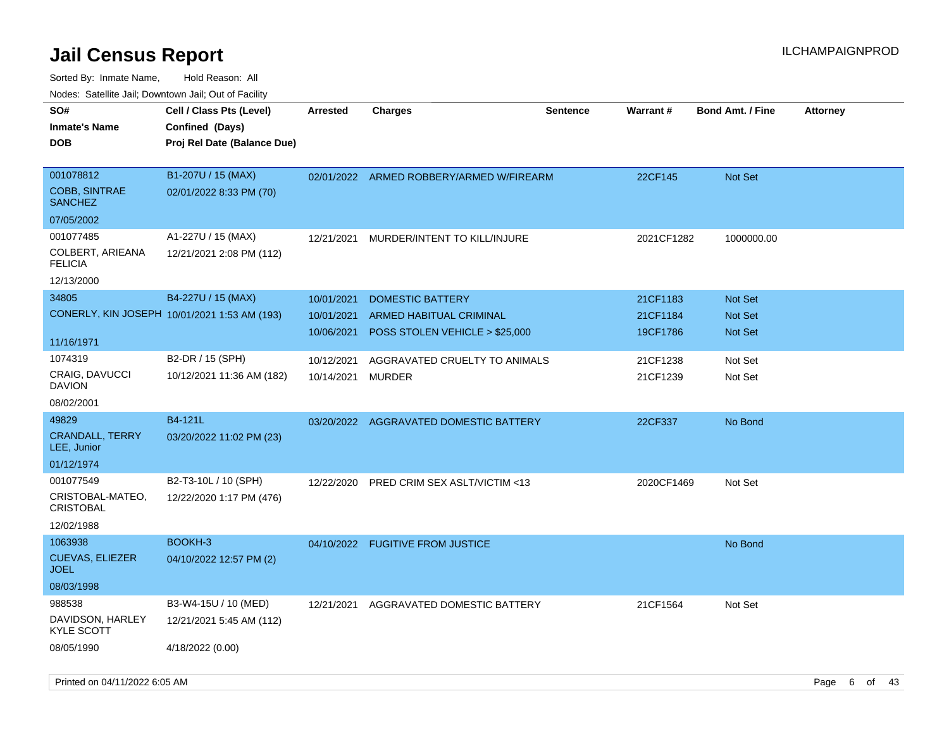| rouco. Calcinic Jan, Downtown Jan, Out of Facility  |                                                                            |                 |                                        |                 |            |                         |                 |
|-----------------------------------------------------|----------------------------------------------------------------------------|-----------------|----------------------------------------|-----------------|------------|-------------------------|-----------------|
| SO#<br>Inmate's Name<br><b>DOB</b>                  | Cell / Class Pts (Level)<br>Confined (Days)<br>Proj Rel Date (Balance Due) | <b>Arrested</b> | <b>Charges</b>                         | <b>Sentence</b> | Warrant#   | <b>Bond Amt. / Fine</b> | <b>Attorney</b> |
| 001078812<br><b>COBB, SINTRAE</b><br><b>SANCHEZ</b> | B1-207U / 15 (MAX)<br>02/01/2022 8:33 PM (70)                              | 02/01/2022      | ARMED ROBBERY/ARMED W/FIREARM          |                 | 22CF145    | <b>Not Set</b>          |                 |
| 07/05/2002                                          |                                                                            |                 |                                        |                 |            |                         |                 |
| 001077485                                           | A1-227U / 15 (MAX)                                                         | 12/21/2021      | MURDER/INTENT TO KILL/INJURE           |                 | 2021CF1282 | 1000000.00              |                 |
| COLBERT, ARIEANA<br>FELICIA                         | 12/21/2021 2:08 PM (112)                                                   |                 |                                        |                 |            |                         |                 |
| 12/13/2000                                          |                                                                            |                 |                                        |                 |            |                         |                 |
| 34805                                               | B4-227U / 15 (MAX)                                                         | 10/01/2021      | <b>DOMESTIC BATTERY</b>                |                 | 21CF1183   | Not Set                 |                 |
|                                                     | CONERLY, KIN JOSEPH 10/01/2021 1:53 AM (193)                               | 10/01/2021      | ARMED HABITUAL CRIMINAL                |                 | 21CF1184   | <b>Not Set</b>          |                 |
|                                                     |                                                                            | 10/06/2021      | POSS STOLEN VEHICLE > \$25,000         |                 | 19CF1786   | <b>Not Set</b>          |                 |
| 11/16/1971                                          |                                                                            |                 |                                        |                 |            |                         |                 |
| 1074319                                             | B2-DR / 15 (SPH)                                                           | 10/12/2021      | AGGRAVATED CRUELTY TO ANIMALS          |                 | 21CF1238   | Not Set                 |                 |
| CRAIG, DAVUCCI<br>DAVION                            | 10/12/2021 11:36 AM (182)                                                  | 10/14/2021      | MURDER                                 |                 | 21CF1239   | Not Set                 |                 |
| 08/02/2001                                          |                                                                            |                 |                                        |                 |            |                         |                 |
| 49829                                               | B4-121L                                                                    |                 | 03/20/2022 AGGRAVATED DOMESTIC BATTERY |                 | 22CF337    | No Bond                 |                 |
| <b>CRANDALL, TERRY</b><br>LEE, Junior               | 03/20/2022 11:02 PM (23)                                                   |                 |                                        |                 |            |                         |                 |
| 01/12/1974                                          |                                                                            |                 |                                        |                 |            |                         |                 |
| 001077549                                           | B2-T3-10L / 10 (SPH)                                                       | 12/22/2020      | PRED CRIM SEX ASLT/VICTIM <13          |                 | 2020CF1469 | Not Set                 |                 |
| CRISTOBAL-MATEO,<br>CRISTOBAL                       | 12/22/2020 1:17 PM (476)                                                   |                 |                                        |                 |            |                         |                 |
| 12/02/1988                                          |                                                                            |                 |                                        |                 |            |                         |                 |
| 1063938                                             | BOOKH-3                                                                    |                 | 04/10/2022 FUGITIVE FROM JUSTICE       |                 |            | No Bond                 |                 |
| <b>CUEVAS, ELIEZER</b><br>JOEL                      | 04/10/2022 12:57 PM (2)                                                    |                 |                                        |                 |            |                         |                 |
| 08/03/1998                                          |                                                                            |                 |                                        |                 |            |                         |                 |
| 988538                                              | B3-W4-15U / 10 (MED)                                                       | 12/21/2021      | AGGRAVATED DOMESTIC BATTERY            |                 | 21CF1564   | Not Set                 |                 |
| DAVIDSON, HARLEY<br>KYLE SCOTT                      | 12/21/2021 5:45 AM (112)                                                   |                 |                                        |                 |            |                         |                 |
| 08/05/1990                                          | 4/18/2022 (0.00)                                                           |                 |                                        |                 |            |                         |                 |
|                                                     |                                                                            |                 |                                        |                 |            |                         |                 |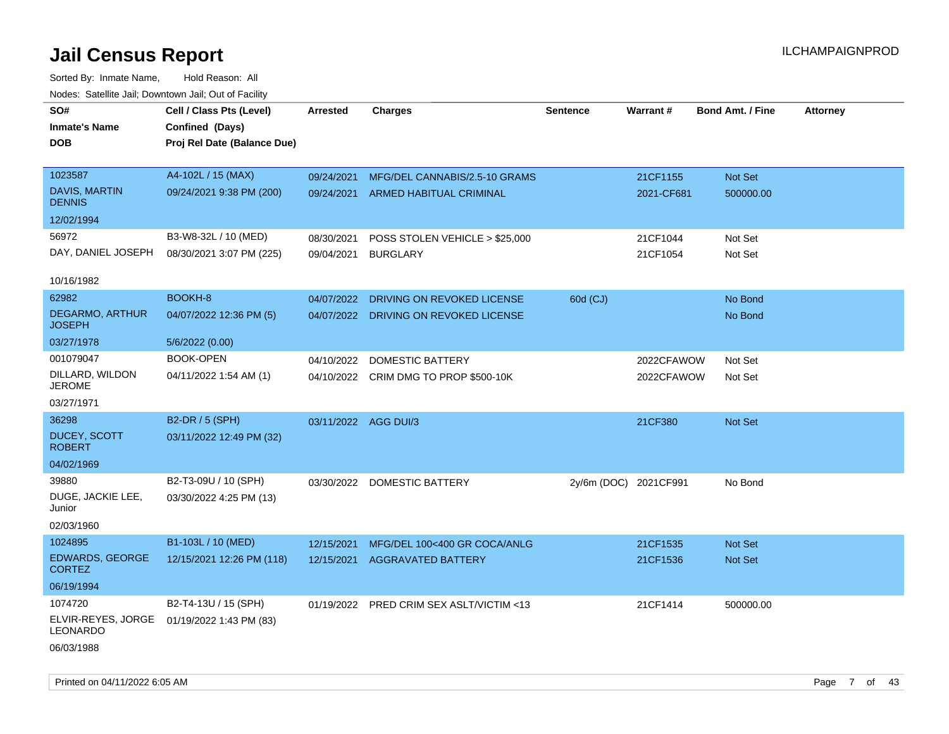| SO#<br><b>Inmate's Name</b><br>DOB.     | Cell / Class Pts (Level)<br>Confined (Days)<br>Proj Rel Date (Balance Due) | Arrested             | <b>Charges</b>                           | <b>Sentence</b>       | Warrant#   | <b>Bond Amt. / Fine</b> | <b>Attorney</b> |
|-----------------------------------------|----------------------------------------------------------------------------|----------------------|------------------------------------------|-----------------------|------------|-------------------------|-----------------|
| 1023587                                 | A4-102L / 15 (MAX)                                                         | 09/24/2021           | MFG/DEL CANNABIS/2.5-10 GRAMS            |                       | 21CF1155   | Not Set                 |                 |
| <b>DAVIS, MARTIN</b><br><b>DENNIS</b>   | 09/24/2021 9:38 PM (200)                                                   |                      | 09/24/2021 ARMED HABITUAL CRIMINAL       |                       | 2021-CF681 | 500000.00               |                 |
| 12/02/1994                              |                                                                            |                      |                                          |                       |            |                         |                 |
| 56972                                   | B3-W8-32L / 10 (MED)                                                       | 08/30/2021           | POSS STOLEN VEHICLE > \$25,000           |                       | 21CF1044   | Not Set                 |                 |
| DAY, DANIEL JOSEPH                      | 08/30/2021 3:07 PM (225)                                                   | 09/04/2021           | <b>BURGLARY</b>                          |                       | 21CF1054   | Not Set                 |                 |
| 10/16/1982                              |                                                                            |                      |                                          |                       |            |                         |                 |
| 62982                                   | BOOKH-8                                                                    | 04/07/2022           | DRIVING ON REVOKED LICENSE               | 60d (CJ)              |            | No Bond                 |                 |
| <b>DEGARMO, ARTHUR</b><br><b>JOSEPH</b> | 04/07/2022 12:36 PM (5)                                                    |                      | 04/07/2022 DRIVING ON REVOKED LICENSE    |                       |            | No Bond                 |                 |
| 03/27/1978                              | 5/6/2022 (0.00)                                                            |                      |                                          |                       |            |                         |                 |
| 001079047                               | <b>BOOK-OPEN</b>                                                           | 04/10/2022           | <b>DOMESTIC BATTERY</b>                  |                       | 2022CFAWOW | Not Set                 |                 |
| DILLARD, WILDON<br><b>JEROME</b>        | 04/11/2022 1:54 AM (1)                                                     |                      | 04/10/2022 CRIM DMG TO PROP \$500-10K    |                       | 2022CFAWOW | Not Set                 |                 |
| 03/27/1971                              |                                                                            |                      |                                          |                       |            |                         |                 |
| 36298                                   | B2-DR / 5 (SPH)                                                            | 03/11/2022 AGG DUI/3 |                                          |                       | 21CF380    | Not Set                 |                 |
| DUCEY, SCOTT<br><b>ROBERT</b>           | 03/11/2022 12:49 PM (32)                                                   |                      |                                          |                       |            |                         |                 |
| 04/02/1969                              |                                                                            |                      |                                          |                       |            |                         |                 |
| 39880                                   | B2-T3-09U / 10 (SPH)                                                       |                      | 03/30/2022 DOMESTIC BATTERY              | 2y/6m (DOC) 2021CF991 |            | No Bond                 |                 |
| DUGE, JACKIE LEE,<br>Junior             | 03/30/2022 4:25 PM (13)                                                    |                      |                                          |                       |            |                         |                 |
| 02/03/1960                              |                                                                            |                      |                                          |                       |            |                         |                 |
| 1024895                                 | B1-103L / 10 (MED)                                                         | 12/15/2021           | MFG/DEL 100<400 GR COCA/ANLG             |                       | 21CF1535   | <b>Not Set</b>          |                 |
| <b>EDWARDS, GEORGE</b><br><b>CORTEZ</b> | 12/15/2021 12:26 PM (118)                                                  | 12/15/2021           | <b>AGGRAVATED BATTERY</b>                |                       | 21CF1536   | <b>Not Set</b>          |                 |
| 06/19/1994                              |                                                                            |                      |                                          |                       |            |                         |                 |
| 1074720                                 | B2-T4-13U / 15 (SPH)                                                       |                      | 01/19/2022 PRED CRIM SEX ASLT/VICTIM <13 |                       | 21CF1414   | 500000.00               |                 |
| ELVIR-REYES, JORGE<br>LEONARDO          | 01/19/2022 1:43 PM (83)                                                    |                      |                                          |                       |            |                         |                 |
| 06/03/1988                              |                                                                            |                      |                                          |                       |            |                         |                 |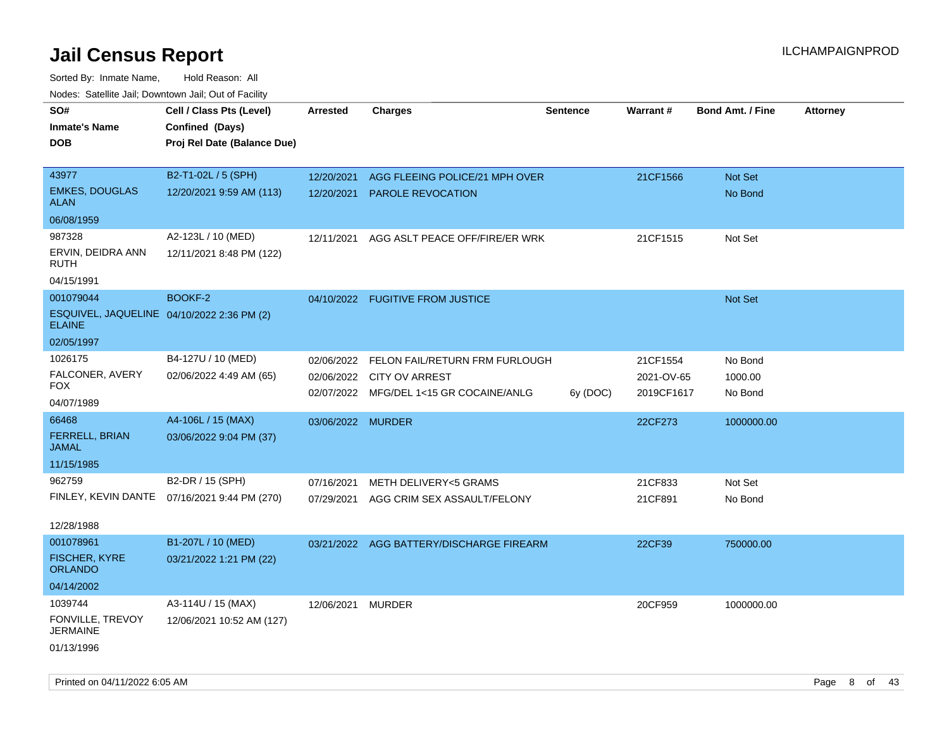| SO#<br><b>Inmate's Name</b><br>DOB                                       | Cell / Class Pts (Level)<br>Confined (Days)<br>Proj Rel Date (Balance Due) | <b>Arrested</b>          | <b>Charges</b>                                                                                     | <b>Sentence</b> | Warrant#                             | <b>Bond Amt. / Fine</b>       | <b>Attorney</b> |
|--------------------------------------------------------------------------|----------------------------------------------------------------------------|--------------------------|----------------------------------------------------------------------------------------------------|-----------------|--------------------------------------|-------------------------------|-----------------|
| 43977<br><b>EMKES, DOUGLAS</b><br><b>ALAN</b>                            | B2-T1-02L / 5 (SPH)<br>12/20/2021 9:59 AM (113)                            | 12/20/2021<br>12/20/2021 | AGG FLEEING POLICE/21 MPH OVER<br>PAROLE REVOCATION                                                |                 | 21CF1566                             | Not Set<br>No Bond            |                 |
| 06/08/1959                                                               |                                                                            |                          |                                                                                                    |                 |                                      |                               |                 |
| 987328<br>ERVIN, DEIDRA ANN<br>RUTH                                      | A2-123L / 10 (MED)<br>12/11/2021 8:48 PM (122)                             | 12/11/2021               | AGG ASLT PEACE OFF/FIRE/ER WRK                                                                     |                 | 21CF1515                             | Not Set                       |                 |
| 04/15/1991                                                               |                                                                            |                          |                                                                                                    |                 |                                      |                               |                 |
| 001079044<br>ESQUIVEL, JAQUELINE 04/10/2022 2:36 PM (2)<br><b>ELAINE</b> | BOOKF-2                                                                    |                          | 04/10/2022 FUGITIVE FROM JUSTICE                                                                   |                 |                                      | Not Set                       |                 |
| 02/05/1997                                                               |                                                                            |                          |                                                                                                    |                 |                                      |                               |                 |
| 1026175<br>FALCONER, AVERY<br>FOX<br>04/07/1989                          | B4-127U / 10 (MED)<br>02/06/2022 4:49 AM (65)                              | 02/06/2022<br>02/06/2022 | FELON FAIL/RETURN FRM FURLOUGH<br><b>CITY OV ARREST</b><br>02/07/2022 MFG/DEL 1<15 GR COCAINE/ANLG | 6y (DOC)        | 21CF1554<br>2021-OV-65<br>2019CF1617 | No Bond<br>1000.00<br>No Bond |                 |
| 66468                                                                    | A4-106L / 15 (MAX)                                                         | 03/06/2022 MURDER        |                                                                                                    |                 | 22CF273                              | 1000000.00                    |                 |
| FERRELL, BRIAN<br><b>JAMAL</b>                                           | 03/06/2022 9:04 PM (37)                                                    |                          |                                                                                                    |                 |                                      |                               |                 |
| 11/15/1985                                                               |                                                                            |                          |                                                                                                    |                 |                                      |                               |                 |
| 962759<br>12/28/1988                                                     | B2-DR / 15 (SPH)<br>FINLEY, KEVIN DANTE 07/16/2021 9:44 PM (270)           | 07/16/2021<br>07/29/2021 | <b>METH DELIVERY&lt;5 GRAMS</b><br>AGG CRIM SEX ASSAULT/FELONY                                     |                 | 21CF833<br>21CF891                   | Not Set<br>No Bond            |                 |
| 001078961<br><b>FISCHER, KYRE</b><br><b>ORLANDO</b>                      | B1-207L / 10 (MED)<br>03/21/2022 1:21 PM (22)                              |                          | 03/21/2022 AGG BATTERY/DISCHARGE FIREARM                                                           |                 | 22CF39                               | 750000.00                     |                 |
| 04/14/2002                                                               |                                                                            |                          |                                                                                                    |                 |                                      |                               |                 |
| 1039744                                                                  | A3-114U / 15 (MAX)                                                         | 12/06/2021               | <b>MURDER</b>                                                                                      |                 | 20CF959                              | 1000000.00                    |                 |
| FONVILLE, TREVOY<br><b>JERMAINE</b>                                      | 12/06/2021 10:52 AM (127)                                                  |                          |                                                                                                    |                 |                                      |                               |                 |
| 01/13/1996                                                               |                                                                            |                          |                                                                                                    |                 |                                      |                               |                 |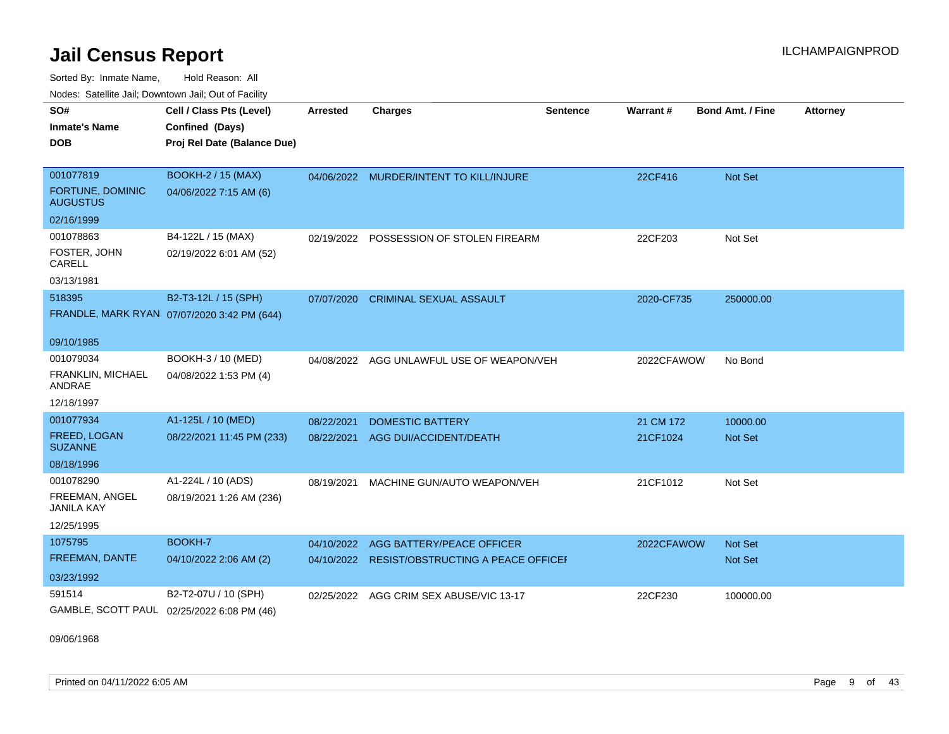Sorted By: Inmate Name, Hold Reason: All Nodes: Satellite Jail; Downtown Jail; Out of Facility

| SO#<br><b>Inmate's Name</b><br><b>DOB</b>        | Cell / Class Pts (Level)<br>Confined (Days)<br>Proj Rel Date (Balance Due) | Arrested   | <b>Charges</b>                                | <b>Sentence</b> | Warrant#   | <b>Bond Amt. / Fine</b> | <b>Attorney</b> |
|--------------------------------------------------|----------------------------------------------------------------------------|------------|-----------------------------------------------|-----------------|------------|-------------------------|-----------------|
| 001077819<br>FORTUNE, DOMINIC<br><b>AUGUSTUS</b> | <b>BOOKH-2 / 15 (MAX)</b><br>04/06/2022 7:15 AM (6)                        |            | 04/06/2022 MURDER/INTENT TO KILL/INJURE       |                 | 22CF416    | Not Set                 |                 |
| 02/16/1999                                       |                                                                            |            |                                               |                 |            |                         |                 |
| 001078863                                        | B4-122L / 15 (MAX)                                                         |            | 02/19/2022 POSSESSION OF STOLEN FIREARM       |                 | 22CF203    | Not Set                 |                 |
| FOSTER, JOHN<br>CARELL                           | 02/19/2022 6:01 AM (52)                                                    |            |                                               |                 |            |                         |                 |
| 03/13/1981                                       |                                                                            |            |                                               |                 |            |                         |                 |
| 518395                                           | B2-T3-12L / 15 (SPH)                                                       | 07/07/2020 | <b>CRIMINAL SEXUAL ASSAULT</b>                |                 | 2020-CF735 | 250000.00               |                 |
|                                                  | FRANDLE, MARK RYAN 07/07/2020 3:42 PM (644)                                |            |                                               |                 |            |                         |                 |
| 09/10/1985                                       |                                                                            |            |                                               |                 |            |                         |                 |
| 001079034                                        | BOOKH-3 / 10 (MED)                                                         |            | 04/08/2022 AGG UNLAWFUL USE OF WEAPON/VEH     |                 | 2022CFAWOW | No Bond                 |                 |
| <b>FRANKLIN, MICHAEL</b><br>ANDRAE               | 04/08/2022 1:53 PM (4)                                                     |            |                                               |                 |            |                         |                 |
| 12/18/1997                                       |                                                                            |            |                                               |                 |            |                         |                 |
| 001077934                                        | A1-125L / 10 (MED)                                                         | 08/22/2021 | <b>DOMESTIC BATTERY</b>                       |                 | 21 CM 172  | 10000.00                |                 |
| FREED, LOGAN<br><b>SUZANNE</b>                   | 08/22/2021 11:45 PM (233)                                                  | 08/22/2021 | AGG DUI/ACCIDENT/DEATH                        |                 | 21CF1024   | <b>Not Set</b>          |                 |
| 08/18/1996                                       |                                                                            |            |                                               |                 |            |                         |                 |
| 001078290                                        | A1-224L / 10 (ADS)                                                         | 08/19/2021 | MACHINE GUN/AUTO WEAPON/VEH                   |                 | 21CF1012   | Not Set                 |                 |
| FREEMAN, ANGEL<br><b>JANILA KAY</b>              | 08/19/2021 1:26 AM (236)                                                   |            |                                               |                 |            |                         |                 |
| 12/25/1995                                       |                                                                            |            |                                               |                 |            |                         |                 |
| 1075795                                          | BOOKH-7                                                                    | 04/10/2022 | AGG BATTERY/PEACE OFFICER                     |                 | 2022CFAWOW | <b>Not Set</b>          |                 |
| FREEMAN, DANTE                                   | 04/10/2022 2:06 AM (2)                                                     |            | 04/10/2022 RESIST/OBSTRUCTING A PEACE OFFICEF |                 |            | <b>Not Set</b>          |                 |
| 03/23/1992                                       |                                                                            |            |                                               |                 |            |                         |                 |
| 591514                                           | B2-T2-07U / 10 (SPH)                                                       | 02/25/2022 | AGG CRIM SEX ABUSE/VIC 13-17                  |                 | 22CF230    | 100000.00               |                 |
| GAMBLE, SCOTT PAUL 02/25/2022 6:08 PM (46)       |                                                                            |            |                                               |                 |            |                         |                 |

09/06/1968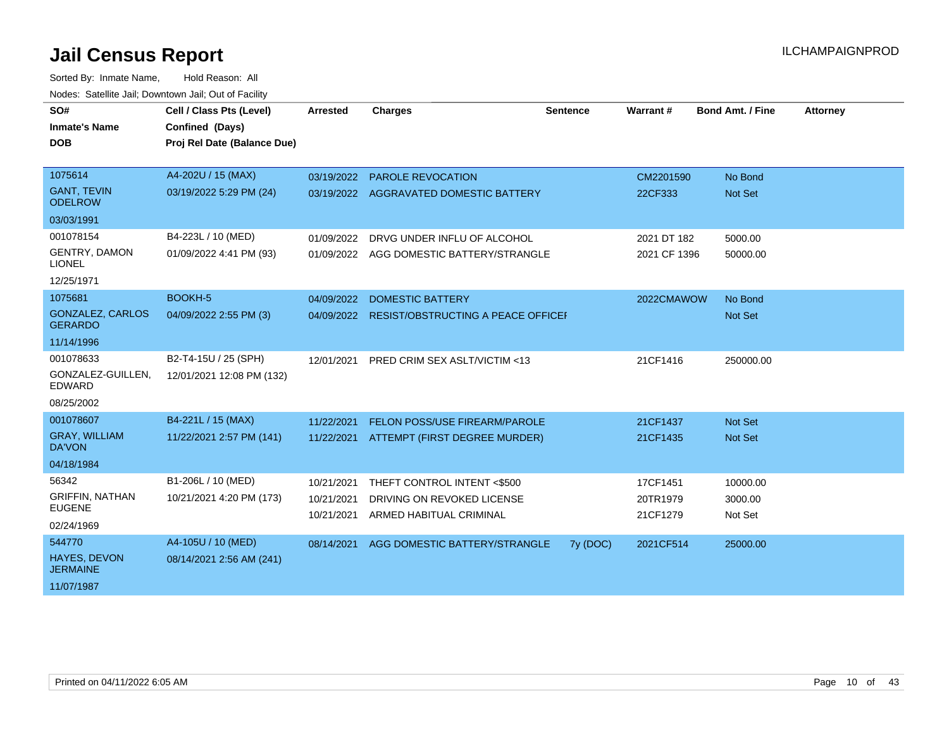| SO#<br><b>Inmate's Name</b><br><b>DOB</b> | Cell / Class Pts (Level)<br>Confined (Days)<br>Proj Rel Date (Balance Due) | <b>Arrested</b> | <b>Charges</b>                                | <b>Sentence</b> | Warrant#     | <b>Bond Amt. / Fine</b> | <b>Attorney</b> |
|-------------------------------------------|----------------------------------------------------------------------------|-----------------|-----------------------------------------------|-----------------|--------------|-------------------------|-----------------|
|                                           |                                                                            |                 |                                               |                 |              |                         |                 |
| 1075614                                   | A4-202U / 15 (MAX)                                                         | 03/19/2022      | <b>PAROLE REVOCATION</b>                      |                 | CM2201590    | No Bond                 |                 |
| <b>GANT, TEVIN</b><br><b>ODELROW</b>      | 03/19/2022 5:29 PM (24)                                                    |                 | 03/19/2022 AGGRAVATED DOMESTIC BATTERY        |                 | 22CF333      | Not Set                 |                 |
| 03/03/1991                                |                                                                            |                 |                                               |                 |              |                         |                 |
| 001078154                                 | B4-223L / 10 (MED)                                                         | 01/09/2022      | DRVG UNDER INFLU OF ALCOHOL                   |                 | 2021 DT 182  | 5000.00                 |                 |
| <b>GENTRY, DAMON</b><br><b>LIONEL</b>     | 01/09/2022 4:41 PM (93)                                                    |                 | 01/09/2022 AGG DOMESTIC BATTERY/STRANGLE      |                 | 2021 CF 1396 | 50000.00                |                 |
| 12/25/1971                                |                                                                            |                 |                                               |                 |              |                         |                 |
| 1075681                                   | BOOKH-5                                                                    | 04/09/2022      | <b>DOMESTIC BATTERY</b>                       |                 | 2022CMAWOW   | No Bond                 |                 |
| GONZALEZ, CARLOS<br><b>GERARDO</b>        | 04/09/2022 2:55 PM (3)                                                     |                 | 04/09/2022 RESIST/OBSTRUCTING A PEACE OFFICEF |                 |              | Not Set                 |                 |
| 11/14/1996                                |                                                                            |                 |                                               |                 |              |                         |                 |
| 001078633                                 | B2-T4-15U / 25 (SPH)                                                       | 12/01/2021      | PRED CRIM SEX ASLT/VICTIM <13                 |                 | 21CF1416     | 250000.00               |                 |
| GONZALEZ-GUILLEN,<br><b>EDWARD</b>        | 12/01/2021 12:08 PM (132)                                                  |                 |                                               |                 |              |                         |                 |
| 08/25/2002                                |                                                                            |                 |                                               |                 |              |                         |                 |
| 001078607                                 | B4-221L / 15 (MAX)                                                         | 11/22/2021      | FELON POSS/USE FIREARM/PAROLE                 |                 | 21CF1437     | <b>Not Set</b>          |                 |
| <b>GRAY, WILLIAM</b><br><b>DA'VON</b>     | 11/22/2021 2:57 PM (141)                                                   | 11/22/2021      | ATTEMPT (FIRST DEGREE MURDER)                 |                 | 21CF1435     | <b>Not Set</b>          |                 |
| 04/18/1984                                |                                                                            |                 |                                               |                 |              |                         |                 |
| 56342                                     | B1-206L / 10 (MED)                                                         | 10/21/2021      | THEFT CONTROL INTENT <\$500                   |                 | 17CF1451     | 10000.00                |                 |
| <b>GRIFFIN, NATHAN</b><br><b>EUGENE</b>   | 10/21/2021 4:20 PM (173)                                                   | 10/21/2021      | DRIVING ON REVOKED LICENSE                    |                 | 20TR1979     | 3000.00                 |                 |
| 02/24/1969                                |                                                                            | 10/21/2021      | ARMED HABITUAL CRIMINAL                       |                 | 21CF1279     | Not Set                 |                 |
| 544770                                    | A4-105U / 10 (MED)                                                         | 08/14/2021      | AGG DOMESTIC BATTERY/STRANGLE                 | 7y (DOC)        | 2021CF514    | 25000.00                |                 |
| <b>HAYES, DEVON</b><br><b>JERMAINE</b>    | 08/14/2021 2:56 AM (241)                                                   |                 |                                               |                 |              |                         |                 |
| 11/07/1987                                |                                                                            |                 |                                               |                 |              |                         |                 |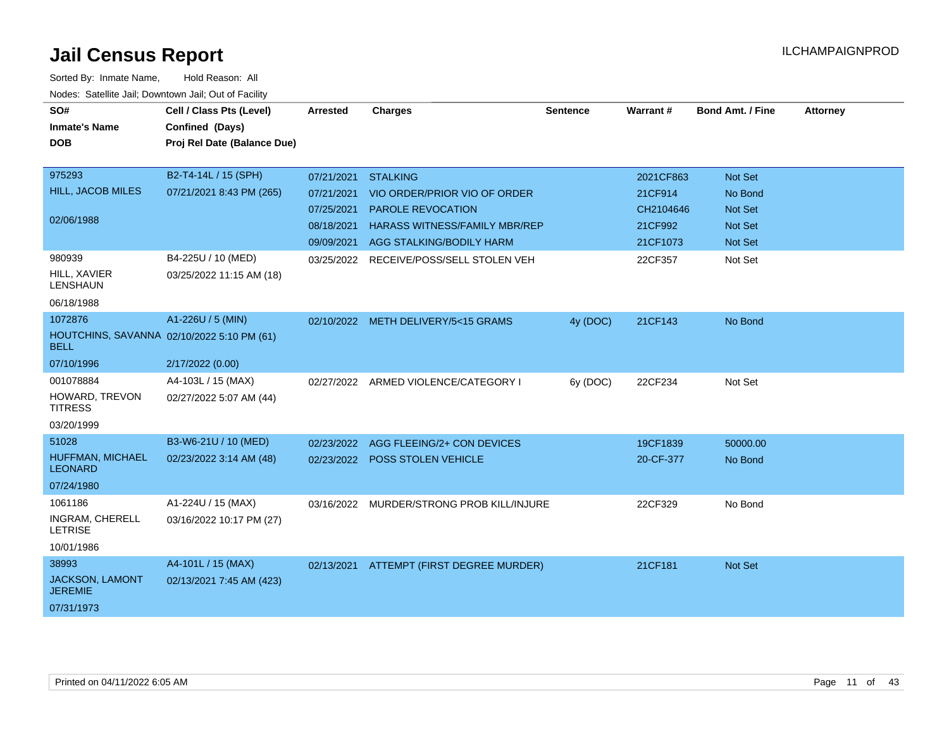| SO#<br><b>Inmate's Name</b><br><b>DOB</b>           | Cell / Class Pts (Level)<br>Confined (Days)<br>Proj Rel Date (Balance Due) | Arrested   | <b>Charges</b>                       | <b>Sentence</b> | Warrant#  | <b>Bond Amt. / Fine</b> | <b>Attorney</b> |
|-----------------------------------------------------|----------------------------------------------------------------------------|------------|--------------------------------------|-----------------|-----------|-------------------------|-----------------|
| 975293                                              | B2-T4-14L / 15 (SPH)                                                       | 07/21/2021 | <b>STALKING</b>                      |                 | 2021CF863 | Not Set                 |                 |
| <b>HILL, JACOB MILES</b>                            | 07/21/2021 8:43 PM (265)                                                   | 07/21/2021 | VIO ORDER/PRIOR VIO OF ORDER         |                 | 21CF914   | No Bond                 |                 |
|                                                     |                                                                            | 07/25/2021 | PAROLE REVOCATION                    |                 | CH2104646 | Not Set                 |                 |
| 02/06/1988                                          |                                                                            | 08/18/2021 | <b>HARASS WITNESS/FAMILY MBR/REP</b> |                 | 21CF992   | <b>Not Set</b>          |                 |
|                                                     |                                                                            |            | 09/09/2021 AGG STALKING/BODILY HARM  |                 | 21CF1073  | <b>Not Set</b>          |                 |
| 980939                                              | B4-225U / 10 (MED)                                                         | 03/25/2022 | RECEIVE/POSS/SELL STOLEN VEH         |                 | 22CF357   | Not Set                 |                 |
| HILL, XAVIER<br><b>LENSHAUN</b>                     | 03/25/2022 11:15 AM (18)                                                   |            |                                      |                 |           |                         |                 |
| 06/18/1988                                          |                                                                            |            |                                      |                 |           |                         |                 |
| 1072876                                             | A1-226U / 5 (MIN)                                                          |            | 02/10/2022 METH DELIVERY/5<15 GRAMS  | 4y (DOC)        | 21CF143   | No Bond                 |                 |
| <b>BELL</b>                                         | HOUTCHINS, SAVANNA 02/10/2022 5:10 PM (61)                                 |            |                                      |                 |           |                         |                 |
| 07/10/1996                                          | 2/17/2022 (0.00)                                                           |            |                                      |                 |           |                         |                 |
| 001078884                                           | A4-103L / 15 (MAX)                                                         |            | 02/27/2022 ARMED VIOLENCE/CATEGORY I | 6y (DOC)        | 22CF234   | Not Set                 |                 |
| HOWARD, TREVON<br><b>TITRESS</b>                    | 02/27/2022 5:07 AM (44)                                                    |            |                                      |                 |           |                         |                 |
| 03/20/1999                                          |                                                                            |            |                                      |                 |           |                         |                 |
| 51028                                               | B3-W6-21U / 10 (MED)                                                       | 02/23/2022 | AGG FLEEING/2+ CON DEVICES           |                 | 19CF1839  | 50000.00                |                 |
| HUFFMAN, MICHAEL<br><b>LEONARD</b>                  | 02/23/2022 3:14 AM (48)                                                    |            | 02/23/2022 POSS STOLEN VEHICLE       |                 | 20-CF-377 | No Bond                 |                 |
| 07/24/1980                                          |                                                                            |            |                                      |                 |           |                         |                 |
| 1061186<br><b>INGRAM, CHERELL</b><br><b>LETRISE</b> | A1-224U / 15 (MAX)<br>03/16/2022 10:17 PM (27)                             | 03/16/2022 | MURDER/STRONG PROB KILL/INJURE       |                 | 22CF329   | No Bond                 |                 |
| 10/01/1986                                          |                                                                            |            |                                      |                 |           |                         |                 |
| 38993                                               | A4-101L / 15 (MAX)                                                         | 02/13/2021 | ATTEMPT (FIRST DEGREE MURDER)        |                 | 21CF181   | <b>Not Set</b>          |                 |
| <b>JACKSON, LAMONT</b><br><b>JEREMIE</b>            | 02/13/2021 7:45 AM (423)                                                   |            |                                      |                 |           |                         |                 |
| 07/31/1973                                          |                                                                            |            |                                      |                 |           |                         |                 |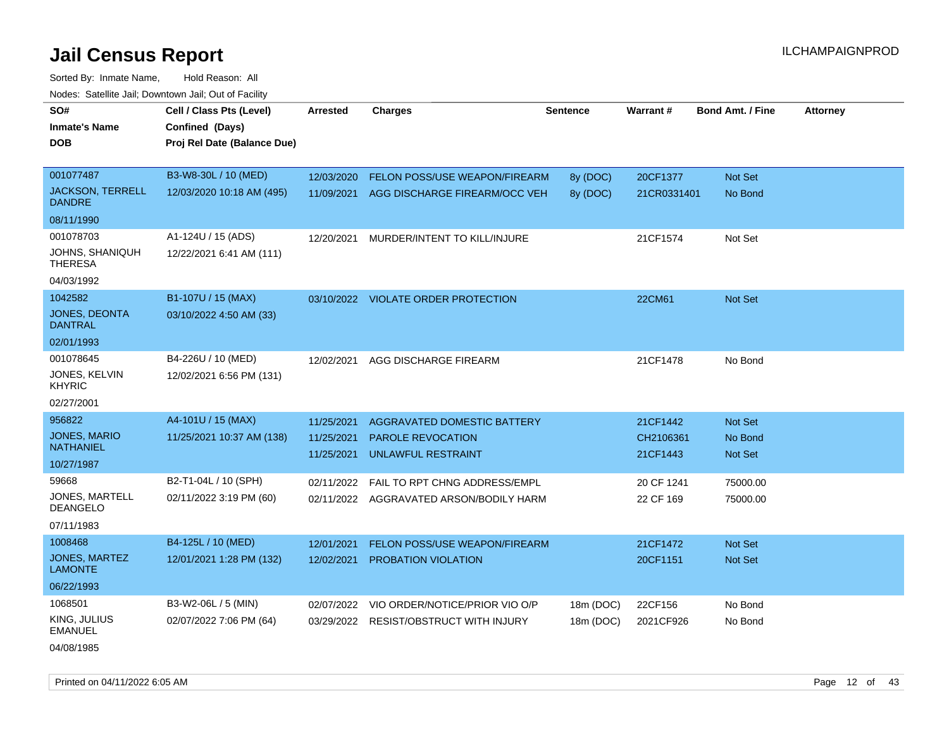Sorted By: Inmate Name, Hold Reason: All Nodes: Satellite Jail; Downtown Jail; Out of Facility

| SO#                                      | Cell / Class Pts (Level)    | <b>Arrested</b> | <b>Charges</b>                          | <b>Sentence</b> | Warrant#    | <b>Bond Amt. / Fine</b> | <b>Attorney</b> |
|------------------------------------------|-----------------------------|-----------------|-----------------------------------------|-----------------|-------------|-------------------------|-----------------|
| <b>Inmate's Name</b>                     | Confined (Days)             |                 |                                         |                 |             |                         |                 |
| DOB                                      | Proj Rel Date (Balance Due) |                 |                                         |                 |             |                         |                 |
|                                          |                             |                 |                                         |                 |             |                         |                 |
| 001077487                                | B3-W8-30L / 10 (MED)        | 12/03/2020      | <b>FELON POSS/USE WEAPON/FIREARM</b>    | 8y (DOC)        | 20CF1377    | <b>Not Set</b>          |                 |
| <b>JACKSON, TERRELL</b><br><b>DANDRE</b> | 12/03/2020 10:18 AM (495)   | 11/09/2021      | AGG DISCHARGE FIREARM/OCC VEH           | 8y (DOC)        | 21CR0331401 | No Bond                 |                 |
| 08/11/1990                               |                             |                 |                                         |                 |             |                         |                 |
| 001078703                                | A1-124U / 15 (ADS)          | 12/20/2021      | MURDER/INTENT TO KILL/INJURE            |                 | 21CF1574    | Not Set                 |                 |
| JOHNS, SHANIQUH<br><b>THERESA</b>        | 12/22/2021 6:41 AM (111)    |                 |                                         |                 |             |                         |                 |
| 04/03/1992                               |                             |                 |                                         |                 |             |                         |                 |
| 1042582                                  | B1-107U / 15 (MAX)          |                 | 03/10/2022 VIOLATE ORDER PROTECTION     |                 | 22CM61      | Not Set                 |                 |
| <b>JONES, DEONTA</b><br><b>DANTRAL</b>   | 03/10/2022 4:50 AM (33)     |                 |                                         |                 |             |                         |                 |
| 02/01/1993                               |                             |                 |                                         |                 |             |                         |                 |
| 001078645                                | B4-226U / 10 (MED)          | 12/02/2021      | AGG DISCHARGE FIREARM                   |                 | 21CF1478    | No Bond                 |                 |
| JONES, KELVIN<br><b>KHYRIC</b>           | 12/02/2021 6:56 PM (131)    |                 |                                         |                 |             |                         |                 |
| 02/27/2001                               |                             |                 |                                         |                 |             |                         |                 |
| 956822                                   | A4-101U / 15 (MAX)          | 11/25/2021      | AGGRAVATED DOMESTIC BATTERY             |                 | 21CF1442    | Not Set                 |                 |
| <b>JONES, MARIO</b>                      | 11/25/2021 10:37 AM (138)   | 11/25/2021      | PAROLE REVOCATION                       |                 | CH2106361   | No Bond                 |                 |
| <b>NATHANIEL</b>                         |                             | 11/25/2021      | <b>UNLAWFUL RESTRAINT</b>               |                 | 21CF1443    | <b>Not Set</b>          |                 |
| 10/27/1987                               |                             |                 |                                         |                 |             |                         |                 |
| 59668                                    | B2-T1-04L / 10 (SPH)        | 02/11/2022      | FAIL TO RPT CHNG ADDRESS/EMPL           |                 | 20 CF 1241  | 75000.00                |                 |
| JONES, MARTELL<br><b>DEANGELO</b>        | 02/11/2022 3:19 PM (60)     |                 | 02/11/2022 AGGRAVATED ARSON/BODILY HARM |                 | 22 CF 169   | 75000.00                |                 |
| 07/11/1983                               |                             |                 |                                         |                 |             |                         |                 |
| 1008468                                  | B4-125L / 10 (MED)          | 12/01/2021      | FELON POSS/USE WEAPON/FIREARM           |                 | 21CF1472    | <b>Not Set</b>          |                 |
| JONES, MARTEZ<br><b>LAMONTE</b>          | 12/01/2021 1:28 PM (132)    | 12/02/2021      | PROBATION VIOLATION                     |                 | 20CF1151    | Not Set                 |                 |
| 06/22/1993                               |                             |                 |                                         |                 |             |                         |                 |
| 1068501                                  | B3-W2-06L / 5 (MIN)         | 02/07/2022      | VIO ORDER/NOTICE/PRIOR VIO O/P          | 18m (DOC)       | 22CF156     | No Bond                 |                 |
| KING, JULIUS<br><b>EMANUEL</b>           | 02/07/2022 7:06 PM (64)     | 03/29/2022      | <b>RESIST/OBSTRUCT WITH INJURY</b>      | 18m (DOC)       | 2021CF926   | No Bond                 |                 |
|                                          |                             |                 |                                         |                 |             |                         |                 |

04/08/1985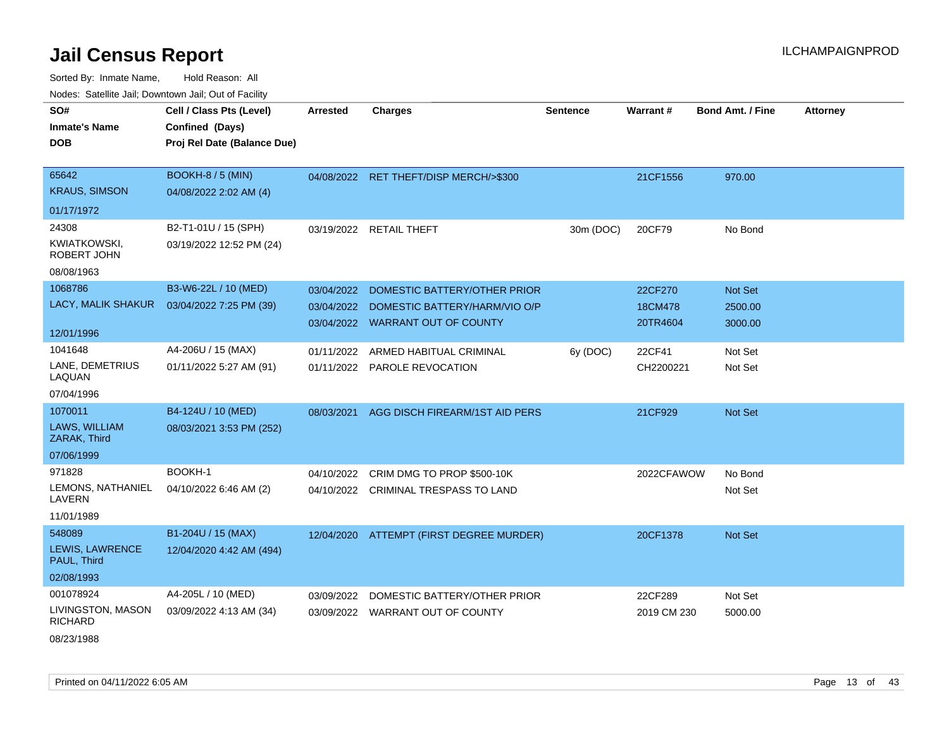Sorted By: Inmate Name, Hold Reason: All Nodes: Satellite Jail; Downtown Jail; Out of Facility

| roado. Catomio can, Bomnomi can, Cat or Fabilit |                             |                 |                                          |                 |                 |                         |                 |
|-------------------------------------------------|-----------------------------|-----------------|------------------------------------------|-----------------|-----------------|-------------------------|-----------------|
| SO#                                             | Cell / Class Pts (Level)    | <b>Arrested</b> | <b>Charges</b>                           | <b>Sentence</b> | <b>Warrant#</b> | <b>Bond Amt. / Fine</b> | <b>Attorney</b> |
| <b>Inmate's Name</b>                            | Confined (Days)             |                 |                                          |                 |                 |                         |                 |
| <b>DOB</b>                                      | Proj Rel Date (Balance Due) |                 |                                          |                 |                 |                         |                 |
|                                                 |                             |                 |                                          |                 |                 |                         |                 |
| 65642                                           | BOOKH-8 / 5 (MIN)           |                 | 04/08/2022 RET THEFT/DISP MERCH/>\$300   |                 | 21CF1556        | 970.00                  |                 |
| <b>KRAUS, SIMSON</b>                            | 04/08/2022 2:02 AM (4)      |                 |                                          |                 |                 |                         |                 |
| 01/17/1972                                      |                             |                 |                                          |                 |                 |                         |                 |
| 24308                                           | B2-T1-01U / 15 (SPH)        |                 | 03/19/2022 RETAIL THEFT                  | 30m (DOC)       | 20CF79          | No Bond                 |                 |
| <b>KWIATKOWSKI,</b><br><b>ROBERT JOHN</b>       | 03/19/2022 12:52 PM (24)    |                 |                                          |                 |                 |                         |                 |
| 08/08/1963                                      |                             |                 |                                          |                 |                 |                         |                 |
| 1068786                                         | B3-W6-22L / 10 (MED)        | 03/04/2022      | DOMESTIC BATTERY/OTHER PRIOR             |                 | 22CF270         | Not Set                 |                 |
| LACY, MALIK SHAKUR                              | 03/04/2022 7:25 PM (39)     | 03/04/2022      | DOMESTIC BATTERY/HARM/VIO O/P            |                 | 18CM478         | 2500.00                 |                 |
|                                                 |                             |                 | 03/04/2022 WARRANT OUT OF COUNTY         |                 | 20TR4604        | 3000.00                 |                 |
| 12/01/1996                                      |                             |                 |                                          |                 |                 |                         |                 |
| 1041648                                         | A4-206U / 15 (MAX)          | 01/11/2022      | ARMED HABITUAL CRIMINAL                  | 6y (DOC)        | 22CF41          | Not Set                 |                 |
| LANE, DEMETRIUS<br>LAQUAN                       | 01/11/2022 5:27 AM (91)     |                 | 01/11/2022 PAROLE REVOCATION             |                 | CH2200221       | Not Set                 |                 |
| 07/04/1996                                      |                             |                 |                                          |                 |                 |                         |                 |
| 1070011                                         | B4-124U / 10 (MED)          | 08/03/2021      | AGG DISCH FIREARM/1ST AID PERS           |                 | 21CF929         | Not Set                 |                 |
| <b>LAWS, WILLIAM</b><br>ZARAK, Third            | 08/03/2021 3:53 PM (252)    |                 |                                          |                 |                 |                         |                 |
| 07/06/1999                                      |                             |                 |                                          |                 |                 |                         |                 |
| 971828                                          | BOOKH-1                     | 04/10/2022      | CRIM DMG TO PROP \$500-10K               |                 | 2022CFAWOW      | No Bond                 |                 |
| LEMONS, NATHANIEL<br>LAVERN                     | 04/10/2022 6:46 AM (2)      |                 | 04/10/2022 CRIMINAL TRESPASS TO LAND     |                 |                 | Not Set                 |                 |
| 11/01/1989                                      |                             |                 |                                          |                 |                 |                         |                 |
| 548089                                          | B1-204U / 15 (MAX)          |                 | 12/04/2020 ATTEMPT (FIRST DEGREE MURDER) |                 | 20CF1378        | <b>Not Set</b>          |                 |
| LEWIS, LAWRENCE<br>PAUL, Third                  | 12/04/2020 4:42 AM (494)    |                 |                                          |                 |                 |                         |                 |
| 02/08/1993                                      |                             |                 |                                          |                 |                 |                         |                 |
| 001078924                                       | A4-205L / 10 (MED)          | 03/09/2022      | DOMESTIC BATTERY/OTHER PRIOR             |                 | 22CF289         | Not Set                 |                 |
| LIVINGSTON, MASON<br><b>RICHARD</b>             | 03/09/2022 4:13 AM (34)     |                 | 03/09/2022 WARRANT OUT OF COUNTY         |                 | 2019 CM 230     | 5000.00                 |                 |
| 08/23/1988                                      |                             |                 |                                          |                 |                 |                         |                 |

Printed on 04/11/2022 6:05 AM Page 13 of 43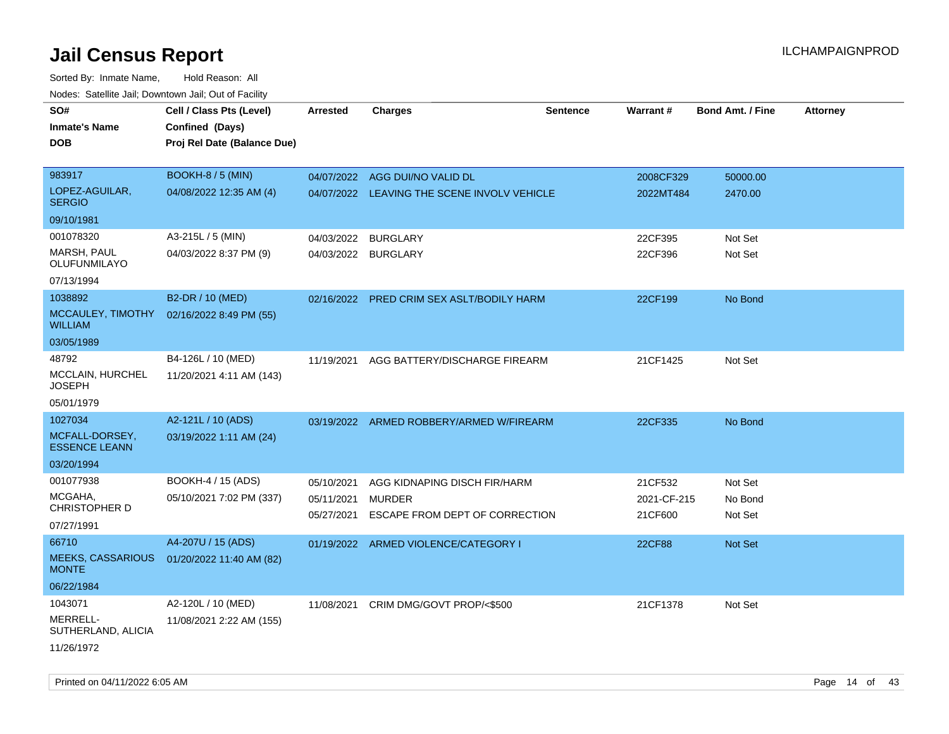| SO#                                      | Cell / Class Pts (Level)    | <b>Arrested</b>     | <b>Charges</b>                              | <b>Sentence</b> | Warrant#      | <b>Bond Amt. / Fine</b> | <b>Attorney</b> |
|------------------------------------------|-----------------------------|---------------------|---------------------------------------------|-----------------|---------------|-------------------------|-----------------|
| <b>Inmate's Name</b>                     | Confined (Days)             |                     |                                             |                 |               |                         |                 |
| DOB                                      | Proj Rel Date (Balance Due) |                     |                                             |                 |               |                         |                 |
|                                          |                             |                     |                                             |                 |               |                         |                 |
| 983917                                   | <b>BOOKH-8 / 5 (MIN)</b>    |                     | 04/07/2022 AGG DUI/NO VALID DL              |                 | 2008CF329     | 50000.00                |                 |
| LOPEZ-AGUILAR,<br><b>SERGIO</b>          | 04/08/2022 12:35 AM (4)     |                     | 04/07/2022 LEAVING THE SCENE INVOLV VEHICLE |                 | 2022MT484     | 2470.00                 |                 |
| 09/10/1981                               |                             |                     |                                             |                 |               |                         |                 |
| 001078320                                | A3-215L / 5 (MIN)           | 04/03/2022          | BURGLARY                                    |                 | 22CF395       | Not Set                 |                 |
| MARSH, PAUL<br>OLUFUNMILAYO              | 04/03/2022 8:37 PM (9)      | 04/03/2022 BURGLARY |                                             |                 | 22CF396       | Not Set                 |                 |
| 07/13/1994                               |                             |                     |                                             |                 |               |                         |                 |
| 1038892                                  | B2-DR / 10 (MED)            |                     | 02/16/2022 PRED CRIM SEX ASLT/BODILY HARM   |                 | 22CF199       | No Bond                 |                 |
| MCCAULEY, TIMOTHY<br><b>WILLIAM</b>      | 02/16/2022 8:49 PM (55)     |                     |                                             |                 |               |                         |                 |
| 03/05/1989                               |                             |                     |                                             |                 |               |                         |                 |
| 48792                                    | B4-126L / 10 (MED)          | 11/19/2021          | AGG BATTERY/DISCHARGE FIREARM               |                 | 21CF1425      | Not Set                 |                 |
| MCCLAIN, HURCHEL<br><b>JOSEPH</b>        | 11/20/2021 4:11 AM (143)    |                     |                                             |                 |               |                         |                 |
| 05/01/1979                               |                             |                     |                                             |                 |               |                         |                 |
| 1027034                                  | A2-121L / 10 (ADS)          |                     | 03/19/2022 ARMED ROBBERY/ARMED W/FIREARM    |                 | 22CF335       | No Bond                 |                 |
| MCFALL-DORSEY,<br><b>ESSENCE LEANN</b>   | 03/19/2022 1:11 AM (24)     |                     |                                             |                 |               |                         |                 |
| 03/20/1994                               |                             |                     |                                             |                 |               |                         |                 |
| 001077938                                | BOOKH-4 / 15 (ADS)          | 05/10/2021          | AGG KIDNAPING DISCH FIR/HARM                |                 | 21CF532       | Not Set                 |                 |
| MCGAHA,                                  | 05/10/2021 7:02 PM (337)    | 05/11/2021          | <b>MURDER</b>                               |                 | 2021-CF-215   | No Bond                 |                 |
| <b>CHRISTOPHER D</b>                     |                             | 05/27/2021          | ESCAPE FROM DEPT OF CORRECTION              |                 | 21CF600       | Not Set                 |                 |
| 07/27/1991                               |                             |                     |                                             |                 |               |                         |                 |
| 66710                                    | A4-207U / 15 (ADS)          |                     | 01/19/2022 ARMED VIOLENCE/CATEGORY I        |                 | <b>22CF88</b> | <b>Not Set</b>          |                 |
| <b>MEEKS, CASSARIOUS</b><br><b>MONTE</b> | 01/20/2022 11:40 AM (82)    |                     |                                             |                 |               |                         |                 |
| 06/22/1984                               |                             |                     |                                             |                 |               |                         |                 |
| 1043071                                  | A2-120L / 10 (MED)          | 11/08/2021          | CRIM DMG/GOVT PROP/<\$500                   |                 | 21CF1378      | Not Set                 |                 |
| MERRELL-<br>SUTHERLAND, ALICIA           | 11/08/2021 2:22 AM (155)    |                     |                                             |                 |               |                         |                 |
| 11/26/1972                               |                             |                     |                                             |                 |               |                         |                 |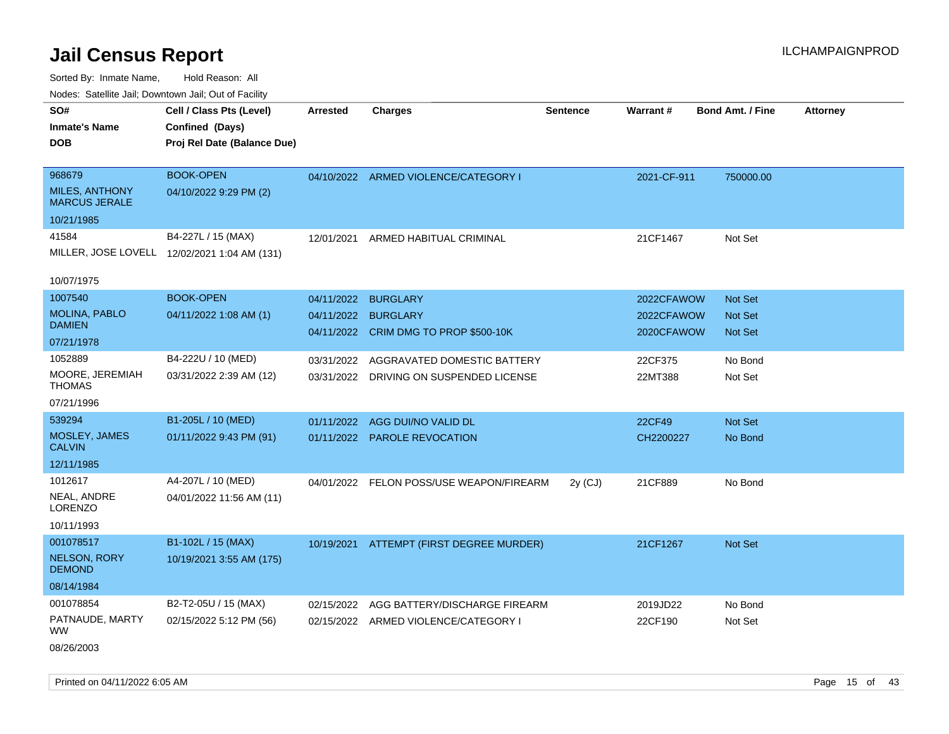| rougs. Calcinic Jan, Downtown Jan, Out of Facility |                                              |                 |                                          |                 |             |                         |                 |
|----------------------------------------------------|----------------------------------------------|-----------------|------------------------------------------|-----------------|-------------|-------------------------|-----------------|
| SO#                                                | Cell / Class Pts (Level)                     | <b>Arrested</b> | <b>Charges</b>                           | <b>Sentence</b> | Warrant#    | <b>Bond Amt. / Fine</b> | <b>Attorney</b> |
| <b>Inmate's Name</b>                               | Confined (Days)                              |                 |                                          |                 |             |                         |                 |
| <b>DOB</b>                                         | Proj Rel Date (Balance Due)                  |                 |                                          |                 |             |                         |                 |
|                                                    |                                              |                 |                                          |                 |             |                         |                 |
| 968679                                             | <b>BOOK-OPEN</b>                             |                 | 04/10/2022 ARMED VIOLENCE/CATEGORY I     |                 | 2021-CF-911 | 750000.00               |                 |
| <b>MILES, ANTHONY</b><br><b>MARCUS JERALE</b>      | 04/10/2022 9:29 PM (2)                       |                 |                                          |                 |             |                         |                 |
| 10/21/1985                                         |                                              |                 |                                          |                 |             |                         |                 |
| 41584                                              | B4-227L / 15 (MAX)                           | 12/01/2021      | ARMED HABITUAL CRIMINAL                  |                 | 21CF1467    | Not Set                 |                 |
|                                                    | MILLER, JOSE LOVELL 12/02/2021 1:04 AM (131) |                 |                                          |                 |             |                         |                 |
| 10/07/1975                                         |                                              |                 |                                          |                 |             |                         |                 |
| 1007540                                            | <b>BOOK-OPEN</b>                             |                 | 04/11/2022 BURGLARY                      |                 | 2022CFAWOW  | <b>Not Set</b>          |                 |
| <b>MOLINA, PABLO</b>                               | 04/11/2022 1:08 AM (1)                       |                 | 04/11/2022 BURGLARY                      |                 | 2022CFAWOW  | <b>Not Set</b>          |                 |
| <b>DAMIEN</b>                                      |                                              |                 | 04/11/2022 CRIM DMG TO PROP \$500-10K    |                 | 2020CFAWOW  | <b>Not Set</b>          |                 |
| 07/21/1978                                         |                                              |                 |                                          |                 |             |                         |                 |
| 1052889                                            | B4-222U / 10 (MED)                           |                 | 03/31/2022 AGGRAVATED DOMESTIC BATTERY   |                 | 22CF375     | No Bond                 |                 |
| MOORE, JEREMIAH<br><b>THOMAS</b>                   | 03/31/2022 2:39 AM (12)                      |                 | 03/31/2022 DRIVING ON SUSPENDED LICENSE  |                 | 22MT388     | Not Set                 |                 |
| 07/21/1996                                         |                                              |                 |                                          |                 |             |                         |                 |
| 539294                                             | B1-205L / 10 (MED)                           | 01/11/2022      | AGG DUI/NO VALID DL                      |                 | 22CF49      | <b>Not Set</b>          |                 |
| MOSLEY, JAMES<br><b>CALVIN</b>                     | 01/11/2022 9:43 PM (91)                      |                 | 01/11/2022 PAROLE REVOCATION             |                 | CH2200227   | No Bond                 |                 |
| 12/11/1985                                         |                                              |                 |                                          |                 |             |                         |                 |
| 1012617                                            | A4-207L / 10 (MED)                           |                 | 04/01/2022 FELON POSS/USE WEAPON/FIREARM | $2y$ (CJ)       | 21CF889     | No Bond                 |                 |
| NEAL, ANDRE<br>LORENZO                             | 04/01/2022 11:56 AM (11)                     |                 |                                          |                 |             |                         |                 |
| 10/11/1993                                         |                                              |                 |                                          |                 |             |                         |                 |
| 001078517                                          | B1-102L / 15 (MAX)                           |                 | 10/19/2021 ATTEMPT (FIRST DEGREE MURDER) |                 | 21CF1267    | Not Set                 |                 |
| <b>NELSON, RORY</b><br><b>DEMOND</b>               | 10/19/2021 3:55 AM (175)                     |                 |                                          |                 |             |                         |                 |
| 08/14/1984                                         |                                              |                 |                                          |                 |             |                         |                 |
| 001078854                                          | B2-T2-05U / 15 (MAX)                         |                 | 02/15/2022 AGG BATTERY/DISCHARGE FIREARM |                 | 2019JD22    | No Bond                 |                 |
| PATNAUDE, MARTY<br><b>WW</b>                       | 02/15/2022 5:12 PM (56)                      |                 | 02/15/2022 ARMED VIOLENCE/CATEGORY I     |                 | 22CF190     | Not Set                 |                 |
| 08/26/2003                                         |                                              |                 |                                          |                 |             |                         |                 |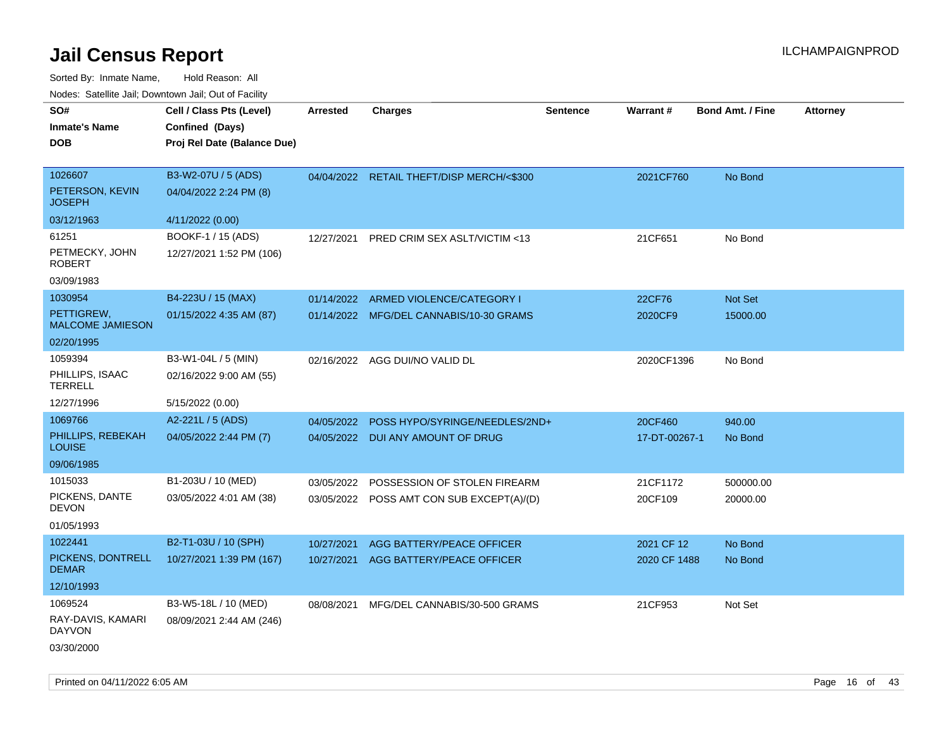| SO#                                   | Cell / Class Pts (Level)    | <b>Arrested</b> | <b>Charges</b>                            | <b>Sentence</b> | Warrant#      | <b>Bond Amt. / Fine</b> | <b>Attorney</b> |
|---------------------------------------|-----------------------------|-----------------|-------------------------------------------|-----------------|---------------|-------------------------|-----------------|
| <b>Inmate's Name</b>                  | Confined (Days)             |                 |                                           |                 |               |                         |                 |
| <b>DOB</b>                            | Proj Rel Date (Balance Due) |                 |                                           |                 |               |                         |                 |
|                                       |                             |                 |                                           |                 |               |                         |                 |
| 1026607                               | B3-W2-07U / 5 (ADS)         |                 | 04/04/2022 RETAIL THEFT/DISP MERCH/<\$300 |                 | 2021CF760     | No Bond                 |                 |
| PETERSON, KEVIN<br><b>JOSEPH</b>      | 04/04/2022 2:24 PM (8)      |                 |                                           |                 |               |                         |                 |
| 03/12/1963                            | 4/11/2022 (0.00)            |                 |                                           |                 |               |                         |                 |
| 61251                                 | BOOKF-1 / 15 (ADS)          | 12/27/2021      | PRED CRIM SEX ASLT/VICTIM <13             |                 | 21CF651       | No Bond                 |                 |
| PETMECKY, JOHN<br><b>ROBERT</b>       | 12/27/2021 1:52 PM (106)    |                 |                                           |                 |               |                         |                 |
| 03/09/1983                            |                             |                 |                                           |                 |               |                         |                 |
| 1030954                               | B4-223U / 15 (MAX)          | 01/14/2022      | ARMED VIOLENCE/CATEGORY I                 |                 | 22CF76        | Not Set                 |                 |
| PETTIGREW.<br><b>MALCOME JAMIESON</b> | 01/15/2022 4:35 AM (87)     |                 | 01/14/2022 MFG/DEL CANNABIS/10-30 GRAMS   |                 | 2020CF9       | 15000.00                |                 |
| 02/20/1995                            |                             |                 |                                           |                 |               |                         |                 |
| 1059394                               | B3-W1-04L / 5 (MIN)         |                 | 02/16/2022 AGG DUI/NO VALID DL            |                 | 2020CF1396    | No Bond                 |                 |
| PHILLIPS, ISAAC<br><b>TERRELL</b>     | 02/16/2022 9:00 AM (55)     |                 |                                           |                 |               |                         |                 |
| 12/27/1996                            | 5/15/2022 (0.00)            |                 |                                           |                 |               |                         |                 |
| 1069766                               | A2-221L / 5 (ADS)           | 04/05/2022      | POSS HYPO/SYRINGE/NEEDLES/2ND+            |                 | 20CF460       | 940.00                  |                 |
| PHILLIPS, REBEKAH<br><b>LOUISE</b>    | 04/05/2022 2:44 PM (7)      |                 | 04/05/2022 DUI ANY AMOUNT OF DRUG         |                 | 17-DT-00267-1 | No Bond                 |                 |
| 09/06/1985                            |                             |                 |                                           |                 |               |                         |                 |
| 1015033                               | B1-203U / 10 (MED)          | 03/05/2022      | POSSESSION OF STOLEN FIREARM              |                 | 21CF1172      | 500000.00               |                 |
| PICKENS, DANTE<br><b>DEVON</b>        | 03/05/2022 4:01 AM (38)     |                 | 03/05/2022 POSS AMT CON SUB EXCEPT(A)/(D) |                 | 20CF109       | 20000.00                |                 |
| 01/05/1993                            |                             |                 |                                           |                 |               |                         |                 |
| 1022441                               | B2-T1-03U / 10 (SPH)        | 10/27/2021      | AGG BATTERY/PEACE OFFICER                 |                 | 2021 CF 12    | No Bond                 |                 |
| PICKENS, DONTRELL<br><b>DEMAR</b>     | 10/27/2021 1:39 PM (167)    |                 | 10/27/2021 AGG BATTERY/PEACE OFFICER      |                 | 2020 CF 1488  | No Bond                 |                 |
| 12/10/1993                            |                             |                 |                                           |                 |               |                         |                 |
| 1069524                               | B3-W5-18L / 10 (MED)        | 08/08/2021      | MFG/DEL CANNABIS/30-500 GRAMS             |                 | 21CF953       | Not Set                 |                 |
| RAY-DAVIS, KAMARI<br><b>DAYVON</b>    | 08/09/2021 2:44 AM (246)    |                 |                                           |                 |               |                         |                 |
| 03/30/2000                            |                             |                 |                                           |                 |               |                         |                 |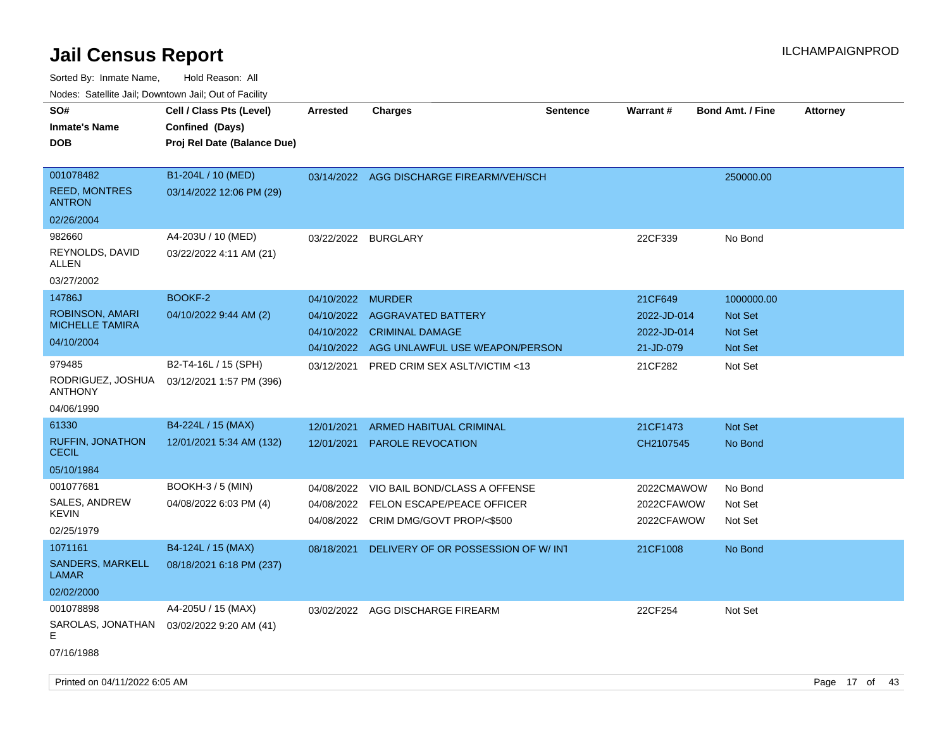| rougs. Calcinic Jan, Downtown Jan, Out of Facility |                                                  |                   |                                          |                 |             |                         |                 |
|----------------------------------------------------|--------------------------------------------------|-------------------|------------------------------------------|-----------------|-------------|-------------------------|-----------------|
| SO#                                                | Cell / Class Pts (Level)                         | <b>Arrested</b>   | <b>Charges</b>                           | <b>Sentence</b> | Warrant#    | <b>Bond Amt. / Fine</b> | <b>Attorney</b> |
| <b>Inmate's Name</b>                               | Confined (Days)                                  |                   |                                          |                 |             |                         |                 |
| <b>DOB</b>                                         | Proj Rel Date (Balance Due)                      |                   |                                          |                 |             |                         |                 |
|                                                    |                                                  |                   |                                          |                 |             |                         |                 |
| 001078482                                          | B1-204L / 10 (MED)                               |                   | 03/14/2022 AGG DISCHARGE FIREARM/VEH/SCH |                 |             | 250000.00               |                 |
| <b>REED, MONTRES</b><br><b>ANTRON</b>              | 03/14/2022 12:06 PM (29)                         |                   |                                          |                 |             |                         |                 |
| 02/26/2004                                         |                                                  |                   |                                          |                 |             |                         |                 |
| 982660                                             | A4-203U / 10 (MED)                               | 03/22/2022        | <b>BURGLARY</b>                          |                 | 22CF339     | No Bond                 |                 |
| REYNOLDS, DAVID<br>ALLEN                           | 03/22/2022 4:11 AM (21)                          |                   |                                          |                 |             |                         |                 |
| 03/27/2002                                         |                                                  |                   |                                          |                 |             |                         |                 |
| 14786J                                             | BOOKF-2                                          | 04/10/2022 MURDER |                                          |                 | 21CF649     | 1000000.00              |                 |
| ROBINSON, AMARI                                    | 04/10/2022 9:44 AM (2)                           |                   | 04/10/2022 AGGRAVATED BATTERY            |                 | 2022-JD-014 | <b>Not Set</b>          |                 |
| <b>MICHELLE TAMIRA</b>                             |                                                  |                   | 04/10/2022 CRIMINAL DAMAGE               |                 | 2022-JD-014 | <b>Not Set</b>          |                 |
| 04/10/2004                                         |                                                  | 04/10/2022        | AGG UNLAWFUL USE WEAPON/PERSON           |                 | 21-JD-079   | Not Set                 |                 |
| 979485<br>RODRIGUEZ, JOSHUA<br><b>ANTHONY</b>      | B2-T4-16L / 15 (SPH)<br>03/12/2021 1:57 PM (396) | 03/12/2021        | <b>PRED CRIM SEX ASLT/VICTIM &lt;13</b>  |                 | 21CF282     | Not Set                 |                 |
| 04/06/1990                                         |                                                  |                   |                                          |                 |             |                         |                 |
| 61330                                              | B4-224L / 15 (MAX)                               | 12/01/2021        | <b>ARMED HABITUAL CRIMINAL</b>           |                 | 21CF1473    | <b>Not Set</b>          |                 |
| <b>RUFFIN, JONATHON</b><br><b>CECIL</b>            | 12/01/2021 5:34 AM (132)                         | 12/01/2021        | <b>PAROLE REVOCATION</b>                 |                 | CH2107545   | No Bond                 |                 |
| 05/10/1984                                         |                                                  |                   |                                          |                 |             |                         |                 |
| 001077681                                          | <b>BOOKH-3 / 5 (MIN)</b>                         | 04/08/2022        | VIO BAIL BOND/CLASS A OFFENSE            |                 | 2022CMAWOW  | No Bond                 |                 |
| SALES, ANDREW                                      | 04/08/2022 6:03 PM (4)                           | 04/08/2022        | FELON ESCAPE/PEACE OFFICER               |                 | 2022CFAWOW  | Not Set                 |                 |
| KEVIN                                              |                                                  | 04/08/2022        | CRIM DMG/GOVT PROP/<\$500                |                 | 2022CFAWOW  | Not Set                 |                 |
| 02/25/1979                                         |                                                  |                   |                                          |                 |             |                         |                 |
| 1071161                                            | B4-124L / 15 (MAX)                               | 08/18/2021        | DELIVERY OF OR POSSESSION OF W/INT       |                 | 21CF1008    | No Bond                 |                 |
| SANDERS, MARKELL<br>LAMAR                          | 08/18/2021 6:18 PM (237)                         |                   |                                          |                 |             |                         |                 |
| 02/02/2000                                         |                                                  |                   |                                          |                 |             |                         |                 |
| 001078898<br>SAROLAS, JONATHAN<br>E                | A4-205U / 15 (MAX)<br>03/02/2022 9:20 AM (41)    |                   | 03/02/2022 AGG DISCHARGE FIREARM         |                 | 22CF254     | Not Set                 |                 |
| 07/16/1988                                         |                                                  |                   |                                          |                 |             |                         |                 |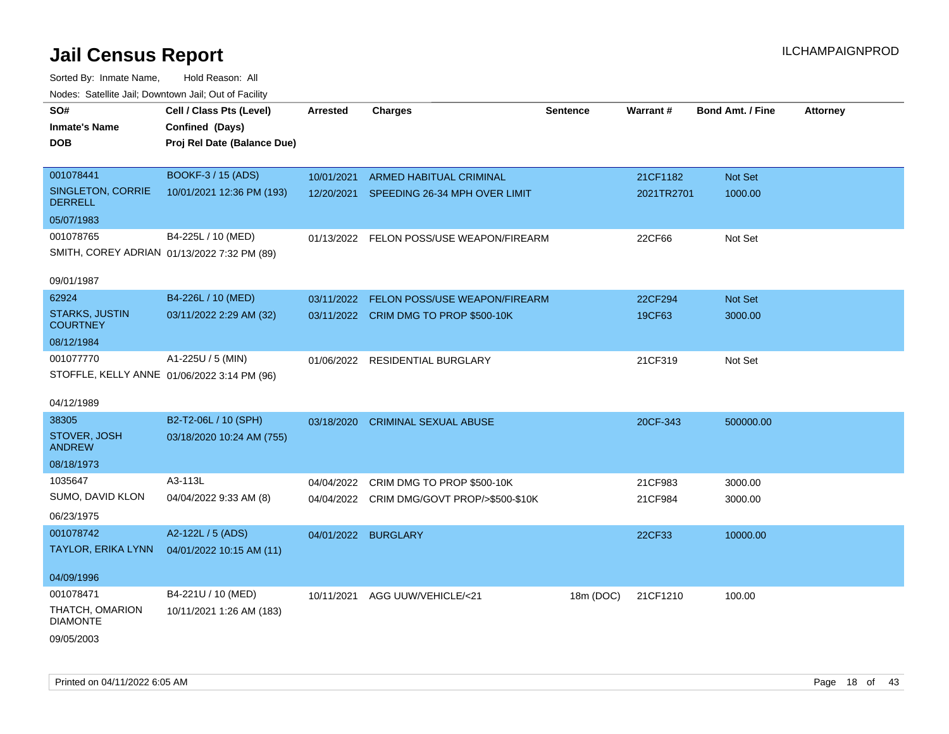| SO#                                      | Cell / Class Pts (Level)                    | <b>Arrested</b> | <b>Charges</b>                             | <b>Sentence</b> | Warrant#   | <b>Bond Amt. / Fine</b> | <b>Attorney</b> |
|------------------------------------------|---------------------------------------------|-----------------|--------------------------------------------|-----------------|------------|-------------------------|-----------------|
| <b>Inmate's Name</b>                     | Confined (Days)                             |                 |                                            |                 |            |                         |                 |
| <b>DOB</b>                               | Proj Rel Date (Balance Due)                 |                 |                                            |                 |            |                         |                 |
|                                          |                                             |                 |                                            |                 |            |                         |                 |
| 001078441                                | BOOKF-3 / 15 (ADS)                          | 10/01/2021      | ARMED HABITUAL CRIMINAL                    |                 | 21CF1182   | Not Set                 |                 |
| SINGLETON, CORRIE<br><b>DERRELL</b>      | 10/01/2021 12:36 PM (193)                   |                 | 12/20/2021 SPEEDING 26-34 MPH OVER LIMIT   |                 | 2021TR2701 | 1000.00                 |                 |
| 05/07/1983                               |                                             |                 |                                            |                 |            |                         |                 |
| 001078765                                | B4-225L / 10 (MED)                          |                 | 01/13/2022 FELON POSS/USE WEAPON/FIREARM   |                 | 22CF66     | Not Set                 |                 |
|                                          | SMITH, COREY ADRIAN 01/13/2022 7:32 PM (89) |                 |                                            |                 |            |                         |                 |
|                                          |                                             |                 |                                            |                 |            |                         |                 |
| 09/01/1987                               |                                             |                 |                                            |                 |            |                         |                 |
| 62924                                    | B4-226L / 10 (MED)                          | 03/11/2022      | <b>FELON POSS/USE WEAPON/FIREARM</b>       |                 | 22CF294    | Not Set                 |                 |
| <b>STARKS, JUSTIN</b><br><b>COURTNEY</b> | 03/11/2022 2:29 AM (32)                     |                 | 03/11/2022 CRIM DMG TO PROP \$500-10K      |                 | 19CF63     | 3000.00                 |                 |
| 08/12/1984                               |                                             |                 |                                            |                 |            |                         |                 |
| 001077770                                | A1-225U / 5 (MIN)                           |                 | 01/06/2022 RESIDENTIAL BURGLARY            |                 | 21CF319    | Not Set                 |                 |
|                                          | STOFFLE, KELLY ANNE 01/06/2022 3:14 PM (96) |                 |                                            |                 |            |                         |                 |
|                                          |                                             |                 |                                            |                 |            |                         |                 |
| 04/12/1989                               |                                             |                 |                                            |                 |            |                         |                 |
| 38305                                    | B2-T2-06L / 10 (SPH)                        | 03/18/2020      | <b>CRIMINAL SEXUAL ABUSE</b>               |                 | 20CF-343   | 500000.00               |                 |
| STOVER, JOSH<br><b>ANDREW</b>            | 03/18/2020 10:24 AM (755)                   |                 |                                            |                 |            |                         |                 |
| 08/18/1973                               |                                             |                 |                                            |                 |            |                         |                 |
| 1035647                                  | A3-113L                                     | 04/04/2022      | CRIM DMG TO PROP \$500-10K                 |                 | 21CF983    | 3000.00                 |                 |
| SUMO, DAVID KLON                         | 04/04/2022 9:33 AM (8)                      |                 | 04/04/2022 CRIM DMG/GOVT PROP/>\$500-\$10K |                 | 21CF984    | 3000.00                 |                 |
| 06/23/1975                               |                                             |                 |                                            |                 |            |                         |                 |
| 001078742                                | A2-122L / 5 (ADS)                           |                 | 04/01/2022 BURGLARY                        |                 | 22CF33     | 10000.00                |                 |
| TAYLOR, ERIKA LYNN                       | 04/01/2022 10:15 AM (11)                    |                 |                                            |                 |            |                         |                 |
|                                          |                                             |                 |                                            |                 |            |                         |                 |
| 04/09/1996                               |                                             |                 |                                            |                 |            |                         |                 |
| 001078471                                | B4-221U / 10 (MED)                          | 10/11/2021      | AGG UUW/VEHICLE/<21                        | 18m (DOC)       | 21CF1210   | 100.00                  |                 |
| THATCH, OMARION<br><b>DIAMONTE</b>       | 10/11/2021 1:26 AM (183)                    |                 |                                            |                 |            |                         |                 |
| 09/05/2003                               |                                             |                 |                                            |                 |            |                         |                 |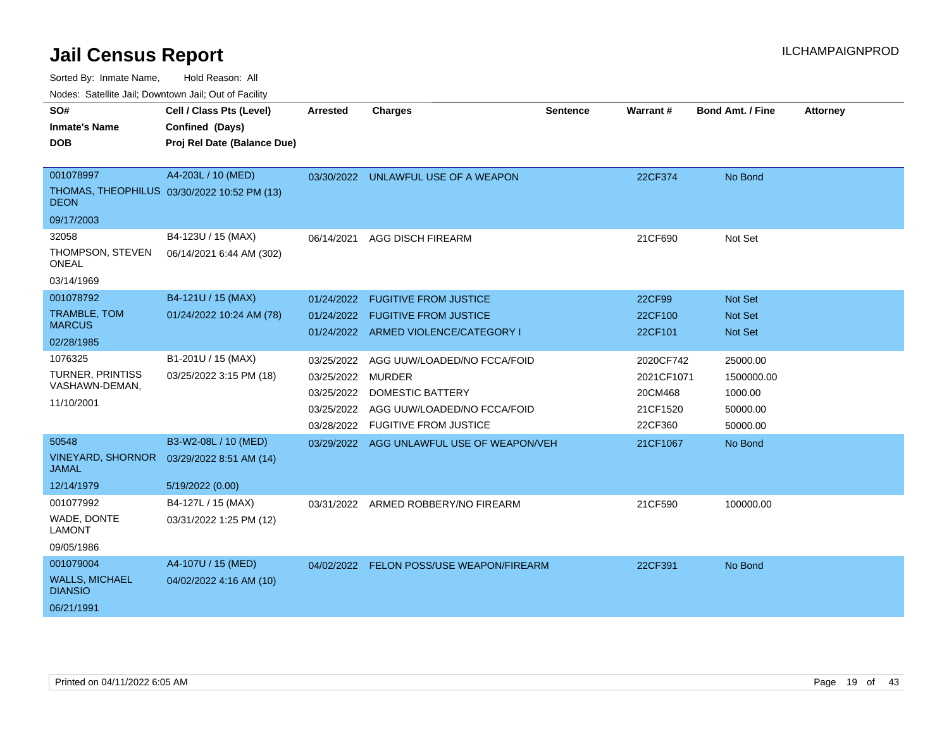Sorted By: Inmate Name, Hold Reason: All

Nodes: Satellite Jail; Downtown Jail; Out of Facility

| SO#                                      | Cell / Class Pts (Level)                    | <b>Arrested</b>   | <b>Charges</b>                            | <b>Sentence</b> | Warrant#   | <b>Bond Amt. / Fine</b> | <b>Attorney</b> |
|------------------------------------------|---------------------------------------------|-------------------|-------------------------------------------|-----------------|------------|-------------------------|-----------------|
| <b>Inmate's Name</b>                     | Confined (Days)                             |                   |                                           |                 |            |                         |                 |
| <b>DOB</b>                               | Proj Rel Date (Balance Due)                 |                   |                                           |                 |            |                         |                 |
|                                          |                                             |                   |                                           |                 |            |                         |                 |
| 001078997                                | A4-203L / 10 (MED)                          |                   | 03/30/2022 UNLAWFUL USE OF A WEAPON       |                 | 22CF374    | No Bond                 |                 |
| <b>DEON</b>                              | THOMAS, THEOPHILUS 03/30/2022 10:52 PM (13) |                   |                                           |                 |            |                         |                 |
| 09/17/2003                               |                                             |                   |                                           |                 |            |                         |                 |
| 32058                                    | B4-123U / 15 (MAX)                          | 06/14/2021        | <b>AGG DISCH FIREARM</b>                  |                 | 21CF690    | Not Set                 |                 |
| THOMPSON, STEVEN<br><b>ONEAL</b>         | 06/14/2021 6:44 AM (302)                    |                   |                                           |                 |            |                         |                 |
| 03/14/1969                               |                                             |                   |                                           |                 |            |                         |                 |
| 001078792                                | B4-121U / 15 (MAX)                          | 01/24/2022        | <b>FUGITIVE FROM JUSTICE</b>              |                 | 22CF99     | <b>Not Set</b>          |                 |
| <b>TRAMBLE, TOM</b>                      | 01/24/2022 10:24 AM (78)                    | 01/24/2022        | <b>FUGITIVE FROM JUSTICE</b>              |                 | 22CF100    | <b>Not Set</b>          |                 |
| <b>MARCUS</b>                            |                                             |                   | 01/24/2022 ARMED VIOLENCE/CATEGORY I      |                 | 22CF101    | <b>Not Set</b>          |                 |
| 02/28/1985                               |                                             |                   |                                           |                 |            |                         |                 |
| 1076325                                  | B1-201U / 15 (MAX)                          | 03/25/2022        | AGG UUW/LOADED/NO FCCA/FOID               |                 | 2020CF742  | 25000.00                |                 |
| TURNER, PRINTISS<br>VASHAWN-DEMAN,       | 03/25/2022 3:15 PM (18)                     | 03/25/2022 MURDER |                                           |                 | 2021CF1071 | 1500000.00              |                 |
| 11/10/2001                               |                                             | 03/25/2022        | DOMESTIC BATTERY                          |                 | 20CM468    | 1000.00                 |                 |
|                                          |                                             | 03/25/2022        | AGG UUW/LOADED/NO FCCA/FOID               |                 | 21CF1520   | 50000.00                |                 |
|                                          |                                             | 03/28/2022        | <b>FUGITIVE FROM JUSTICE</b>              |                 | 22CF360    | 50000.00                |                 |
| 50548                                    | B3-W2-08L / 10 (MED)                        |                   | 03/29/2022 AGG UNLAWFUL USE OF WEAPON/VEH |                 | 21CF1067   | No Bond                 |                 |
| <b>VINEYARD, SHORNOR</b><br><b>JAMAL</b> | 03/29/2022 8:51 AM (14)                     |                   |                                           |                 |            |                         |                 |
| 12/14/1979                               | 5/19/2022 (0.00)                            |                   |                                           |                 |            |                         |                 |
| 001077992                                | B4-127L / 15 (MAX)                          | 03/31/2022        | ARMED ROBBERY/NO FIREARM                  |                 | 21CF590    | 100000.00               |                 |
| WADE, DONTE<br><b>LAMONT</b>             | 03/31/2022 1:25 PM (12)                     |                   |                                           |                 |            |                         |                 |
| 09/05/1986                               |                                             |                   |                                           |                 |            |                         |                 |
| 001079004                                | A4-107U / 15 (MED)                          |                   | 04/02/2022 FELON POSS/USE WEAPON/FIREARM  |                 | 22CF391    | No Bond                 |                 |
| <b>WALLS, MICHAEL</b><br><b>DIANSIO</b>  | 04/02/2022 4:16 AM (10)                     |                   |                                           |                 |            |                         |                 |
| 06/21/1991                               |                                             |                   |                                           |                 |            |                         |                 |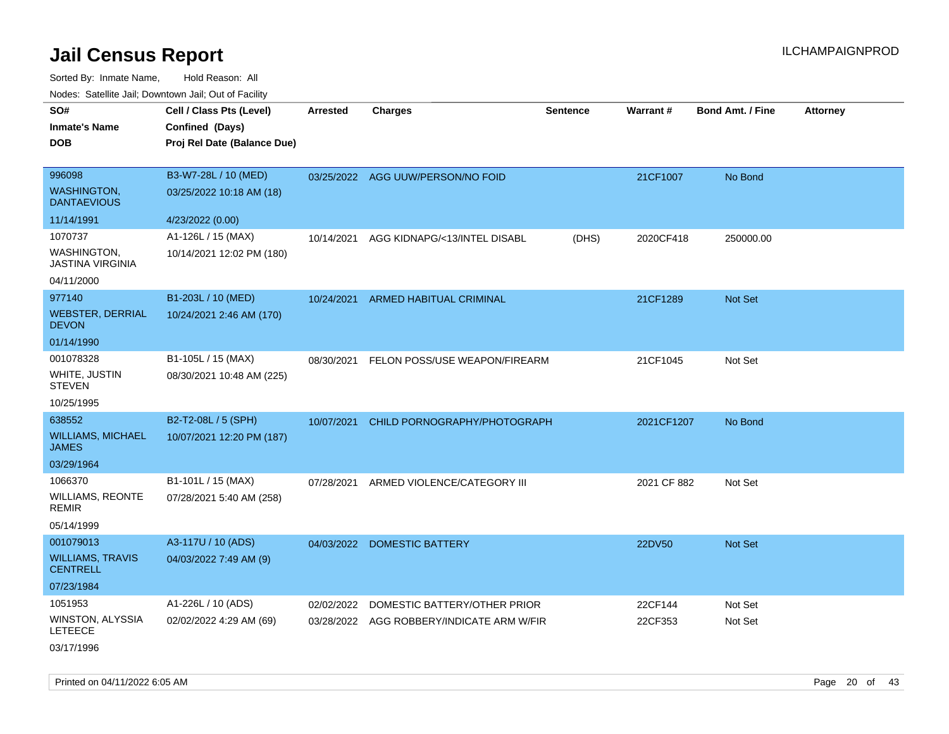| rouco. Calcinic Jan, Downtown Jan, Out of Facility             |                                                                            |                 |                                                                           |                 |                    |                         |                 |
|----------------------------------------------------------------|----------------------------------------------------------------------------|-----------------|---------------------------------------------------------------------------|-----------------|--------------------|-------------------------|-----------------|
| SO#<br>Inmate's Name<br>DOB                                    | Cell / Class Pts (Level)<br>Confined (Days)<br>Proj Rel Date (Balance Due) | <b>Arrested</b> | <b>Charges</b>                                                            | <b>Sentence</b> | <b>Warrant#</b>    | <b>Bond Amt. / Fine</b> | <b>Attorney</b> |
| 996098<br><b>WASHINGTON,</b><br><b>DANTAEVIOUS</b>             | B3-W7-28L / 10 (MED)<br>03/25/2022 10:18 AM (18)                           |                 | 03/25/2022 AGG UUW/PERSON/NO FOID                                         |                 | 21CF1007           | No Bond                 |                 |
| 11/14/1991                                                     | 4/23/2022 (0.00)                                                           |                 |                                                                           |                 |                    |                         |                 |
| 1070737<br>WASHINGTON.<br>JASTINA VIRGINIA                     | A1-126L / 15 (MAX)<br>10/14/2021 12:02 PM (180)                            | 10/14/2021      | AGG KIDNAPG/<13/INTEL DISABL                                              | (DHS)           | 2020CF418          | 250000.00               |                 |
| 04/11/2000                                                     |                                                                            |                 |                                                                           |                 |                    |                         |                 |
| 977140<br>WEBSTER, DERRIAL<br><b>DEVON</b>                     | B1-203L / 10 (MED)<br>10/24/2021 2:46 AM (170)                             | 10/24/2021      | ARMED HABITUAL CRIMINAL                                                   |                 | 21CF1289           | Not Set                 |                 |
| 01/14/1990                                                     |                                                                            |                 |                                                                           |                 |                    |                         |                 |
| 001078328<br>WHITE, JUSTIN<br>STEVEN                           | B1-105L / 15 (MAX)<br>08/30/2021 10:48 AM (225)                            | 08/30/2021      | FELON POSS/USE WEAPON/FIREARM                                             |                 | 21CF1045           | Not Set                 |                 |
| 10/25/1995                                                     |                                                                            |                 |                                                                           |                 |                    |                         |                 |
| 638552<br><b>WILLIAMS, MICHAEL</b><br>JAMES<br>03/29/1964      | B2-T2-08L / 5 (SPH)<br>10/07/2021 12:20 PM (187)                           | 10/07/2021      | CHILD PORNOGRAPHY/PHOTOGRAPH                                              |                 | 2021CF1207         | No Bond                 |                 |
| 1066370<br>WILLIAMS, REONTE<br>REMIR<br>05/14/1999             | B1-101L / 15 (MAX)<br>07/28/2021 5:40 AM (258)                             | 07/28/2021      | ARMED VIOLENCE/CATEGORY III                                               |                 | 2021 CF 882        | Not Set                 |                 |
| 001079013<br><b>WILLIAMS, TRAVIS</b><br>CENTRELL<br>07/23/1984 | A3-117U / 10 (ADS)<br>04/03/2022 7:49 AM (9)                               | 04/03/2022      | <b>DOMESTIC BATTERY</b>                                                   |                 | 22DV50             | <b>Not Set</b>          |                 |
| 1051953<br>WINSTON, ALYSSIA<br>LETEECE<br>03/17/1996           | A1-226L / 10 (ADS)<br>02/02/2022 4:29 AM (69)                              | 02/02/2022      | DOMESTIC BATTERY/OTHER PRIOR<br>03/28/2022 AGG ROBBERY/INDICATE ARM W/FIR |                 | 22CF144<br>22CF353 | Not Set<br>Not Set      |                 |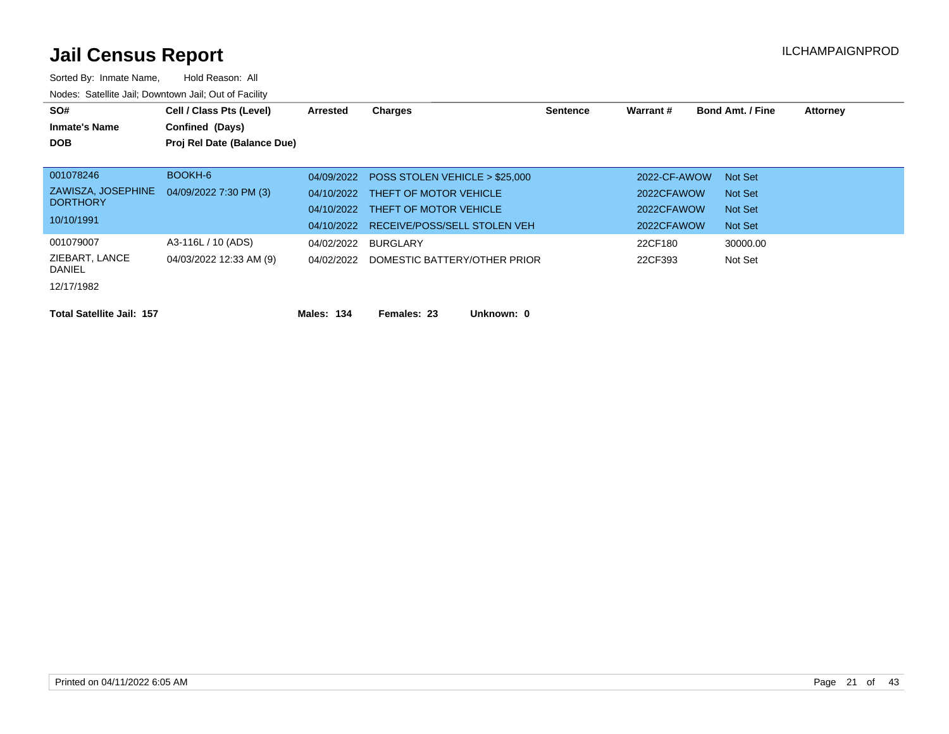| SO#<br><b>Inmate's Name</b><br><b>DOB</b>                                                      | Cell / Class Pts (Level)<br>Confined (Days)<br>Proj Rel Date (Balance Due) | Arrested                               | <b>Charges</b>                                                                                                                           | <b>Sentence</b> | Warrant#                                               | <b>Bond Amt. / Fine</b>                  | <b>Attorney</b> |
|------------------------------------------------------------------------------------------------|----------------------------------------------------------------------------|----------------------------------------|------------------------------------------------------------------------------------------------------------------------------------------|-----------------|--------------------------------------------------------|------------------------------------------|-----------------|
| 001078246<br>ZAWISZA, JOSEPHINE<br><b>DORTHORY</b><br>10/10/1991                               | BOOKH-6<br>04/09/2022 7:30 PM (3)                                          | 04/09/2022<br>04/10/2022               | POSS STOLEN VEHICLE > \$25,000<br>04/10/2022 THEFT OF MOTOR VEHICLE<br>04/10/2022 THEFT OF MOTOR VEHICLE<br>RECEIVE/POSS/SELL STOLEN VEH |                 | 2022-CF-AWOW<br>2022CFAWOW<br>2022CFAWOW<br>2022CFAWOW | Not Set<br>Not Set<br>Not Set<br>Not Set |                 |
| 001079007<br>ZIEBART, LANCE<br><b>DANIEL</b><br>12/17/1982<br><b>Total Satellite Jail: 157</b> | A3-116L / 10 (ADS)<br>04/03/2022 12:33 AM (9)                              | 04/02/2022<br>04/02/2022<br>Males: 134 | BURGLARY<br>DOMESTIC BATTERY/OTHER PRIOR<br>Unknown: 0<br>Females: 23                                                                    |                 | 22CF180<br>22CF393                                     | 30000.00<br>Not Set                      |                 |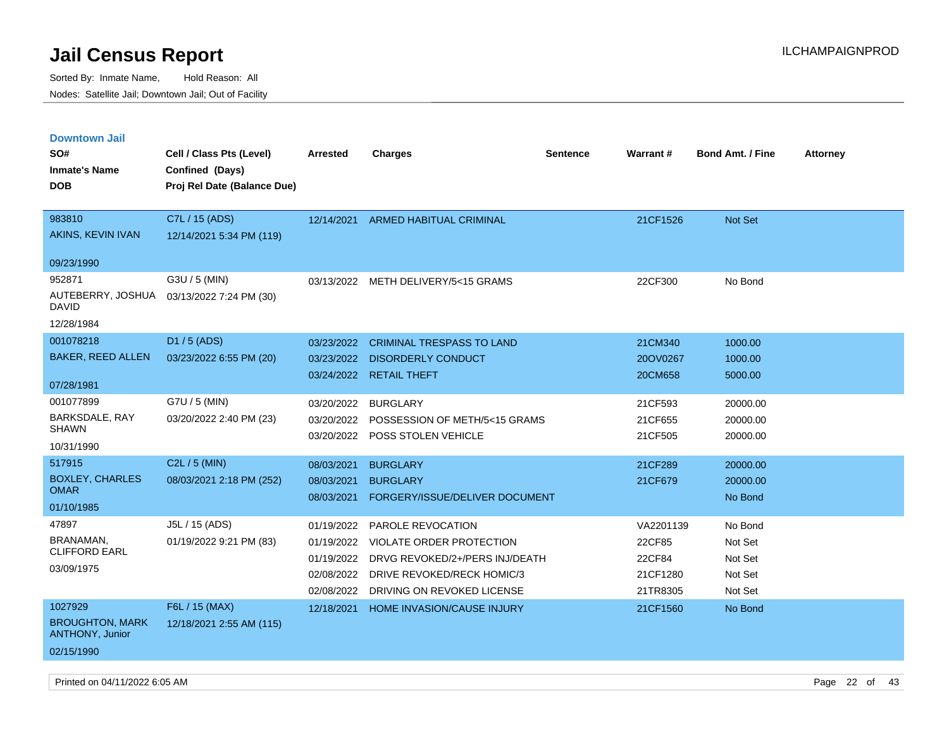| <b>Downtown Jail</b>                             |                             |            |                                     |                 |           |                         |                 |
|--------------------------------------------------|-----------------------------|------------|-------------------------------------|-----------------|-----------|-------------------------|-----------------|
| SO#                                              | Cell / Class Pts (Level)    | Arrested   | <b>Charges</b>                      | <b>Sentence</b> | Warrant#  | <b>Bond Amt. / Fine</b> | <b>Attorney</b> |
| <b>Inmate's Name</b>                             | Confined (Days)             |            |                                     |                 |           |                         |                 |
| <b>DOB</b>                                       | Proj Rel Date (Balance Due) |            |                                     |                 |           |                         |                 |
|                                                  |                             |            |                                     |                 |           |                         |                 |
| 983810                                           | C7L / 15 (ADS)              | 12/14/2021 | <b>ARMED HABITUAL CRIMINAL</b>      |                 | 21CF1526  | Not Set                 |                 |
| AKINS, KEVIN IVAN                                | 12/14/2021 5:34 PM (119)    |            |                                     |                 |           |                         |                 |
| 09/23/1990                                       |                             |            |                                     |                 |           |                         |                 |
| 952871                                           | G3U / 5 (MIN)               |            | 03/13/2022 METH DELIVERY/5<15 GRAMS |                 | 22CF300   | No Bond                 |                 |
| AUTEBERRY, JOSHUA<br><b>DAVID</b>                | 03/13/2022 7:24 PM (30)     |            |                                     |                 |           |                         |                 |
| 12/28/1984                                       |                             |            |                                     |                 |           |                         |                 |
| 001078218                                        | D1 / 5 (ADS)                | 03/23/2022 | <b>CRIMINAL TRESPASS TO LAND</b>    |                 | 21CM340   | 1000.00                 |                 |
| <b>BAKER, REED ALLEN</b>                         | 03/23/2022 6:55 PM (20)     | 03/23/2022 | <b>DISORDERLY CONDUCT</b>           |                 | 20OV0267  | 1000.00                 |                 |
|                                                  |                             |            | 03/24/2022 RETAIL THEFT             |                 | 20CM658   | 5000.00                 |                 |
| 07/28/1981                                       |                             |            |                                     |                 |           |                         |                 |
| 001077899                                        | G7U / 5 (MIN)               | 03/20/2022 | <b>BURGLARY</b>                     |                 | 21CF593   | 20000.00                |                 |
| BARKSDALE, RAY<br><b>SHAWN</b>                   | 03/20/2022 2:40 PM (23)     | 03/20/2022 | POSSESSION OF METH/5<15 GRAMS       |                 | 21CF655   | 20000.00                |                 |
| 10/31/1990                                       |                             |            | 03/20/2022 POSS STOLEN VEHICLE      |                 | 21CF505   | 20000.00                |                 |
| 517915                                           | $C2L / 5$ (MIN)             |            |                                     |                 |           |                         |                 |
| <b>BOXLEY, CHARLES</b>                           |                             | 08/03/2021 | <b>BURGLARY</b>                     |                 | 21CF289   | 20000.00                |                 |
| <b>OMAR</b>                                      | 08/03/2021 2:18 PM (252)    | 08/03/2021 | <b>BURGLARY</b>                     |                 | 21CF679   | 20000.00                |                 |
| 01/10/1985                                       |                             | 08/03/2021 | FORGERY/ISSUE/DELIVER DOCUMENT      |                 |           | No Bond                 |                 |
| 47897                                            | J5L / 15 (ADS)              | 01/19/2022 | <b>PAROLE REVOCATION</b>            |                 | VA2201139 | No Bond                 |                 |
| BRANAMAN,                                        | 01/19/2022 9:21 PM (83)     | 01/19/2022 | <b>VIOLATE ORDER PROTECTION</b>     |                 | 22CF85    | Not Set                 |                 |
| <b>CLIFFORD EARL</b>                             |                             | 01/19/2022 | DRVG REVOKED/2+/PERS INJ/DEATH      |                 | 22CF84    | Not Set                 |                 |
| 03/09/1975                                       |                             | 02/08/2022 | DRIVE REVOKED/RECK HOMIC/3          |                 | 21CF1280  | Not Set                 |                 |
|                                                  |                             | 02/08/2022 | DRIVING ON REVOKED LICENSE          |                 | 21TR8305  | Not Set                 |                 |
| 1027929                                          | F6L / 15 (MAX)              | 12/18/2021 | HOME INVASION/CAUSE INJURY          |                 | 21CF1560  | No Bond                 |                 |
| <b>BROUGHTON, MARK</b><br><b>ANTHONY, Junior</b> | 12/18/2021 2:55 AM (115)    |            |                                     |                 |           |                         |                 |
| 02/15/1990                                       |                             |            |                                     |                 |           |                         |                 |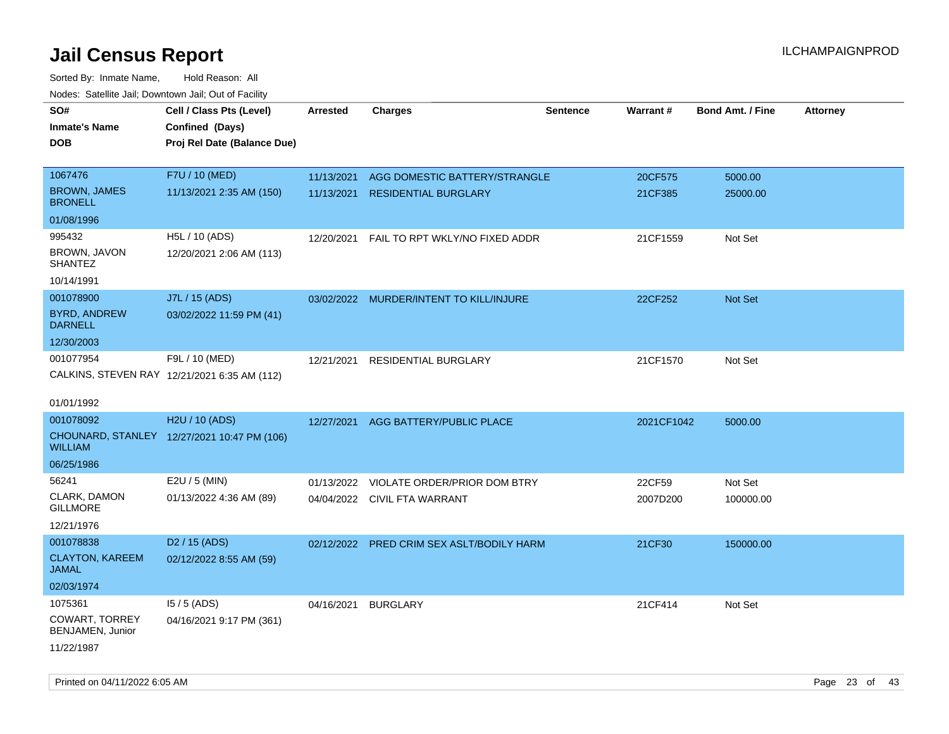| roaco. Catolino dall, Downtown dall, Out of Fability |                                              |                 |                                           |                 |                 |                         |                 |
|------------------------------------------------------|----------------------------------------------|-----------------|-------------------------------------------|-----------------|-----------------|-------------------------|-----------------|
| SO#                                                  | Cell / Class Pts (Level)                     | <b>Arrested</b> | <b>Charges</b>                            | <b>Sentence</b> | <b>Warrant#</b> | <b>Bond Amt. / Fine</b> | <b>Attorney</b> |
| <b>Inmate's Name</b>                                 | Confined (Days)                              |                 |                                           |                 |                 |                         |                 |
| <b>DOB</b>                                           | Proj Rel Date (Balance Due)                  |                 |                                           |                 |                 |                         |                 |
|                                                      |                                              |                 |                                           |                 |                 |                         |                 |
| 1067476                                              | F7U / 10 (MED)                               | 11/13/2021      | AGG DOMESTIC BATTERY/STRANGLE             |                 | 20CF575         | 5000.00                 |                 |
| <b>BROWN, JAMES</b><br><b>BRONELL</b>                | 11/13/2021 2:35 AM (150)                     | 11/13/2021      | <b>RESIDENTIAL BURGLARY</b>               |                 | 21CF385         | 25000.00                |                 |
| 01/08/1996                                           |                                              |                 |                                           |                 |                 |                         |                 |
| 995432                                               | H5L / 10 (ADS)                               | 12/20/2021      | FAIL TO RPT WKLY/NO FIXED ADDR            |                 | 21CF1559        | Not Set                 |                 |
| BROWN, JAVON<br><b>SHANTEZ</b>                       | 12/20/2021 2:06 AM (113)                     |                 |                                           |                 |                 |                         |                 |
| 10/14/1991                                           |                                              |                 |                                           |                 |                 |                         |                 |
| 001078900                                            | J7L / 15 (ADS)                               |                 | 03/02/2022 MURDER/INTENT TO KILL/INJURE   |                 | 22CF252         | Not Set                 |                 |
| <b>BYRD, ANDREW</b><br><b>DARNELL</b>                | 03/02/2022 11:59 PM (41)                     |                 |                                           |                 |                 |                         |                 |
| 12/30/2003                                           |                                              |                 |                                           |                 |                 |                         |                 |
| 001077954                                            | F9L / 10 (MED)                               | 12/21/2021      | RESIDENTIAL BURGLARY                      |                 | 21CF1570        | Not Set                 |                 |
|                                                      | CALKINS, STEVEN RAY 12/21/2021 6:35 AM (112) |                 |                                           |                 |                 |                         |                 |
|                                                      |                                              |                 |                                           |                 |                 |                         |                 |
| 01/01/1992                                           |                                              |                 |                                           |                 |                 |                         |                 |
| 001078092                                            | H2U / 10 (ADS)                               | 12/27/2021      | AGG BATTERY/PUBLIC PLACE                  |                 | 2021CF1042      | 5000.00                 |                 |
| WILLIAM                                              | CHOUNARD, STANLEY 12/27/2021 10:47 PM (106)  |                 |                                           |                 |                 |                         |                 |
| 06/25/1986                                           |                                              |                 |                                           |                 |                 |                         |                 |
| 56241                                                | E2U / 5 (MIN)                                | 01/13/2022      | VIOLATE ORDER/PRIOR DOM BTRY              |                 | 22CF59          | Not Set                 |                 |
| CLARK, DAMON<br><b>GILLMORE</b>                      | 01/13/2022 4:36 AM (89)                      |                 | 04/04/2022 CIVIL FTA WARRANT              |                 | 2007D200        | 100000.00               |                 |
| 12/21/1976                                           |                                              |                 |                                           |                 |                 |                         |                 |
| 001078838                                            | D <sub>2</sub> / 15 (ADS)                    |                 | 02/12/2022 PRED CRIM SEX ASLT/BODILY HARM |                 | 21CF30          | 150000.00               |                 |
| <b>CLAYTON, KAREEM</b><br>JAMAL                      | 02/12/2022 8:55 AM (59)                      |                 |                                           |                 |                 |                         |                 |
| 02/03/1974                                           |                                              |                 |                                           |                 |                 |                         |                 |
| 1075361                                              | $15/5$ (ADS)                                 | 04/16/2021      | <b>BURGLARY</b>                           |                 | 21CF414         | Not Set                 |                 |
| <b>COWART, TORREY</b><br>BENJAMEN, Junior            | 04/16/2021 9:17 PM (361)                     |                 |                                           |                 |                 |                         |                 |
| 11/22/1987                                           |                                              |                 |                                           |                 |                 |                         |                 |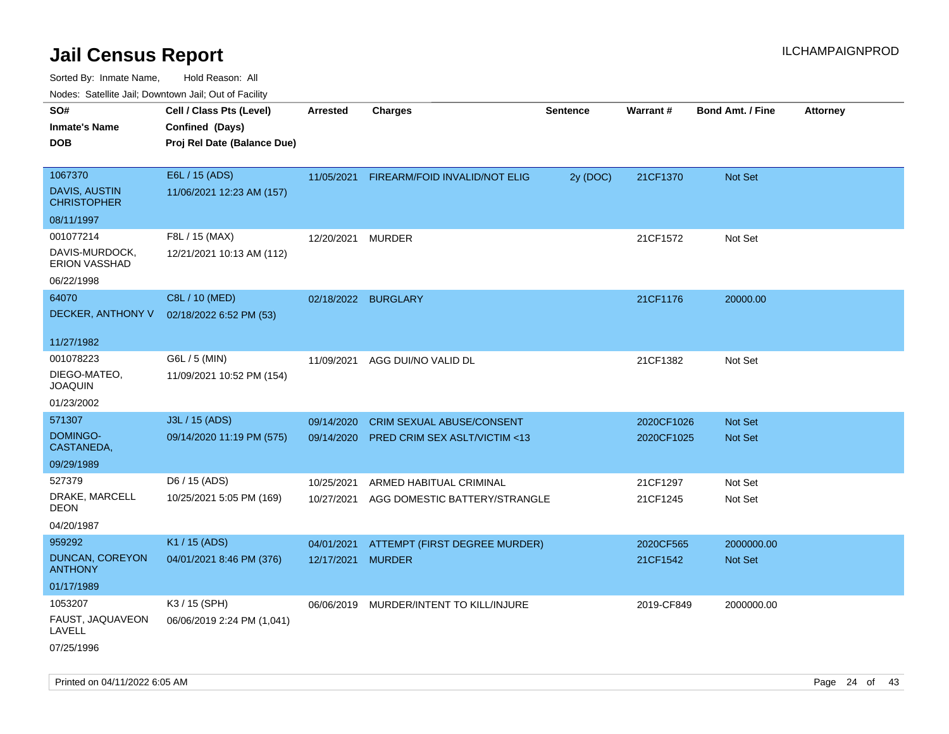| Noues. Sateme Jan, Downtown Jan, Out or Facility |                             |                   |                                  |                 |            |                         |          |
|--------------------------------------------------|-----------------------------|-------------------|----------------------------------|-----------------|------------|-------------------------|----------|
| SO#                                              | Cell / Class Pts (Level)    | <b>Arrested</b>   | <b>Charges</b>                   | <b>Sentence</b> | Warrant#   | <b>Bond Amt. / Fine</b> | Attorney |
| <b>Inmate's Name</b>                             | Confined (Days)             |                   |                                  |                 |            |                         |          |
| <b>DOB</b>                                       | Proj Rel Date (Balance Due) |                   |                                  |                 |            |                         |          |
|                                                  |                             |                   |                                  |                 |            |                         |          |
| 1067370                                          | E6L / 15 (ADS)              | 11/05/2021        | FIREARM/FOID INVALID/NOT ELIG    | 2y (DOC)        | 21CF1370   | Not Set                 |          |
| <b>DAVIS, AUSTIN</b><br><b>CHRISTOPHER</b>       | 11/06/2021 12:23 AM (157)   |                   |                                  |                 |            |                         |          |
| 08/11/1997                                       |                             |                   |                                  |                 |            |                         |          |
| 001077214                                        | F8L / 15 (MAX)              | 12/20/2021        | <b>MURDER</b>                    |                 | 21CF1572   | Not Set                 |          |
| DAVIS-MURDOCK,<br><b>ERION VASSHAD</b>           | 12/21/2021 10:13 AM (112)   |                   |                                  |                 |            |                         |          |
| 06/22/1998                                       |                             |                   |                                  |                 |            |                         |          |
| 64070                                            | C8L / 10 (MED)              |                   | 02/18/2022 BURGLARY              |                 | 21CF1176   | 20000.00                |          |
| DECKER, ANTHONY V                                | 02/18/2022 6:52 PM (53)     |                   |                                  |                 |            |                         |          |
|                                                  |                             |                   |                                  |                 |            |                         |          |
| 11/27/1982                                       |                             |                   |                                  |                 |            |                         |          |
| 001078223                                        | G6L / 5 (MIN)               | 11/09/2021        | AGG DUI/NO VALID DL              |                 | 21CF1382   | Not Set                 |          |
| DIEGO-MATEO,<br><b>JOAQUIN</b>                   | 11/09/2021 10:52 PM (154)   |                   |                                  |                 |            |                         |          |
| 01/23/2002                                       |                             |                   |                                  |                 |            |                         |          |
| 571307                                           | J3L / 15 (ADS)              | 09/14/2020        | <b>CRIM SEXUAL ABUSE/CONSENT</b> |                 | 2020CF1026 | Not Set                 |          |
| DOMINGO-<br>CASTANEDA,                           | 09/14/2020 11:19 PM (575)   | 09/14/2020        | PRED CRIM SEX ASLT/VICTIM <13    |                 | 2020CF1025 | <b>Not Set</b>          |          |
| 09/29/1989                                       |                             |                   |                                  |                 |            |                         |          |
| 527379                                           | D6 / 15 (ADS)               | 10/25/2021        | ARMED HABITUAL CRIMINAL          |                 | 21CF1297   | Not Set                 |          |
| DRAKE, MARCELL<br><b>DEON</b>                    | 10/25/2021 5:05 PM (169)    | 10/27/2021        | AGG DOMESTIC BATTERY/STRANGLE    |                 | 21CF1245   | Not Set                 |          |
| 04/20/1987                                       |                             |                   |                                  |                 |            |                         |          |
| 959292                                           | K1 / 15 (ADS)               | 04/01/2021        | ATTEMPT (FIRST DEGREE MURDER)    |                 | 2020CF565  | 2000000.00              |          |
| <b>DUNCAN, COREYON</b><br><b>ANTHONY</b>         | 04/01/2021 8:46 PM (376)    | 12/17/2021 MURDER |                                  |                 | 21CF1542   | <b>Not Set</b>          |          |
| 01/17/1989                                       |                             |                   |                                  |                 |            |                         |          |
| 1053207                                          | K3 / 15 (SPH)               | 06/06/2019        | MURDER/INTENT TO KILL/INJURE     |                 | 2019-CF849 | 2000000.00              |          |
| FAUST, JAQUAVEON<br>LAVELL                       | 06/06/2019 2:24 PM (1,041)  |                   |                                  |                 |            |                         |          |
| 07/25/1996                                       |                             |                   |                                  |                 |            |                         |          |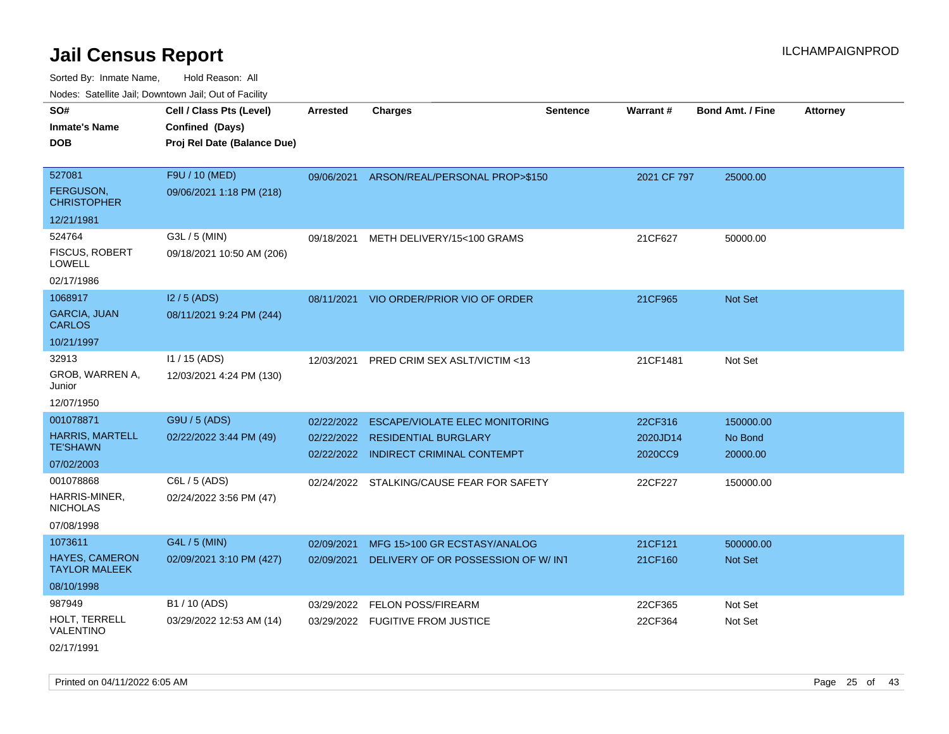| SO#                                           | Cell / Class Pts (Level)    | <b>Arrested</b> | <b>Charges</b>                            | <b>Sentence</b> | Warrant#    | <b>Bond Amt. / Fine</b> | <b>Attorney</b> |
|-----------------------------------------------|-----------------------------|-----------------|-------------------------------------------|-----------------|-------------|-------------------------|-----------------|
| <b>Inmate's Name</b>                          | Confined (Days)             |                 |                                           |                 |             |                         |                 |
| <b>DOB</b>                                    | Proj Rel Date (Balance Due) |                 |                                           |                 |             |                         |                 |
|                                               |                             |                 |                                           |                 |             |                         |                 |
| 527081                                        | F9U / 10 (MED)              |                 | 09/06/2021 ARSON/REAL/PERSONAL PROP>\$150 |                 | 2021 CF 797 | 25000.00                |                 |
| FERGUSON,<br><b>CHRISTOPHER</b>               | 09/06/2021 1:18 PM (218)    |                 |                                           |                 |             |                         |                 |
| 12/21/1981                                    |                             |                 |                                           |                 |             |                         |                 |
| 524764                                        | G3L / 5 (MIN)               | 09/18/2021      | METH DELIVERY/15<100 GRAMS                |                 | 21CF627     | 50000.00                |                 |
| FISCUS, ROBERT<br><b>LOWELL</b>               | 09/18/2021 10:50 AM (206)   |                 |                                           |                 |             |                         |                 |
| 02/17/1986                                    |                             |                 |                                           |                 |             |                         |                 |
| 1068917                                       | $12/5$ (ADS)                |                 | 08/11/2021 VIO ORDER/PRIOR VIO OF ORDER   |                 | 21CF965     | Not Set                 |                 |
| <b>GARCIA, JUAN</b><br><b>CARLOS</b>          | 08/11/2021 9:24 PM (244)    |                 |                                           |                 |             |                         |                 |
| 10/21/1997                                    |                             |                 |                                           |                 |             |                         |                 |
| 32913                                         | $11 / 15$ (ADS)             | 12/03/2021      | PRED CRIM SEX ASLT/VICTIM <13             |                 | 21CF1481    | Not Set                 |                 |
| GROB, WARREN A,<br>Junior                     | 12/03/2021 4:24 PM (130)    |                 |                                           |                 |             |                         |                 |
| 12/07/1950                                    |                             |                 |                                           |                 |             |                         |                 |
| 001078871                                     | G9U / 5 (ADS)               | 02/22/2022      | <b>ESCAPE/VIOLATE ELEC MONITORING</b>     |                 | 22CF316     | 150000.00               |                 |
| <b>HARRIS, MARTELL</b>                        | 02/22/2022 3:44 PM (49)     |                 | 02/22/2022 RESIDENTIAL BURGLARY           |                 | 2020JD14    | No Bond                 |                 |
| <b>TE'SHAWN</b>                               |                             |                 | 02/22/2022 INDIRECT CRIMINAL CONTEMPT     |                 | 2020CC9     | 20000.00                |                 |
| 07/02/2003                                    |                             |                 |                                           |                 |             |                         |                 |
| 001078868                                     | C6L / 5 (ADS)               |                 | 02/24/2022 STALKING/CAUSE FEAR FOR SAFETY |                 | 22CF227     | 150000.00               |                 |
| HARRIS-MINER,<br><b>NICHOLAS</b>              | 02/24/2022 3:56 PM (47)     |                 |                                           |                 |             |                         |                 |
| 07/08/1998                                    |                             |                 |                                           |                 |             |                         |                 |
| 1073611                                       | G4L / 5 (MIN)               | 02/09/2021      | MFG 15>100 GR ECSTASY/ANALOG              |                 | 21CF121     | 500000.00               |                 |
| <b>HAYES, CAMERON</b><br><b>TAYLOR MALEEK</b> | 02/09/2021 3:10 PM (427)    | 02/09/2021      | DELIVERY OF OR POSSESSION OF W/ INT       |                 | 21CF160     | Not Set                 |                 |
| 08/10/1998                                    |                             |                 |                                           |                 |             |                         |                 |
| 987949                                        | B1 / 10 (ADS)               | 03/29/2022      | <b>FELON POSS/FIREARM</b>                 |                 | 22CF365     | Not Set                 |                 |
| HOLT, TERRELL<br>VALENTINO                    | 03/29/2022 12:53 AM (14)    |                 | 03/29/2022 FUGITIVE FROM JUSTICE          |                 | 22CF364     | Not Set                 |                 |
| 02/17/1991                                    |                             |                 |                                           |                 |             |                         |                 |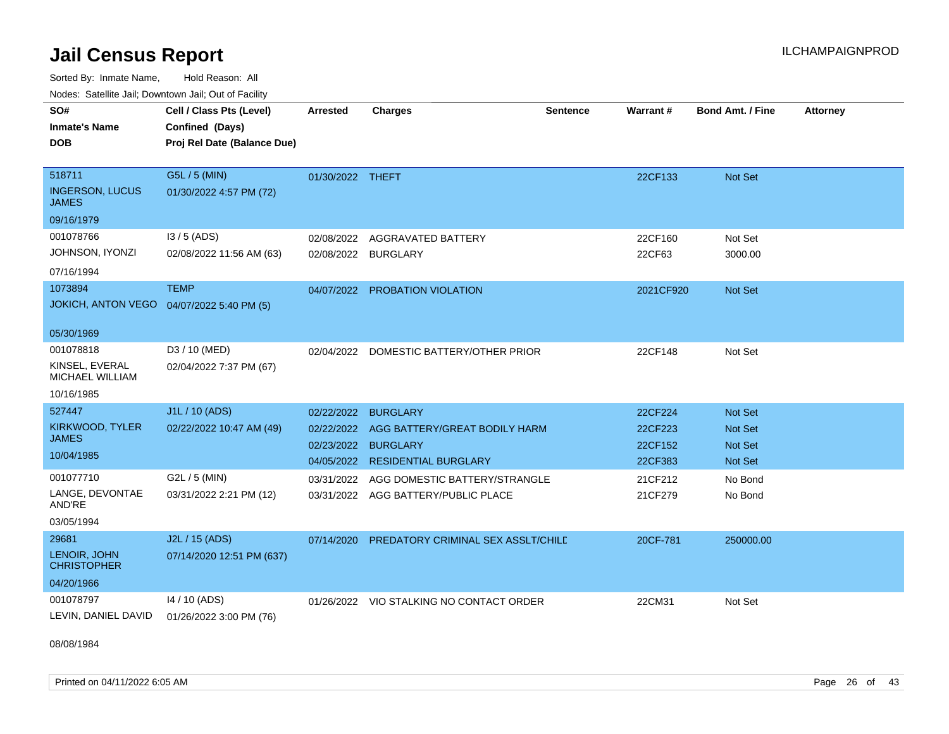Sorted By: Inmate Name, Hold Reason: All

|  |  |  | Nodes: Satellite Jail; Downtown Jail; Out of Facility |  |
|--|--|--|-------------------------------------------------------|--|
|--|--|--|-------------------------------------------------------|--|

| SO#<br><b>Inmate's Name</b>                | Cell / Class Pts (Level)<br>Confined (Days) | <b>Arrested</b>     | <b>Charges</b>                           | <b>Sentence</b> | Warrant#  | <b>Bond Amt. / Fine</b> | <b>Attorney</b> |
|--------------------------------------------|---------------------------------------------|---------------------|------------------------------------------|-----------------|-----------|-------------------------|-----------------|
| <b>DOB</b>                                 | Proj Rel Date (Balance Due)                 |                     |                                          |                 |           |                         |                 |
|                                            |                                             |                     |                                          |                 |           |                         |                 |
| 518711                                     | G5L / 5 (MIN)                               | 01/30/2022 THEFT    |                                          |                 | 22CF133   | Not Set                 |                 |
| <b>INGERSON, LUCUS</b><br><b>JAMES</b>     | 01/30/2022 4:57 PM (72)                     |                     |                                          |                 |           |                         |                 |
| 09/16/1979                                 |                                             |                     |                                          |                 |           |                         |                 |
| 001078766                                  | $13/5$ (ADS)                                | 02/08/2022          | AGGRAVATED BATTERY                       |                 | 22CF160   | Not Set                 |                 |
| JOHNSON, IYONZI                            | 02/08/2022 11:56 AM (63)                    | 02/08/2022 BURGLARY |                                          |                 | 22CF63    | 3000.00                 |                 |
| 07/16/1994                                 |                                             |                     |                                          |                 |           |                         |                 |
| 1073894                                    | <b>TEMP</b>                                 |                     | 04/07/2022 PROBATION VIOLATION           |                 | 2021CF920 | Not Set                 |                 |
| JOKICH, ANTON VEGO  04/07/2022 5:40 PM (5) |                                             |                     |                                          |                 |           |                         |                 |
| 05/30/1969                                 |                                             |                     |                                          |                 |           |                         |                 |
| 001078818                                  | D3 / 10 (MED)                               |                     | 02/04/2022 DOMESTIC BATTERY/OTHER PRIOR  |                 | 22CF148   | Not Set                 |                 |
| KINSEL, EVERAL<br><b>MICHAEL WILLIAM</b>   | 02/04/2022 7:37 PM (67)                     |                     |                                          |                 |           |                         |                 |
| 10/16/1985                                 |                                             |                     |                                          |                 |           |                         |                 |
| 527447                                     | J1L / 10 (ADS)                              | 02/22/2022          | <b>BURGLARY</b>                          |                 | 22CF224   | Not Set                 |                 |
| KIRKWOOD, TYLER<br><b>JAMES</b>            | 02/22/2022 10:47 AM (49)                    | 02/22/2022          | AGG BATTERY/GREAT BODILY HARM            |                 | 22CF223   | <b>Not Set</b>          |                 |
| 10/04/1985                                 |                                             | 02/23/2022 BURGLARY |                                          |                 | 22CF152   | <b>Not Set</b>          |                 |
|                                            |                                             | 04/05/2022          | <b>RESIDENTIAL BURGLARY</b>              |                 | 22CF383   | <b>Not Set</b>          |                 |
| 001077710                                  | G2L / 5 (MIN)                               | 03/31/2022          | AGG DOMESTIC BATTERY/STRANGLE            |                 | 21CF212   | No Bond                 |                 |
| LANGE, DEVONTAE<br>AND'RE                  | 03/31/2022 2:21 PM (12)                     |                     | 03/31/2022 AGG BATTERY/PUBLIC PLACE      |                 | 21CF279   | No Bond                 |                 |
| 03/05/1994                                 |                                             |                     |                                          |                 |           |                         |                 |
| 29681                                      | J2L / 15 (ADS)                              | 07/14/2020          | PREDATORY CRIMINAL SEX ASSLT/CHILE       |                 | 20CF-781  | 250000.00               |                 |
| LENOIR, JOHN<br><b>CHRISTOPHER</b>         | 07/14/2020 12:51 PM (637)                   |                     |                                          |                 |           |                         |                 |
| 04/20/1966                                 |                                             |                     |                                          |                 |           |                         |                 |
| 001078797                                  | 14 / 10 (ADS)                               |                     | 01/26/2022 VIO STALKING NO CONTACT ORDER |                 | 22CM31    | Not Set                 |                 |
| LEVIN, DANIEL DAVID                        | 01/26/2022 3:00 PM (76)                     |                     |                                          |                 |           |                         |                 |

08/08/1984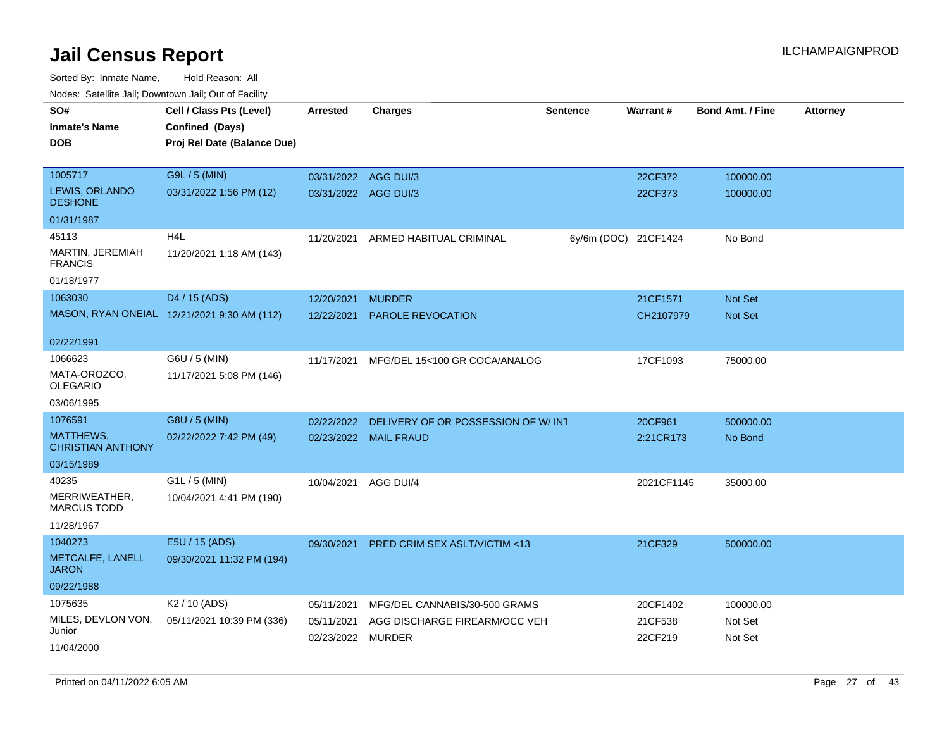| roacs. Catellite Jall, Downtown Jall, Out of Facility |                                                                            |                                 |                                         |                      |                    |                         |                 |
|-------------------------------------------------------|----------------------------------------------------------------------------|---------------------------------|-----------------------------------------|----------------------|--------------------|-------------------------|-----------------|
| SO#<br><b>Inmate's Name</b><br><b>DOB</b>             | Cell / Class Pts (Level)<br>Confined (Days)<br>Proj Rel Date (Balance Due) | <b>Arrested</b>                 | <b>Charges</b>                          | <b>Sentence</b>      | Warrant#           | <b>Bond Amt. / Fine</b> | <b>Attorney</b> |
| 1005717                                               | G9L / 5 (MIN)                                                              | 03/31/2022 AGG DUI/3            |                                         |                      | 22CF372            | 100000.00               |                 |
| LEWIS, ORLANDO<br><b>DESHONE</b>                      | 03/31/2022 1:56 PM (12)                                                    | 03/31/2022 AGG DUI/3            |                                         |                      | 22CF373            | 100000.00               |                 |
| 01/31/1987                                            |                                                                            |                                 |                                         |                      |                    |                         |                 |
| 45113                                                 | H <sub>4</sub> L                                                           | 11/20/2021                      | ARMED HABITUAL CRIMINAL                 | 6y/6m (DOC) 21CF1424 |                    | No Bond                 |                 |
| MARTIN, JEREMIAH<br><b>FRANCIS</b>                    | 11/20/2021 1:18 AM (143)                                                   |                                 |                                         |                      |                    |                         |                 |
| 01/18/1977                                            |                                                                            |                                 |                                         |                      |                    |                         |                 |
| 1063030                                               | D4 / 15 (ADS)                                                              | 12/20/2021                      | <b>MURDER</b>                           |                      | 21CF1571           | <b>Not Set</b>          |                 |
|                                                       | MASON, RYAN ONEIAL 12/21/2021 9:30 AM (112)                                | 12/22/2021                      | <b>PAROLE REVOCATION</b>                |                      | CH2107979          | Not Set                 |                 |
| 02/22/1991                                            |                                                                            |                                 |                                         |                      |                    |                         |                 |
| 1066623<br>MATA-OROZCO,<br><b>OLEGARIO</b>            | G6U / 5 (MIN)<br>11/17/2021 5:08 PM (146)                                  | 11/17/2021                      | MFG/DEL 15<100 GR COCA/ANALOG           |                      | 17CF1093           | 75000.00                |                 |
| 03/06/1995                                            |                                                                            |                                 |                                         |                      |                    |                         |                 |
| 1076591                                               | G8U / 5 (MIN)                                                              | 02/22/2022                      | DELIVERY OF OR POSSESSION OF W/INT      |                      | 20CF961            | 500000.00               |                 |
| <b>MATTHEWS,</b><br><b>CHRISTIAN ANTHONY</b>          | 02/22/2022 7:42 PM (49)                                                    |                                 | 02/23/2022 MAIL FRAUD                   |                      | 2:21CR173          | No Bond                 |                 |
| 03/15/1989                                            |                                                                            |                                 |                                         |                      |                    |                         |                 |
| 40235                                                 | G1L / 5 (MIN)                                                              | 10/04/2021                      | AGG DUI/4                               |                      | 2021CF1145         | 35000.00                |                 |
| MERRIWEATHER,<br><b>MARCUS TODD</b>                   | 10/04/2021 4:41 PM (190)                                                   |                                 |                                         |                      |                    |                         |                 |
| 11/28/1967                                            |                                                                            |                                 |                                         |                      |                    |                         |                 |
| 1040273                                               | E5U / 15 (ADS)                                                             | 09/30/2021                      | <b>PRED CRIM SEX ASLT/VICTIM &lt;13</b> |                      | 21CF329            | 500000.00               |                 |
| METCALFE, LANELL<br><b>JARON</b>                      | 09/30/2021 11:32 PM (194)                                                  |                                 |                                         |                      |                    |                         |                 |
| 09/22/1988                                            |                                                                            |                                 |                                         |                      |                    |                         |                 |
| 1075635                                               | K <sub>2</sub> / 10 (ADS)                                                  | 05/11/2021                      | MFG/DEL CANNABIS/30-500 GRAMS           |                      | 20CF1402           | 100000.00               |                 |
| MILES, DEVLON VON,<br>Junior                          | 05/11/2021 10:39 PM (336)                                                  | 05/11/2021<br>02/23/2022 MURDER | AGG DISCHARGE FIREARM/OCC VEH           |                      | 21CF538<br>22CF219 | Not Set<br>Not Set      |                 |
| 11/04/2000                                            |                                                                            |                                 |                                         |                      |                    |                         |                 |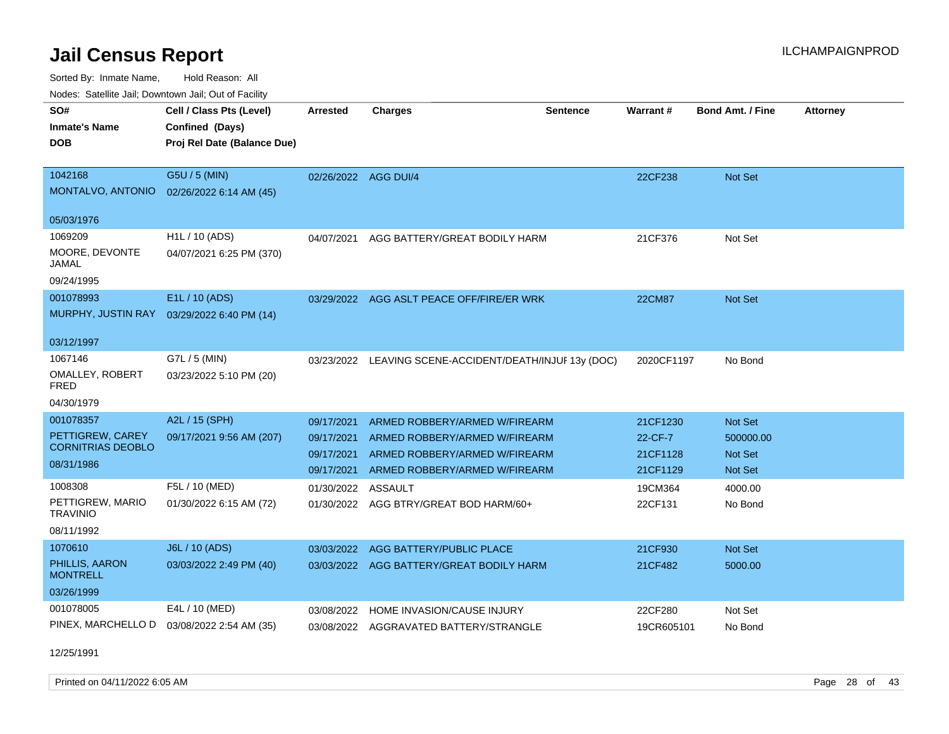Sorted By: Inmate Name, Hold Reason: All Nodes: Satellite Jail; Downtown Jail; Out of Facility

| roues. Salellite Jali, Downtown Jali, Out of Facility |                             |                      |                                              |                 |                 |                         |                 |
|-------------------------------------------------------|-----------------------------|----------------------|----------------------------------------------|-----------------|-----------------|-------------------------|-----------------|
| SO#                                                   | Cell / Class Pts (Level)    | <b>Arrested</b>      | <b>Charges</b>                               | <b>Sentence</b> | <b>Warrant#</b> | <b>Bond Amt. / Fine</b> | <b>Attorney</b> |
| <b>Inmate's Name</b>                                  | Confined (Days)             |                      |                                              |                 |                 |                         |                 |
| <b>DOB</b>                                            | Proj Rel Date (Balance Due) |                      |                                              |                 |                 |                         |                 |
|                                                       |                             |                      |                                              |                 |                 |                         |                 |
| 1042168                                               | G5U / 5 (MIN)               | 02/26/2022 AGG DUI/4 |                                              |                 | 22CF238         | Not Set                 |                 |
| MONTALVO, ANTONIO                                     | 02/26/2022 6:14 AM (45)     |                      |                                              |                 |                 |                         |                 |
| 05/03/1976                                            |                             |                      |                                              |                 |                 |                         |                 |
| 1069209                                               | H1L / 10 (ADS)              | 04/07/2021           | AGG BATTERY/GREAT BODILY HARM                |                 | 21CF376         | Not Set                 |                 |
| MOORE, DEVONTE<br>JAMAL                               | 04/07/2021 6:25 PM (370)    |                      |                                              |                 |                 |                         |                 |
| 09/24/1995                                            |                             |                      |                                              |                 |                 |                         |                 |
| 001078993                                             | E1L / 10 (ADS)              |                      | 03/29/2022 AGG ASLT PEACE OFF/FIRE/ER WRK    |                 | 22CM87          | <b>Not Set</b>          |                 |
| MURPHY, JUSTIN RAY                                    | 03/29/2022 6:40 PM (14)     |                      |                                              |                 |                 |                         |                 |
|                                                       |                             |                      |                                              |                 |                 |                         |                 |
| 03/12/1997                                            |                             |                      |                                              |                 |                 |                         |                 |
| 1067146                                               | G7L / 5 (MIN)               | 03/23/2022           | LEAVING SCENE-ACCIDENT/DEATH/INJUF 13y (DOC) |                 | 2020CF1197      | No Bond                 |                 |
| OMALLEY, ROBERT<br>FRED                               | 03/23/2022 5:10 PM (20)     |                      |                                              |                 |                 |                         |                 |
| 04/30/1979                                            |                             |                      |                                              |                 |                 |                         |                 |
| 001078357                                             | A2L / 15 (SPH)              | 09/17/2021           | ARMED ROBBERY/ARMED W/FIREARM                |                 | 21CF1230        | <b>Not Set</b>          |                 |
| PETTIGREW, CAREY                                      | 09/17/2021 9:56 AM (207)    | 09/17/2021           | ARMED ROBBERY/ARMED W/FIREARM                |                 | 22-CF-7         | 500000.00               |                 |
| <b>CORNITRIAS DEOBLO</b>                              |                             | 09/17/2021           | ARMED ROBBERY/ARMED W/FIREARM                |                 | 21CF1128        | <b>Not Set</b>          |                 |
| 08/31/1986                                            |                             | 09/17/2021           | ARMED ROBBERY/ARMED W/FIREARM                |                 | 21CF1129        | <b>Not Set</b>          |                 |
| 1008308                                               | F5L / 10 (MED)              | 01/30/2022           | ASSAULT                                      |                 | 19CM364         | 4000.00                 |                 |
| PETTIGREW, MARIO<br><b>TRAVINIO</b>                   | 01/30/2022 6:15 AM (72)     |                      | 01/30/2022 AGG BTRY/GREAT BOD HARM/60+       |                 | 22CF131         | No Bond                 |                 |
| 08/11/1992                                            |                             |                      |                                              |                 |                 |                         |                 |
| 1070610                                               | J6L / 10 (ADS)              | 03/03/2022           | AGG BATTERY/PUBLIC PLACE                     |                 | 21CF930         | Not Set                 |                 |
| PHILLIS, AARON<br><b>MONTRELL</b>                     | 03/03/2022 2:49 PM (40)     |                      | 03/03/2022 AGG BATTERY/GREAT BODILY HARM     |                 | 21CF482         | 5000.00                 |                 |
| 03/26/1999                                            |                             |                      |                                              |                 |                 |                         |                 |
| 001078005                                             | E4L / 10 (MED)              | 03/08/2022           | HOME INVASION/CAUSE INJURY                   |                 | 22CF280         | Not Set                 |                 |
| PINEX, MARCHELLO D                                    | 03/08/2022 2:54 AM (35)     |                      | 03/08/2022 AGGRAVATED BATTERY/STRANGLE       |                 | 19CR605101      | No Bond                 |                 |
|                                                       |                             |                      |                                              |                 |                 |                         |                 |

12/25/1991

Printed on 04/11/2022 6:05 AM Page 28 of 43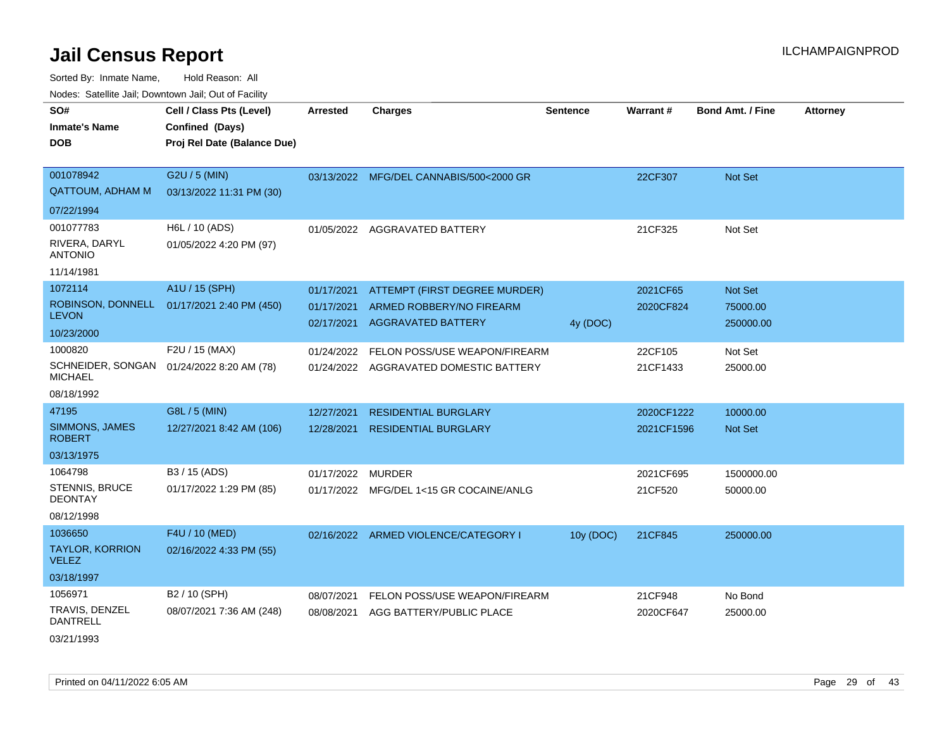Sorted By: Inmate Name, Hold Reason: All Nodes: Satellite Jail; Downtown Jail; Out of Facility

| SO#                                     | Cell / Class Pts (Level)                   | <b>Arrested</b> | <b>Charges</b>                           | <b>Sentence</b> | Warrant#   | <b>Bond Amt. / Fine</b> | <b>Attorney</b> |
|-----------------------------------------|--------------------------------------------|-----------------|------------------------------------------|-----------------|------------|-------------------------|-----------------|
| <b>Inmate's Name</b>                    | Confined (Days)                            |                 |                                          |                 |            |                         |                 |
| DOB                                     | Proj Rel Date (Balance Due)                |                 |                                          |                 |            |                         |                 |
|                                         |                                            |                 |                                          |                 |            |                         |                 |
| 001078942                               | G2U / 5 (MIN)                              |                 | 03/13/2022 MFG/DEL CANNABIS/500<2000 GR  |                 | 22CF307    | Not Set                 |                 |
| <b>QATTOUM, ADHAM M</b>                 | 03/13/2022 11:31 PM (30)                   |                 |                                          |                 |            |                         |                 |
| 07/22/1994                              |                                            |                 |                                          |                 |            |                         |                 |
| 001077783                               | H6L / 10 (ADS)                             |                 | 01/05/2022 AGGRAVATED BATTERY            |                 | 21CF325    | Not Set                 |                 |
| RIVERA, DARYL<br><b>ANTONIO</b>         | 01/05/2022 4:20 PM (97)                    |                 |                                          |                 |            |                         |                 |
| 11/14/1981                              |                                            |                 |                                          |                 |            |                         |                 |
| 1072114                                 | A1U / 15 (SPH)                             | 01/17/2021      | ATTEMPT (FIRST DEGREE MURDER)            |                 | 2021CF65   | Not Set                 |                 |
|                                         | ROBINSON, DONNELL 01/17/2021 2:40 PM (450) | 01/17/2021      | ARMED ROBBERY/NO FIREARM                 |                 | 2020CF824  | 75000.00                |                 |
| <b>LEVON</b>                            |                                            | 02/17/2021      | <b>AGGRAVATED BATTERY</b>                | 4y (DOC)        |            | 250000.00               |                 |
| 10/23/2000                              |                                            |                 |                                          |                 |            |                         |                 |
| 1000820                                 | F2U / 15 (MAX)                             |                 | 01/24/2022 FELON POSS/USE WEAPON/FIREARM |                 | 22CF105    | Not Set                 |                 |
| <b>MICHAEL</b>                          | SCHNEIDER, SONGAN 01/24/2022 8:20 AM (78)  | 01/24/2022      | AGGRAVATED DOMESTIC BATTERY              |                 | 21CF1433   | 25000.00                |                 |
| 08/18/1992                              |                                            |                 |                                          |                 |            |                         |                 |
| 47195                                   | G8L / 5 (MIN)                              | 12/27/2021      | <b>RESIDENTIAL BURGLARY</b>              |                 | 2020CF1222 | 10000.00                |                 |
| SIMMONS, JAMES<br><b>ROBERT</b>         | 12/27/2021 8:42 AM (106)                   | 12/28/2021      | <b>RESIDENTIAL BURGLARY</b>              |                 | 2021CF1596 | Not Set                 |                 |
| 03/13/1975                              |                                            |                 |                                          |                 |            |                         |                 |
| 1064798                                 | B3 / 15 (ADS)                              | 01/17/2022      | <b>MURDER</b>                            |                 | 2021CF695  | 1500000.00              |                 |
| <b>STENNIS, BRUCE</b><br><b>DEONTAY</b> | 01/17/2022 1:29 PM (85)                    | 01/17/2022      | MFG/DEL 1<15 GR COCAINE/ANLG             |                 | 21CF520    | 50000.00                |                 |
| 08/12/1998                              |                                            |                 |                                          |                 |            |                         |                 |
| 1036650                                 | F4U / 10 (MED)                             |                 | 02/16/2022 ARMED VIOLENCE/CATEGORY I     | 10y (DOC)       | 21CF845    | 250000.00               |                 |
| <b>TAYLOR, KORRION</b><br><b>VELEZ</b>  | 02/16/2022 4:33 PM (55)                    |                 |                                          |                 |            |                         |                 |
| 03/18/1997                              |                                            |                 |                                          |                 |            |                         |                 |
| 1056971                                 | B2 / 10 (SPH)                              | 08/07/2021      | FELON POSS/USE WEAPON/FIREARM            |                 | 21CF948    | No Bond                 |                 |
| TRAVIS, DENZEL<br><b>DANTRELL</b>       | 08/07/2021 7:36 AM (248)                   | 08/08/2021      | AGG BATTERY/PUBLIC PLACE                 |                 | 2020CF647  | 25000.00                |                 |
|                                         |                                            |                 |                                          |                 |            |                         |                 |

03/21/1993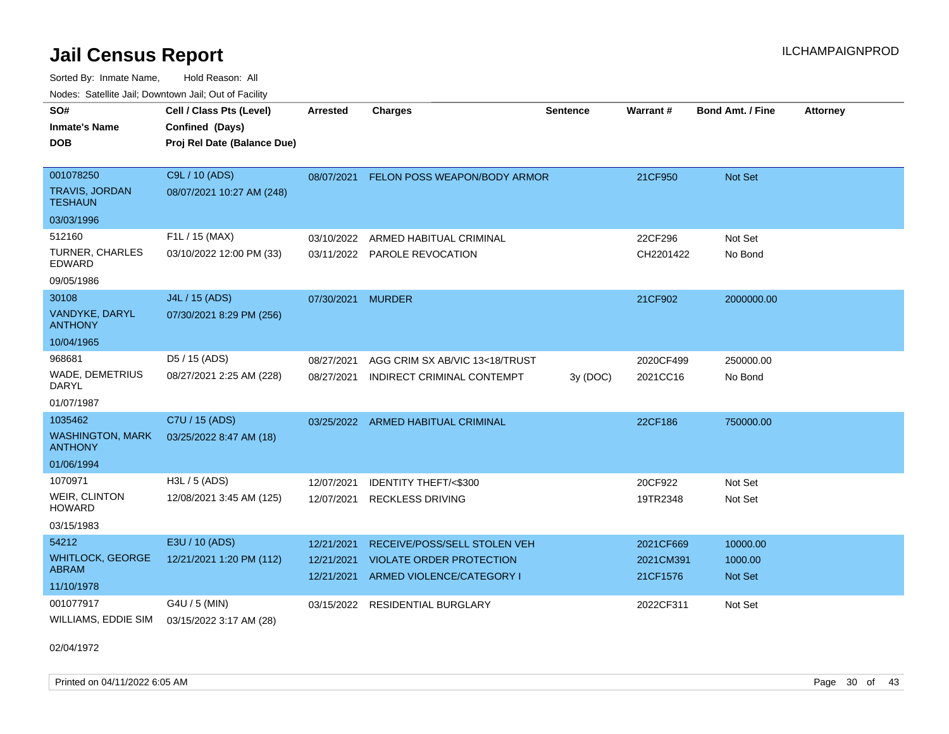Sorted By: Inmate Name, Hold Reason: All Nodes: Satellite Jail; Downtown Jail; Out of Facility

| SO#<br><b>Inmate's Name</b><br><b>DOB</b> | Cell / Class Pts (Level)<br>Confined (Days)<br>Proj Rel Date (Balance Due) | <b>Arrested</b> | <b>Charges</b>                          | <b>Sentence</b> | Warrant#  | <b>Bond Amt. / Fine</b> | <b>Attorney</b> |
|-------------------------------------------|----------------------------------------------------------------------------|-----------------|-----------------------------------------|-----------------|-----------|-------------------------|-----------------|
|                                           |                                                                            |                 |                                         |                 |           |                         |                 |
| 001078250                                 | C9L / 10 (ADS)                                                             |                 | 08/07/2021 FELON POSS WEAPON/BODY ARMOR |                 | 21CF950   | Not Set                 |                 |
| <b>TRAVIS, JORDAN</b><br><b>TESHAUN</b>   | 08/07/2021 10:27 AM (248)                                                  |                 |                                         |                 |           |                         |                 |
| 03/03/1996                                |                                                                            |                 |                                         |                 |           |                         |                 |
| 512160                                    | F1L / 15 (MAX)                                                             | 03/10/2022      | ARMED HABITUAL CRIMINAL                 |                 | 22CF296   | Not Set                 |                 |
| <b>TURNER, CHARLES</b><br><b>EDWARD</b>   | 03/10/2022 12:00 PM (33)                                                   |                 | 03/11/2022 PAROLE REVOCATION            |                 | CH2201422 | No Bond                 |                 |
| 09/05/1986                                |                                                                            |                 |                                         |                 |           |                         |                 |
| 30108                                     | J4L / 15 (ADS)                                                             | 07/30/2021      | <b>MURDER</b>                           |                 | 21CF902   | 2000000.00              |                 |
| VANDYKE, DARYL<br><b>ANTHONY</b>          | 07/30/2021 8:29 PM (256)                                                   |                 |                                         |                 |           |                         |                 |
| 10/04/1965                                |                                                                            |                 |                                         |                 |           |                         |                 |
| 968681                                    | D5 / 15 (ADS)                                                              | 08/27/2021      | AGG CRIM SX AB/VIC 13<18/TRUST          |                 | 2020CF499 | 250000.00               |                 |
| <b>WADE, DEMETRIUS</b><br><b>DARYL</b>    | 08/27/2021 2:25 AM (228)                                                   | 08/27/2021      | INDIRECT CRIMINAL CONTEMPT              | 3y (DOC)        | 2021CC16  | No Bond                 |                 |
| 01/07/1987                                |                                                                            |                 |                                         |                 |           |                         |                 |
| 1035462                                   | C7U / 15 (ADS)                                                             |                 | 03/25/2022 ARMED HABITUAL CRIMINAL      |                 | 22CF186   | 750000.00               |                 |
| <b>WASHINGTON, MARK</b><br><b>ANTHONY</b> | 03/25/2022 8:47 AM (18)                                                    |                 |                                         |                 |           |                         |                 |
| 01/06/1994                                |                                                                            |                 |                                         |                 |           |                         |                 |
| 1070971                                   | $H3L / 5$ (ADS)                                                            | 12/07/2021      | <b>IDENTITY THEFT/&lt;\$300</b>         |                 | 20CF922   | Not Set                 |                 |
| WEIR, CLINTON<br><b>HOWARD</b>            | 12/08/2021 3:45 AM (125)                                                   |                 | 12/07/2021 RECKLESS DRIVING             |                 | 19TR2348  | Not Set                 |                 |
| 03/15/1983                                |                                                                            |                 |                                         |                 |           |                         |                 |
| 54212                                     | E3U / 10 (ADS)                                                             | 12/21/2021      | RECEIVE/POSS/SELL STOLEN VEH            |                 | 2021CF669 | 10000.00                |                 |
| <b>WHITLOCK, GEORGE</b>                   | 12/21/2021 1:20 PM (112)                                                   | 12/21/2021      | <b>VIOLATE ORDER PROTECTION</b>         |                 | 2021CM391 | 1000.00                 |                 |
| <b>ABRAM</b>                              |                                                                            | 12/21/2021      | ARMED VIOLENCE/CATEGORY I               |                 | 21CF1576  | Not Set                 |                 |
| 11/10/1978                                |                                                                            |                 |                                         |                 |           |                         |                 |
| 001077917                                 | G4U / 5 (MIN)                                                              | 03/15/2022      | <b>RESIDENTIAL BURGLARY</b>             |                 | 2022CF311 | Not Set                 |                 |
| WILLIAMS, EDDIE SIM                       | 03/15/2022 3:17 AM (28)                                                    |                 |                                         |                 |           |                         |                 |

02/04/1972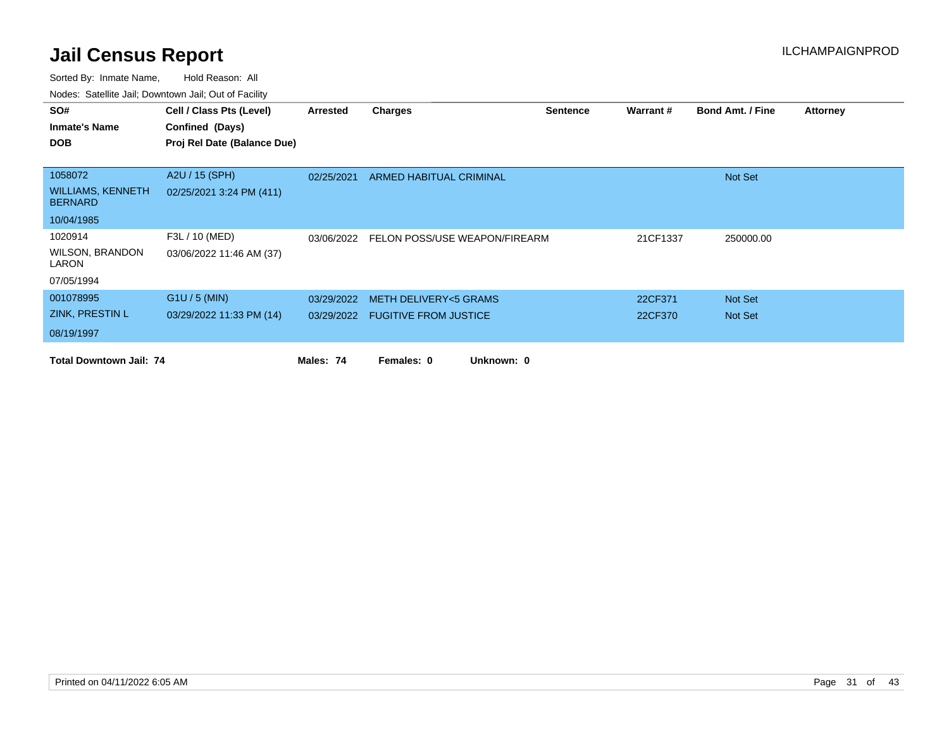| SO#                                        | Cell / Class Pts (Level)    | Arrested   | <b>Charges</b>                           | <b>Sentence</b> | Warrant # | <b>Bond Amt. / Fine</b> | <b>Attorney</b> |
|--------------------------------------------|-----------------------------|------------|------------------------------------------|-----------------|-----------|-------------------------|-----------------|
| <b>Inmate's Name</b>                       | Confined (Days)             |            |                                          |                 |           |                         |                 |
| <b>DOB</b>                                 | Proj Rel Date (Balance Due) |            |                                          |                 |           |                         |                 |
|                                            |                             |            |                                          |                 |           |                         |                 |
| 1058072                                    | A2U / 15 (SPH)              | 02/25/2021 | ARMED HABITUAL CRIMINAL                  |                 |           | Not Set                 |                 |
| <b>WILLIAMS, KENNETH</b><br><b>BERNARD</b> | 02/25/2021 3:24 PM (411)    |            |                                          |                 |           |                         |                 |
| 10/04/1985                                 |                             |            |                                          |                 |           |                         |                 |
| 1020914                                    | F3L / 10 (MED)              |            | 03/06/2022 FELON POSS/USE WEAPON/FIREARM |                 | 21CF1337  | 250000.00               |                 |
| <b>WILSON, BRANDON</b><br>LARON            | 03/06/2022 11:46 AM (37)    |            |                                          |                 |           |                         |                 |
| 07/05/1994                                 |                             |            |                                          |                 |           |                         |                 |
| 001078995                                  | $G1U / 5$ (MIN)             | 03/29/2022 | <b>METH DELIVERY&lt;5 GRAMS</b>          |                 | 22CF371   | Not Set                 |                 |
| <b>ZINK, PRESTIN L</b>                     | 03/29/2022 11:33 PM (14)    |            | 03/29/2022 FUGITIVE FROM JUSTICE         |                 | 22CF370   | Not Set                 |                 |
| 08/19/1997                                 |                             |            |                                          |                 |           |                         |                 |
| <b>Total Downtown Jail: 74</b>             |                             | Males: 74  | Females: 0<br>Unknown: 0                 |                 |           |                         |                 |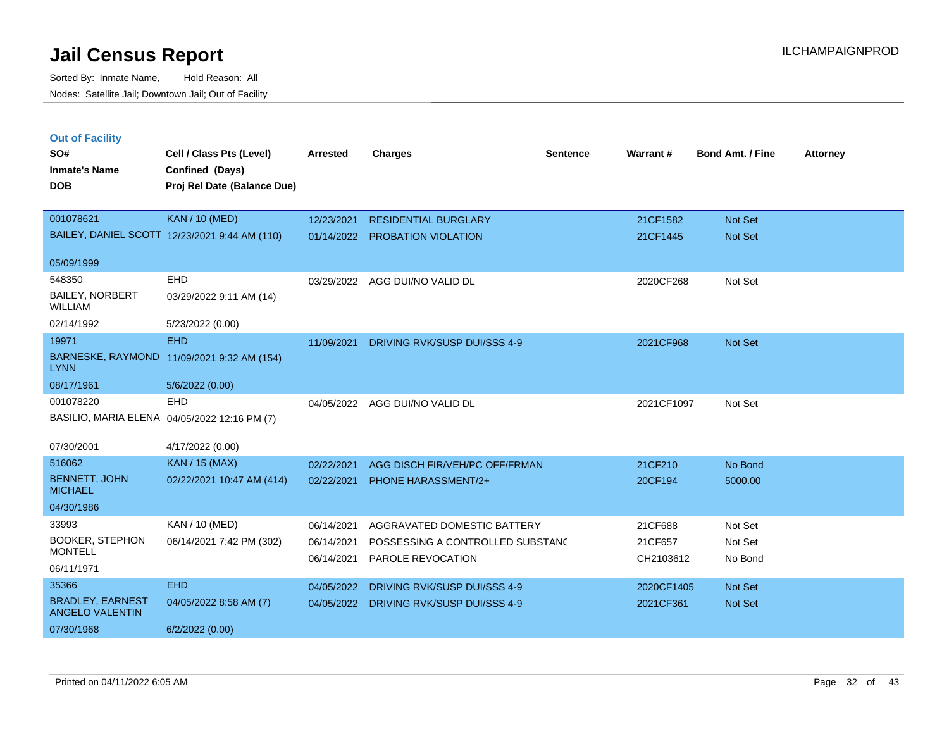| <b>Out of Facility</b> |      |
|------------------------|------|
| SO#                    | Cell |

| SO#                                               | Cell / Class Pts (Level)                      | <b>Arrested</b> | <b>Charges</b>                   | <b>Sentence</b> | Warrant#   | <b>Bond Amt. / Fine</b> | <b>Attorney</b> |
|---------------------------------------------------|-----------------------------------------------|-----------------|----------------------------------|-----------------|------------|-------------------------|-----------------|
| <b>Inmate's Name</b>                              | Confined (Days)                               |                 |                                  |                 |            |                         |                 |
| <b>DOB</b>                                        | Proj Rel Date (Balance Due)                   |                 |                                  |                 |            |                         |                 |
|                                                   |                                               |                 |                                  |                 |            |                         |                 |
| 001078621                                         | <b>KAN / 10 (MED)</b>                         | 12/23/2021      | <b>RESIDENTIAL BURGLARY</b>      |                 | 21CF1582   | Not Set                 |                 |
|                                                   | BAILEY, DANIEL SCOTT 12/23/2021 9:44 AM (110) |                 | 01/14/2022 PROBATION VIOLATION   |                 | 21CF1445   | Not Set                 |                 |
|                                                   |                                               |                 |                                  |                 |            |                         |                 |
| 05/09/1999                                        |                                               |                 |                                  |                 |            |                         |                 |
| 548350                                            | EHD                                           | 03/29/2022      | AGG DUI/NO VALID DL              |                 | 2020CF268  | Not Set                 |                 |
| <b>BAILEY, NORBERT</b><br><b>WILLIAM</b>          | 03/29/2022 9:11 AM (14)                       |                 |                                  |                 |            |                         |                 |
| 02/14/1992                                        | 5/23/2022 (0.00)                              |                 |                                  |                 |            |                         |                 |
| 19971                                             | <b>EHD</b>                                    | 11/09/2021      | DRIVING RVK/SUSP DUI/SSS 4-9     |                 | 2021CF968  | Not Set                 |                 |
| <b>LYNN</b>                                       | BARNESKE, RAYMOND 11/09/2021 9:32 AM (154)    |                 |                                  |                 |            |                         |                 |
| 08/17/1961                                        | 5/6/2022 (0.00)                               |                 |                                  |                 |            |                         |                 |
| 001078220                                         | <b>EHD</b>                                    |                 | 04/05/2022 AGG DUI/NO VALID DL   |                 | 2021CF1097 | Not Set                 |                 |
| BASILIO, MARIA ELENA 04/05/2022 12:16 PM (7)      |                                               |                 |                                  |                 |            |                         |                 |
|                                                   |                                               |                 |                                  |                 |            |                         |                 |
| 07/30/2001                                        | 4/17/2022 (0.00)                              |                 |                                  |                 |            |                         |                 |
| 516062                                            | <b>KAN / 15 (MAX)</b>                         | 02/22/2021      | AGG DISCH FIR/VEH/PC OFF/FRMAN   |                 | 21CF210    | No Bond                 |                 |
| <b>BENNETT, JOHN</b><br><b>MICHAEL</b>            | 02/22/2021 10:47 AM (414)                     | 02/22/2021      | PHONE HARASSMENT/2+              |                 | 20CF194    | 5000.00                 |                 |
| 04/30/1986                                        |                                               |                 |                                  |                 |            |                         |                 |
| 33993                                             | KAN / 10 (MED)                                | 06/14/2021      | AGGRAVATED DOMESTIC BATTERY      |                 | 21CF688    | Not Set                 |                 |
| <b>BOOKER, STEPHON</b>                            | 06/14/2021 7:42 PM (302)                      | 06/14/2021      | POSSESSING A CONTROLLED SUBSTANC |                 | 21CF657    | Not Set                 |                 |
| <b>MONTELL</b>                                    |                                               | 06/14/2021      | PAROLE REVOCATION                |                 | CH2103612  | No Bond                 |                 |
| 06/11/1971                                        |                                               |                 |                                  |                 |            |                         |                 |
| 35366                                             | <b>EHD</b>                                    | 04/05/2022      | DRIVING RVK/SUSP DUI/SSS 4-9     |                 | 2020CF1405 | Not Set                 |                 |
| <b>BRADLEY, EARNEST</b><br><b>ANGELO VALENTIN</b> | 04/05/2022 8:58 AM (7)                        | 04/05/2022      | DRIVING RVK/SUSP DUI/SSS 4-9     |                 | 2021CF361  | Not Set                 |                 |
| 07/30/1968                                        | 6/2/2022 (0.00)                               |                 |                                  |                 |            |                         |                 |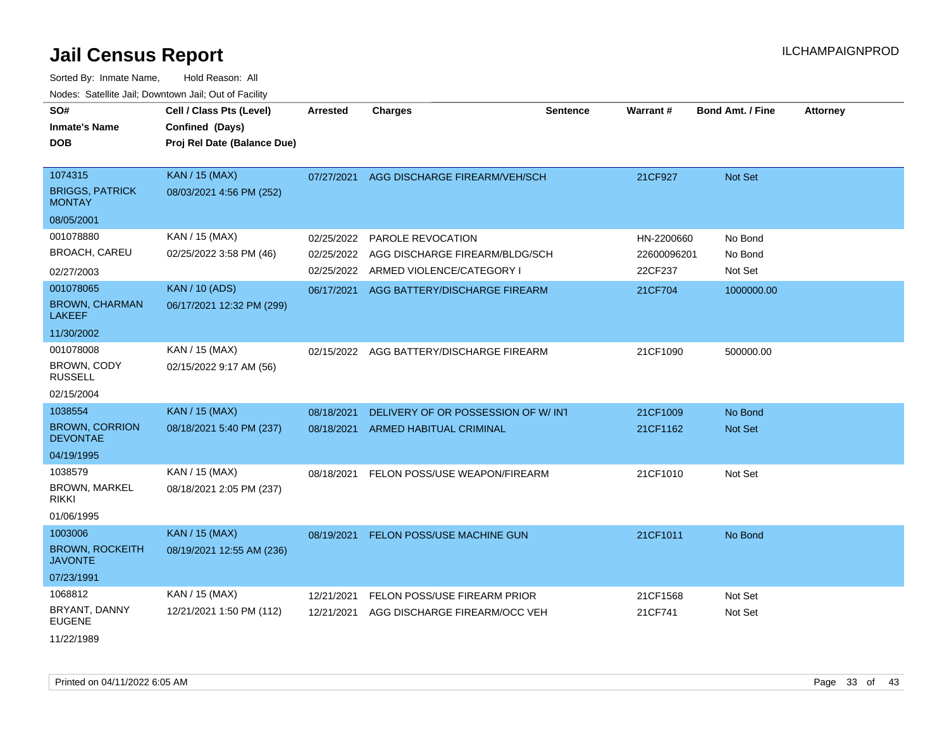| SO#<br><b>Inmate's Name</b>              | Cell / Class Pts (Level)<br>Confined (Days) | <b>Arrested</b> | <b>Charges</b>                     | <b>Sentence</b> | Warrant#    | <b>Bond Amt. / Fine</b> | <b>Attorney</b> |
|------------------------------------------|---------------------------------------------|-----------------|------------------------------------|-----------------|-------------|-------------------------|-----------------|
| <b>DOB</b>                               | Proj Rel Date (Balance Due)                 |                 |                                    |                 |             |                         |                 |
| 1074315                                  | <b>KAN / 15 (MAX)</b>                       | 07/27/2021      | AGG DISCHARGE FIREARM/VEH/SCH      |                 | 21CF927     | Not Set                 |                 |
| <b>BRIGGS, PATRICK</b><br><b>MONTAY</b>  | 08/03/2021 4:56 PM (252)                    |                 |                                    |                 |             |                         |                 |
| 08/05/2001                               |                                             |                 |                                    |                 |             |                         |                 |
| 001078880                                | KAN / 15 (MAX)                              | 02/25/2022      | PAROLE REVOCATION                  |                 | HN-2200660  | No Bond                 |                 |
| <b>BROACH, CAREU</b>                     | 02/25/2022 3:58 PM (46)                     | 02/25/2022      | AGG DISCHARGE FIREARM/BLDG/SCH     |                 | 22600096201 | No Bond                 |                 |
| 02/27/2003                               |                                             | 02/25/2022      | ARMED VIOLENCE/CATEGORY I          |                 | 22CF237     | Not Set                 |                 |
| 001078065                                | <b>KAN / 10 (ADS)</b>                       | 06/17/2021      | AGG BATTERY/DISCHARGE FIREARM      |                 | 21CF704     | 1000000.00              |                 |
| <b>BROWN, CHARMAN</b><br><b>LAKEEF</b>   | 06/17/2021 12:32 PM (299)                   |                 |                                    |                 |             |                         |                 |
| 11/30/2002                               |                                             |                 |                                    |                 |             |                         |                 |
| 001078008                                | KAN / 15 (MAX)                              | 02/15/2022      | AGG BATTERY/DISCHARGE FIREARM      |                 | 21CF1090    | 500000.00               |                 |
| <b>BROWN, CODY</b><br><b>RUSSELL</b>     | 02/15/2022 9:17 AM (56)                     |                 |                                    |                 |             |                         |                 |
| 02/15/2004                               |                                             |                 |                                    |                 |             |                         |                 |
| 1038554                                  | <b>KAN / 15 (MAX)</b>                       | 08/18/2021      | DELIVERY OF OR POSSESSION OF W/INT |                 | 21CF1009    | No Bond                 |                 |
| <b>BROWN, CORRION</b><br><b>DEVONTAE</b> | 08/18/2021 5:40 PM (237)                    | 08/18/2021      | <b>ARMED HABITUAL CRIMINAL</b>     |                 | 21CF1162    | Not Set                 |                 |
| 04/19/1995                               |                                             |                 |                                    |                 |             |                         |                 |
| 1038579                                  | KAN / 15 (MAX)                              | 08/18/2021      | FELON POSS/USE WEAPON/FIREARM      |                 | 21CF1010    | Not Set                 |                 |
| <b>BROWN, MARKEL</b><br>rikki            | 08/18/2021 2:05 PM (237)                    |                 |                                    |                 |             |                         |                 |
| 01/06/1995                               |                                             |                 |                                    |                 |             |                         |                 |
| 1003006                                  | <b>KAN / 15 (MAX)</b>                       | 08/19/2021      | FELON POSS/USE MACHINE GUN         |                 | 21CF1011    | No Bond                 |                 |
| <b>BROWN, ROCKEITH</b><br><b>JAVONTE</b> | 08/19/2021 12:55 AM (236)                   |                 |                                    |                 |             |                         |                 |
| 07/23/1991                               |                                             |                 |                                    |                 |             |                         |                 |
| 1068812                                  | KAN / 15 (MAX)                              | 12/21/2021      | FELON POSS/USE FIREARM PRIOR       |                 | 21CF1568    | Not Set                 |                 |
| BRYANT, DANNY<br><b>EUGENE</b>           | 12/21/2021 1:50 PM (112)                    | 12/21/2021      | AGG DISCHARGE FIREARM/OCC VEH      |                 | 21CF741     | Not Set                 |                 |
| 11/22/1989                               |                                             |                 |                                    |                 |             |                         |                 |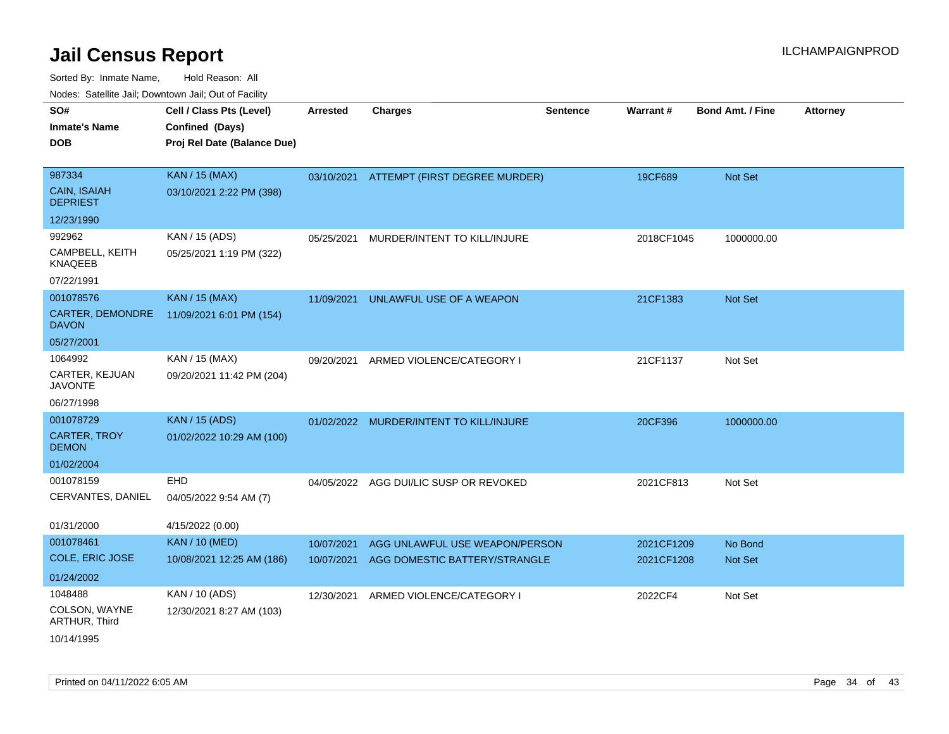| roaco. Catolino dall, Downtown dall, Out of Fability |                                                                            |                 |                                |                 |                 |                         |                 |
|------------------------------------------------------|----------------------------------------------------------------------------|-----------------|--------------------------------|-----------------|-----------------|-------------------------|-----------------|
| SO#<br><b>Inmate's Name</b><br><b>DOB</b>            | Cell / Class Pts (Level)<br>Confined (Days)<br>Proj Rel Date (Balance Due) | <b>Arrested</b> | <b>Charges</b>                 | <b>Sentence</b> | <b>Warrant#</b> | <b>Bond Amt. / Fine</b> | <b>Attorney</b> |
| 987334                                               | <b>KAN / 15 (MAX)</b>                                                      | 03/10/2021      | ATTEMPT (FIRST DEGREE MURDER)  |                 | 19CF689         | <b>Not Set</b>          |                 |
| <b>CAIN, ISAIAH</b><br><b>DEPRIEST</b>               | 03/10/2021 2:22 PM (398)                                                   |                 |                                |                 |                 |                         |                 |
| 12/23/1990                                           |                                                                            |                 |                                |                 |                 |                         |                 |
| 992962                                               | KAN / 15 (ADS)                                                             | 05/25/2021      | MURDER/INTENT TO KILL/INJURE   |                 | 2018CF1045      | 1000000.00              |                 |
| CAMPBELL, KEITH<br><b>KNAQEEB</b>                    | 05/25/2021 1:19 PM (322)                                                   |                 |                                |                 |                 |                         |                 |
| 07/22/1991                                           |                                                                            |                 |                                |                 |                 |                         |                 |
| 001078576                                            | <b>KAN / 15 (MAX)</b>                                                      | 11/09/2021      | UNLAWFUL USE OF A WEAPON       |                 | 21CF1383        | <b>Not Set</b>          |                 |
| CARTER, DEMONDRE<br><b>DAVON</b>                     | 11/09/2021 6:01 PM (154)                                                   |                 |                                |                 |                 |                         |                 |
| 05/27/2001                                           |                                                                            |                 |                                |                 |                 |                         |                 |
| 1064992                                              | KAN / 15 (MAX)                                                             | 09/20/2021      | ARMED VIOLENCE/CATEGORY I      |                 | 21CF1137        | Not Set                 |                 |
| CARTER, KEJUAN<br><b>JAVONTE</b>                     | 09/20/2021 11:42 PM (204)                                                  |                 |                                |                 |                 |                         |                 |
| 06/27/1998                                           |                                                                            |                 |                                |                 |                 |                         |                 |
| 001078729                                            | <b>KAN / 15 (ADS)</b>                                                      | 01/02/2022      | MURDER/INTENT TO KILL/INJURE   |                 | 20CF396         | 1000000.00              |                 |
| <b>CARTER, TROY</b><br><b>DEMON</b>                  | 01/02/2022 10:29 AM (100)                                                  |                 |                                |                 |                 |                         |                 |
| 01/02/2004                                           |                                                                            |                 |                                |                 |                 |                         |                 |
| 001078159                                            | <b>EHD</b>                                                                 | 04/05/2022      | AGG DUI/LIC SUSP OR REVOKED    |                 | 2021CF813       | Not Set                 |                 |
| CERVANTES, DANIEL                                    | 04/05/2022 9:54 AM (7)                                                     |                 |                                |                 |                 |                         |                 |
| 01/31/2000                                           | 4/15/2022 (0.00)                                                           |                 |                                |                 |                 |                         |                 |
| 001078461                                            | <b>KAN / 10 (MED)</b>                                                      | 10/07/2021      | AGG UNLAWFUL USE WEAPON/PERSON |                 | 2021CF1209      | No Bond                 |                 |
| <b>COLE, ERIC JOSE</b>                               | 10/08/2021 12:25 AM (186)                                                  | 10/07/2021      | AGG DOMESTIC BATTERY/STRANGLE  |                 | 2021CF1208      | <b>Not Set</b>          |                 |
| 01/24/2002                                           |                                                                            |                 |                                |                 |                 |                         |                 |
| 1048488                                              | KAN / 10 (ADS)                                                             | 12/30/2021      | ARMED VIOLENCE/CATEGORY I      |                 | 2022CF4         | Not Set                 |                 |
| COLSON, WAYNE<br>ARTHUR, Third                       | 12/30/2021 8:27 AM (103)                                                   |                 |                                |                 |                 |                         |                 |
| 10/14/1995                                           |                                                                            |                 |                                |                 |                 |                         |                 |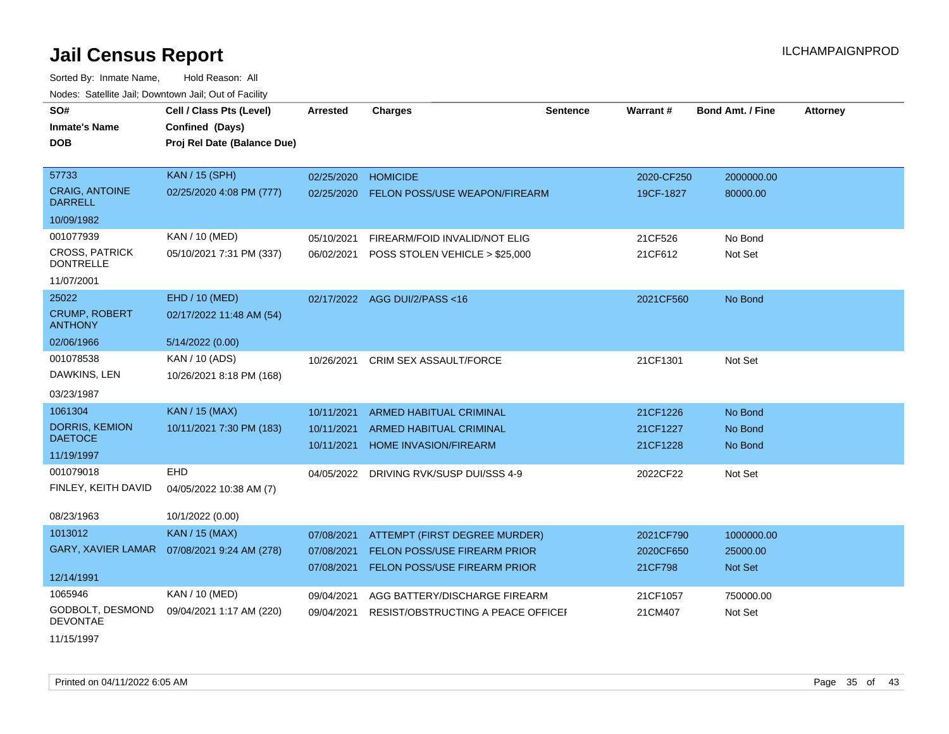| SO#                                       | Cell / Class Pts (Level)                     | <b>Arrested</b> | <b>Charges</b>                     | <b>Sentence</b> | <b>Warrant#</b> | <b>Bond Amt. / Fine</b> | <b>Attorney</b> |
|-------------------------------------------|----------------------------------------------|-----------------|------------------------------------|-----------------|-----------------|-------------------------|-----------------|
| <b>Inmate's Name</b>                      | Confined (Days)                              |                 |                                    |                 |                 |                         |                 |
| <b>DOB</b>                                | Proj Rel Date (Balance Due)                  |                 |                                    |                 |                 |                         |                 |
|                                           |                                              |                 |                                    |                 |                 |                         |                 |
| 57733                                     | <b>KAN / 15 (SPH)</b>                        | 02/25/2020      | <b>HOMICIDE</b>                    |                 | 2020-CF250      | 2000000.00              |                 |
| <b>CRAIG, ANTOINE</b><br><b>DARRELL</b>   | 02/25/2020 4:08 PM (777)                     | 02/25/2020      | FELON POSS/USE WEAPON/FIREARM      |                 | 19CF-1827       | 80000.00                |                 |
| 10/09/1982                                |                                              |                 |                                    |                 |                 |                         |                 |
| 001077939                                 | KAN / 10 (MED)                               | 05/10/2021      | FIREARM/FOID INVALID/NOT ELIG      |                 | 21CF526         | No Bond                 |                 |
| <b>CROSS, PATRICK</b><br><b>DONTRELLE</b> | 05/10/2021 7:31 PM (337)                     | 06/02/2021      | POSS STOLEN VEHICLE > \$25,000     |                 | 21CF612         | Not Set                 |                 |
| 11/07/2001                                |                                              |                 |                                    |                 |                 |                         |                 |
| 25022                                     | EHD / 10 (MED)                               |                 | 02/17/2022 AGG DUI/2/PASS<16       |                 | 2021CF560       | No Bond                 |                 |
| <b>CRUMP, ROBERT</b><br><b>ANTHONY</b>    | 02/17/2022 11:48 AM (54)                     |                 |                                    |                 |                 |                         |                 |
| 02/06/1966                                | 5/14/2022 (0.00)                             |                 |                                    |                 |                 |                         |                 |
| 001078538                                 | KAN / 10 (ADS)                               | 10/26/2021      | <b>CRIM SEX ASSAULT/FORCE</b>      |                 | 21CF1301        | Not Set                 |                 |
| DAWKINS, LEN                              | 10/26/2021 8:18 PM (168)                     |                 |                                    |                 |                 |                         |                 |
| 03/23/1987                                |                                              |                 |                                    |                 |                 |                         |                 |
| 1061304                                   | <b>KAN / 15 (MAX)</b>                        | 10/11/2021      | <b>ARMED HABITUAL CRIMINAL</b>     |                 | 21CF1226        | No Bond                 |                 |
| <b>DORRIS, KEMION</b>                     | 10/11/2021 7:30 PM (183)                     | 10/11/2021      | ARMED HABITUAL CRIMINAL            |                 | 21CF1227        | No Bond                 |                 |
| <b>DAETOCE</b>                            |                                              | 10/11/2021      | <b>HOME INVASION/FIREARM</b>       |                 | 21CF1228        | No Bond                 |                 |
| 11/19/1997                                |                                              |                 |                                    |                 |                 |                         |                 |
| 001079018                                 | <b>EHD</b>                                   | 04/05/2022      | DRIVING RVK/SUSP DUI/SSS 4-9       |                 | 2022CF22        | Not Set                 |                 |
| FINLEY, KEITH DAVID                       | 04/05/2022 10:38 AM (7)                      |                 |                                    |                 |                 |                         |                 |
| 08/23/1963                                | 10/1/2022 (0.00)                             |                 |                                    |                 |                 |                         |                 |
| 1013012                                   | <b>KAN / 15 (MAX)</b>                        | 07/08/2021      | ATTEMPT (FIRST DEGREE MURDER)      |                 | 2021CF790       | 1000000.00              |                 |
|                                           | GARY, XAVIER LAMAR  07/08/2021 9:24 AM (278) | 07/08/2021      | FELON POSS/USE FIREARM PRIOR       |                 | 2020CF650       | 25000.00                |                 |
|                                           |                                              | 07/08/2021      | FELON POSS/USE FIREARM PRIOR       |                 | 21CF798         | Not Set                 |                 |
| 12/14/1991                                |                                              |                 |                                    |                 |                 |                         |                 |
| 1065946                                   | KAN / 10 (MED)                               | 09/04/2021      | AGG BATTERY/DISCHARGE FIREARM      |                 | 21CF1057        | 750000.00               |                 |
| GODBOLT, DESMOND<br><b>DEVONTAE</b>       | 09/04/2021 1:17 AM (220)                     | 09/04/2021      | RESIST/OBSTRUCTING A PEACE OFFICEL |                 | 21CM407         | Not Set                 |                 |
| 11/15/1997                                |                                              |                 |                                    |                 |                 |                         |                 |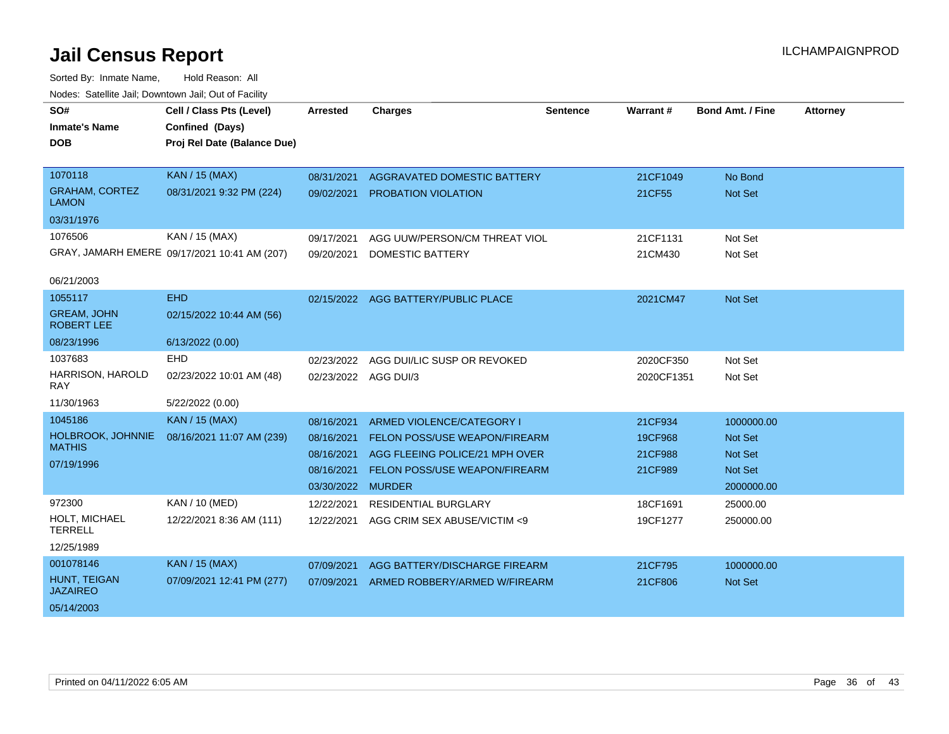| SO#<br><b>Inmate's Name</b><br><b>DOB</b> | Cell / Class Pts (Level)<br>Confined (Days)<br>Proj Rel Date (Balance Due) | <b>Arrested</b>      | <b>Charges</b>                       | <b>Sentence</b> | Warrant#   | <b>Bond Amt. / Fine</b> | <b>Attorney</b> |
|-------------------------------------------|----------------------------------------------------------------------------|----------------------|--------------------------------------|-----------------|------------|-------------------------|-----------------|
| 1070118                                   | <b>KAN / 15 (MAX)</b>                                                      | 08/31/2021           | AGGRAVATED DOMESTIC BATTERY          |                 | 21CF1049   | No Bond                 |                 |
| <b>GRAHAM, CORTEZ</b><br><b>LAMON</b>     | 08/31/2021 9:32 PM (224)                                                   | 09/02/2021           | PROBATION VIOLATION                  |                 | 21CF55     | Not Set                 |                 |
| 03/31/1976                                |                                                                            |                      |                                      |                 |            |                         |                 |
| 1076506                                   | KAN / 15 (MAX)                                                             | 09/17/2021           | AGG UUW/PERSON/CM THREAT VIOL        |                 | 21CF1131   | Not Set                 |                 |
|                                           | GRAY, JAMARH EMERE 09/17/2021 10:41 AM (207)                               | 09/20/2021           | <b>DOMESTIC BATTERY</b>              |                 | 21CM430    | Not Set                 |                 |
| 06/21/2003                                |                                                                            |                      |                                      |                 |            |                         |                 |
| 1055117                                   | <b>EHD</b>                                                                 |                      | 02/15/2022 AGG BATTERY/PUBLIC PLACE  |                 | 2021CM47   | Not Set                 |                 |
| <b>GREAM, JOHN</b><br><b>ROBERT LEE</b>   | 02/15/2022 10:44 AM (56)                                                   |                      |                                      |                 |            |                         |                 |
| 08/23/1996                                | 6/13/2022 (0.00)                                                           |                      |                                      |                 |            |                         |                 |
| 1037683                                   | <b>EHD</b>                                                                 | 02/23/2022           | AGG DUI/LIC SUSP OR REVOKED          |                 | 2020CF350  | Not Set                 |                 |
| HARRISON, HAROLD<br><b>RAY</b>            | 02/23/2022 10:01 AM (48)                                                   | 02/23/2022 AGG DUI/3 |                                      |                 | 2020CF1351 | Not Set                 |                 |
| 11/30/1963                                | 5/22/2022 (0.00)                                                           |                      |                                      |                 |            |                         |                 |
| 1045186                                   | <b>KAN / 15 (MAX)</b>                                                      | 08/16/2021           | ARMED VIOLENCE/CATEGORY I            |                 | 21CF934    | 1000000.00              |                 |
| HOLBROOK, JOHNNIE                         | 08/16/2021 11:07 AM (239)                                                  | 08/16/2021           | <b>FELON POSS/USE WEAPON/FIREARM</b> |                 | 19CF968    | <b>Not Set</b>          |                 |
| <b>MATHIS</b>                             |                                                                            | 08/16/2021           | AGG FLEEING POLICE/21 MPH OVER       |                 | 21CF988    | <b>Not Set</b>          |                 |
| 07/19/1996                                |                                                                            | 08/16/2021           | FELON POSS/USE WEAPON/FIREARM        |                 | 21CF989    | Not Set                 |                 |
|                                           |                                                                            | 03/30/2022           | <b>MURDER</b>                        |                 |            | 2000000.00              |                 |
| 972300                                    | <b>KAN / 10 (MED)</b>                                                      | 12/22/2021           | <b>RESIDENTIAL BURGLARY</b>          |                 | 18CF1691   | 25000.00                |                 |
| HOLT, MICHAEL<br><b>TERRELL</b>           | 12/22/2021 8:36 AM (111)                                                   | 12/22/2021           | AGG CRIM SEX ABUSE/VICTIM <9         |                 | 19CF1277   | 250000.00               |                 |
| 12/25/1989                                |                                                                            |                      |                                      |                 |            |                         |                 |
| 001078146                                 | <b>KAN / 15 (MAX)</b>                                                      | 07/09/2021           | AGG BATTERY/DISCHARGE FIREARM        |                 | 21CF795    | 1000000.00              |                 |
| HUNT, TEIGAN<br><b>JAZAIREO</b>           | 07/09/2021 12:41 PM (277)                                                  | 07/09/2021           | ARMED ROBBERY/ARMED W/FIREARM        |                 | 21CF806    | Not Set                 |                 |
| 05/14/2003                                |                                                                            |                      |                                      |                 |            |                         |                 |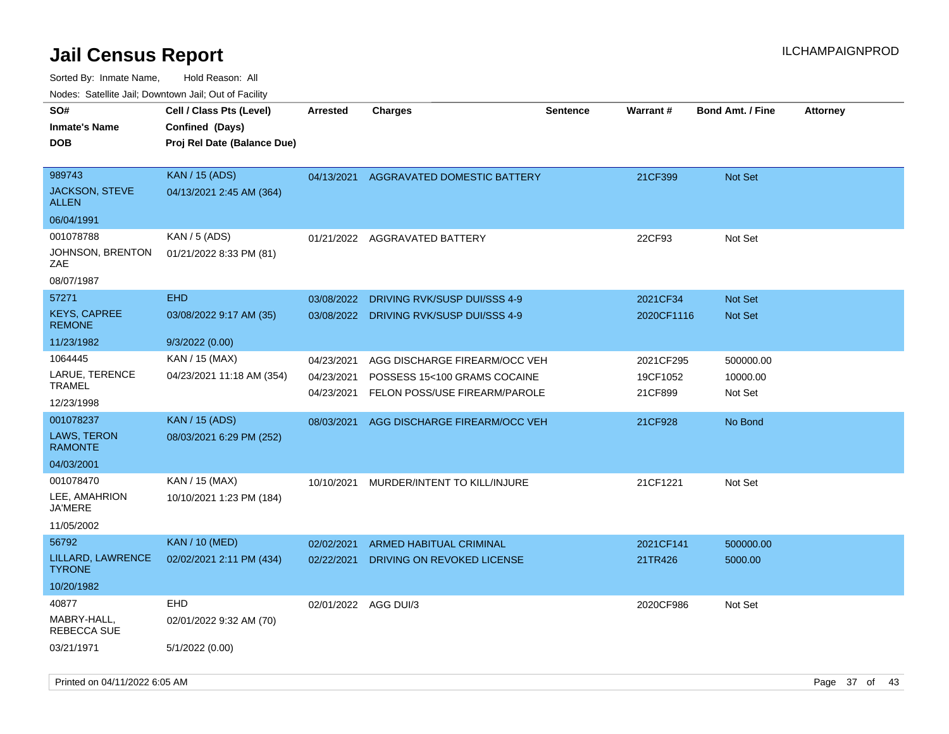| 10000. Catolino can, Domntonn can, Cat or I doint |                                                                            |                          |                                                               |                 |                     |                         |                 |
|---------------------------------------------------|----------------------------------------------------------------------------|--------------------------|---------------------------------------------------------------|-----------------|---------------------|-------------------------|-----------------|
| SO#<br>Inmate's Name<br><b>DOB</b>                | Cell / Class Pts (Level)<br>Confined (Days)<br>Proj Rel Date (Balance Due) | <b>Arrested</b>          | <b>Charges</b>                                                | <b>Sentence</b> | Warrant#            | <b>Bond Amt. / Fine</b> | <b>Attorney</b> |
| 989743<br>JACKSON, STEVE<br>ALLEN                 | <b>KAN / 15 (ADS)</b><br>04/13/2021 2:45 AM (364)                          | 04/13/2021               | AGGRAVATED DOMESTIC BATTERY                                   |                 | 21CF399             | <b>Not Set</b>          |                 |
| 06/04/1991                                        |                                                                            |                          |                                                               |                 |                     |                         |                 |
| 001078788<br>JOHNSON, BRENTON<br>ZAE              | KAN / 5 (ADS)<br>01/21/2022 8:33 PM (81)                                   | 01/21/2022               | AGGRAVATED BATTERY                                            |                 | 22CF93              | Not Set                 |                 |
| 08/07/1987                                        |                                                                            |                          |                                                               |                 |                     |                         |                 |
| 57271                                             | <b>EHD</b>                                                                 | 03/08/2022               | DRIVING RVK/SUSP DUI/SSS 4-9                                  |                 | 2021CF34            | <b>Not Set</b>          |                 |
| KEYS, CAPREE<br><b>REMONE</b>                     | 03/08/2022 9:17 AM (35)                                                    | 03/08/2022               | DRIVING RVK/SUSP DUI/SSS 4-9                                  |                 | 2020CF1116          | <b>Not Set</b>          |                 |
| 11/23/1982                                        | 9/3/2022 (0.00)                                                            |                          |                                                               |                 |                     |                         |                 |
| 1064445                                           | KAN / 15 (MAX)                                                             | 04/23/2021               | AGG DISCHARGE FIREARM/OCC VEH                                 |                 | 2021CF295           | 500000.00               |                 |
| LARUE, TERENCE<br>TRAMEL                          | 04/23/2021 11:18 AM (354)                                                  | 04/23/2021<br>04/23/2021 | POSSESS 15<100 GRAMS COCAINE<br>FELON POSS/USE FIREARM/PAROLE |                 | 19CF1052<br>21CF899 | 10000.00<br>Not Set     |                 |
| 12/23/1998                                        |                                                                            |                          |                                                               |                 |                     |                         |                 |
| 001078237                                         | <b>KAN / 15 (ADS)</b>                                                      | 08/03/2021               | AGG DISCHARGE FIREARM/OCC VEH                                 |                 | 21CF928             | No Bond                 |                 |
| LAWS, TERON<br><b>RAMONTE</b>                     | 08/03/2021 6:29 PM (252)                                                   |                          |                                                               |                 |                     |                         |                 |
| 04/03/2001                                        |                                                                            |                          |                                                               |                 |                     |                         |                 |
| 001078470                                         | KAN / 15 (MAX)                                                             | 10/10/2021               | MURDER/INTENT TO KILL/INJURE                                  |                 | 21CF1221            | Not Set                 |                 |
| LEE, AMAHRION<br>JA'MERE                          | 10/10/2021 1:23 PM (184)                                                   |                          |                                                               |                 |                     |                         |                 |
| 11/05/2002                                        |                                                                            |                          |                                                               |                 |                     |                         |                 |
| 56792                                             | <b>KAN / 10 (MED)</b>                                                      | 02/02/2021               | <b>ARMED HABITUAL CRIMINAL</b>                                |                 | 2021CF141           | 500000.00               |                 |
| LILLARD, LAWRENCE<br><b>TYRONE</b>                | 02/02/2021 2:11 PM (434)                                                   | 02/22/2021               | DRIVING ON REVOKED LICENSE                                    |                 | 21TR426             | 5000.00                 |                 |
| 10/20/1982                                        |                                                                            |                          |                                                               |                 |                     |                         |                 |
| 40877                                             | <b>EHD</b>                                                                 | 02/01/2022               | AGG DUI/3                                                     |                 | 2020CF986           | Not Set                 |                 |
| MABRY-HALL,<br>REBECCA SUE                        | 02/01/2022 9:32 AM (70)                                                    |                          |                                                               |                 |                     |                         |                 |
| 03/21/1971                                        | 5/1/2022 (0.00)                                                            |                          |                                                               |                 |                     |                         |                 |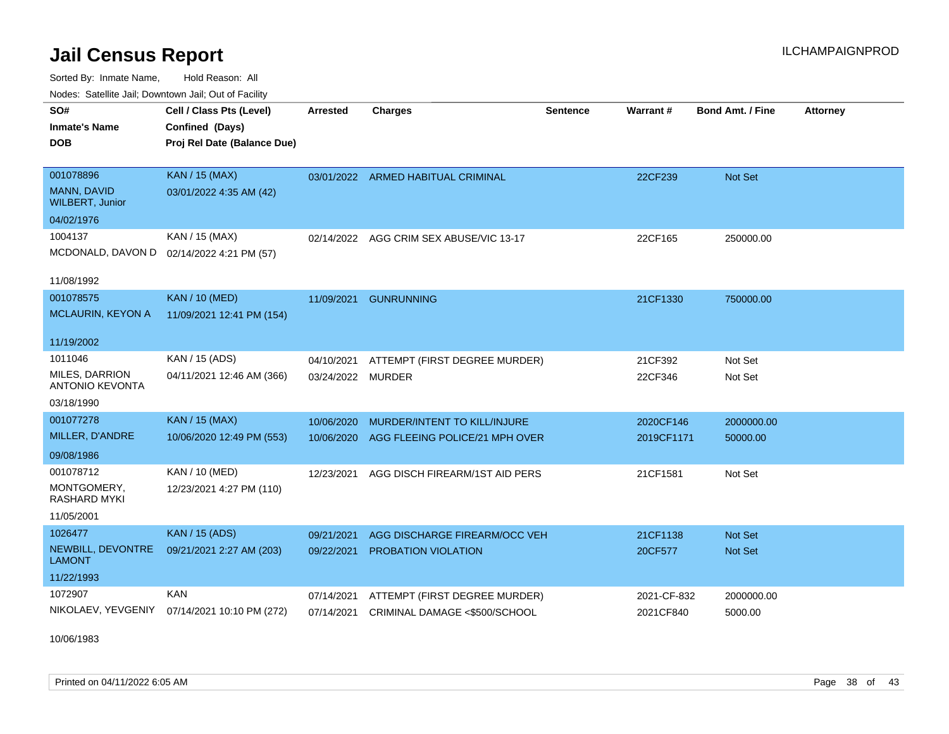Sorted By: Inmate Name, Hold Reason: All Nodes: Satellite Jail; Downtown Jail; Out of Facility

| SO#                                             | Cell / Class Pts (Level)                  | <b>Arrested</b>   | <b>Charges</b>                     | <b>Sentence</b> | Warrant#    | Bond Amt. / Fine | <b>Attorney</b> |
|-------------------------------------------------|-------------------------------------------|-------------------|------------------------------------|-----------------|-------------|------------------|-----------------|
| <b>Inmate's Name</b>                            | Confined (Days)                           |                   |                                    |                 |             |                  |                 |
| <b>DOB</b>                                      | Proj Rel Date (Balance Due)               |                   |                                    |                 |             |                  |                 |
|                                                 |                                           |                   |                                    |                 |             |                  |                 |
| 001078896                                       | <b>KAN / 15 (MAX)</b>                     |                   | 03/01/2022 ARMED HABITUAL CRIMINAL |                 | 22CF239     | <b>Not Set</b>   |                 |
| MANN, DAVID<br><b>WILBERT, Junior</b>           | 03/01/2022 4:35 AM (42)                   |                   |                                    |                 |             |                  |                 |
| 04/02/1976                                      |                                           |                   |                                    |                 |             |                  |                 |
| 1004137                                         | KAN / 15 (MAX)                            | 02/14/2022        | AGG CRIM SEX ABUSE/VIC 13-17       |                 | 22CF165     | 250000.00        |                 |
|                                                 | MCDONALD, DAVON D 02/14/2022 4:21 PM (57) |                   |                                    |                 |             |                  |                 |
|                                                 |                                           |                   |                                    |                 |             |                  |                 |
| 11/08/1992                                      |                                           |                   |                                    |                 |             |                  |                 |
| 001078575                                       | <b>KAN / 10 (MED)</b>                     | 11/09/2021        | <b>GUNRUNNING</b>                  |                 | 21CF1330    | 750000.00        |                 |
| <b>MCLAURIN, KEYON A</b>                        | 11/09/2021 12:41 PM (154)                 |                   |                                    |                 |             |                  |                 |
|                                                 |                                           |                   |                                    |                 |             |                  |                 |
| 11/19/2002                                      |                                           |                   |                                    |                 |             |                  |                 |
| 1011046                                         | KAN / 15 (ADS)                            | 04/10/2021        | ATTEMPT (FIRST DEGREE MURDER)      |                 | 21CF392     | Not Set          |                 |
| <b>MILES, DARRION</b><br><b>ANTONIO KEVONTA</b> | 04/11/2021 12:46 AM (366)                 | 03/24/2022 MURDER |                                    |                 | 22CF346     | Not Set          |                 |
| 03/18/1990                                      |                                           |                   |                                    |                 |             |                  |                 |
| 001077278                                       | <b>KAN / 15 (MAX)</b>                     | 10/06/2020        | MURDER/INTENT TO KILL/INJURE       |                 | 2020CF146   | 2000000.00       |                 |
| MILLER, D'ANDRE                                 | 10/06/2020 12:49 PM (553)                 | 10/06/2020        | AGG FLEEING POLICE/21 MPH OVER     |                 | 2019CF1171  | 50000.00         |                 |
| 09/08/1986                                      |                                           |                   |                                    |                 |             |                  |                 |
| 001078712                                       | KAN / 10 (MED)                            | 12/23/2021        | AGG DISCH FIREARM/1ST AID PERS     |                 | 21CF1581    | Not Set          |                 |
| MONTGOMERY,                                     | 12/23/2021 4:27 PM (110)                  |                   |                                    |                 |             |                  |                 |
| <b>RASHARD MYKI</b>                             |                                           |                   |                                    |                 |             |                  |                 |
| 11/05/2001                                      |                                           |                   |                                    |                 |             |                  |                 |
| 1026477                                         | <b>KAN / 15 (ADS)</b>                     | 09/21/2021        | AGG DISCHARGE FIREARM/OCC VEH      |                 | 21CF1138    | <b>Not Set</b>   |                 |
| NEWBILL, DEVONTRE<br><b>LAMONT</b>              | 09/21/2021 2:27 AM (203)                  | 09/22/2021        | PROBATION VIOLATION                |                 | 20CF577     | Not Set          |                 |
| 11/22/1993                                      |                                           |                   |                                    |                 |             |                  |                 |
| 1072907                                         | KAN                                       | 07/14/2021        | ATTEMPT (FIRST DEGREE MURDER)      |                 | 2021-CF-832 | 2000000.00       |                 |
| NIKOLAEV, YEVGENIY                              | 07/14/2021 10:10 PM (272)                 | 07/14/2021        | CRIMINAL DAMAGE <\$500/SCHOOL      |                 | 2021CF840   | 5000.00          |                 |
|                                                 |                                           |                   |                                    |                 |             |                  |                 |

10/06/1983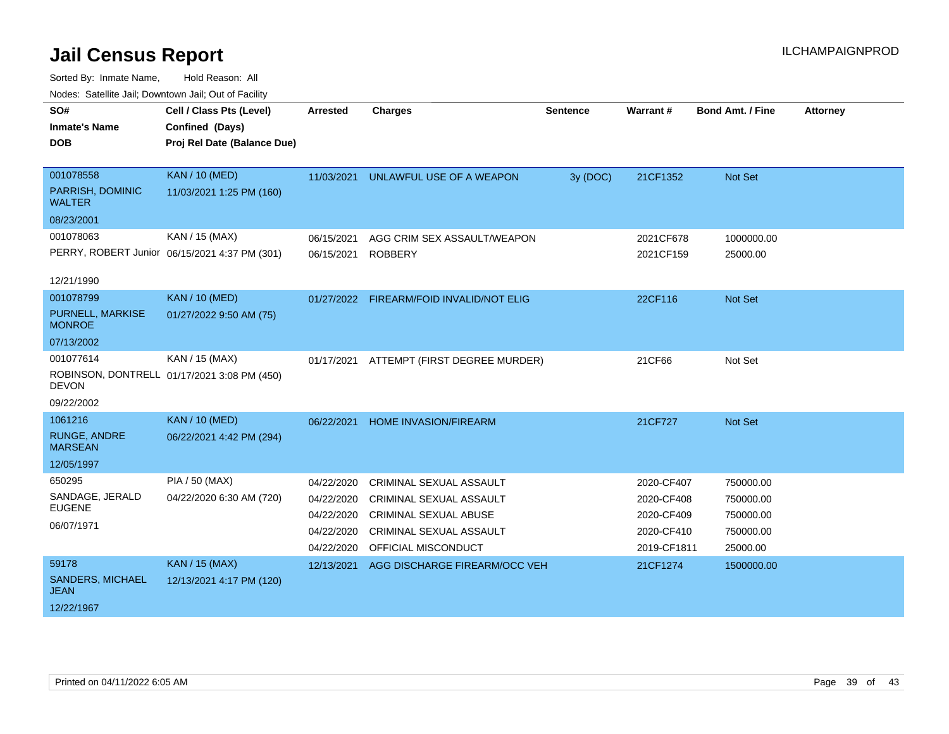| roucs. Oatchite sail, Downtown sail, Out of Facility |                                               |                 |                                          |                 |             |                         |                 |
|------------------------------------------------------|-----------------------------------------------|-----------------|------------------------------------------|-----------------|-------------|-------------------------|-----------------|
| SO#                                                  | Cell / Class Pts (Level)                      | <b>Arrested</b> | <b>Charges</b>                           | <b>Sentence</b> | Warrant#    | <b>Bond Amt. / Fine</b> | <b>Attorney</b> |
| <b>Inmate's Name</b>                                 | Confined (Days)                               |                 |                                          |                 |             |                         |                 |
| <b>DOB</b>                                           | Proj Rel Date (Balance Due)                   |                 |                                          |                 |             |                         |                 |
|                                                      |                                               |                 |                                          |                 |             |                         |                 |
| 001078558                                            | <b>KAN / 10 (MED)</b>                         | 11/03/2021      | UNLAWFUL USE OF A WEAPON                 | 3y (DOC)        | 21CF1352    | Not Set                 |                 |
| PARRISH, DOMINIC<br><b>WALTER</b>                    | 11/03/2021 1:25 PM (160)                      |                 |                                          |                 |             |                         |                 |
| 08/23/2001                                           |                                               |                 |                                          |                 |             |                         |                 |
| 001078063                                            | KAN / 15 (MAX)                                | 06/15/2021      | AGG CRIM SEX ASSAULT/WEAPON              |                 | 2021CF678   | 1000000.00              |                 |
|                                                      | PERRY, ROBERT Junior 06/15/2021 4:37 PM (301) | 06/15/2021      | <b>ROBBERY</b>                           |                 | 2021CF159   | 25000.00                |                 |
|                                                      |                                               |                 |                                          |                 |             |                         |                 |
| 12/21/1990                                           |                                               |                 |                                          |                 |             |                         |                 |
| 001078799                                            | <b>KAN / 10 (MED)</b>                         |                 | 01/27/2022 FIREARM/FOID INVALID/NOT ELIG |                 | 22CF116     | Not Set                 |                 |
| PURNELL, MARKISE<br><b>MONROE</b>                    | 01/27/2022 9:50 AM (75)                       |                 |                                          |                 |             |                         |                 |
| 07/13/2002                                           |                                               |                 |                                          |                 |             |                         |                 |
| 001077614                                            | KAN / 15 (MAX)                                | 01/17/2021      | ATTEMPT (FIRST DEGREE MURDER)            |                 | 21CF66      | Not Set                 |                 |
| <b>DEVON</b>                                         | ROBINSON, DONTRELL 01/17/2021 3:08 PM (450)   |                 |                                          |                 |             |                         |                 |
| 09/22/2002                                           |                                               |                 |                                          |                 |             |                         |                 |
| 1061216                                              | <b>KAN / 10 (MED)</b>                         | 06/22/2021      | <b>HOME INVASION/FIREARM</b>             |                 | 21CF727     | Not Set                 |                 |
| <b>RUNGE, ANDRE</b><br><b>MARSEAN</b>                | 06/22/2021 4:42 PM (294)                      |                 |                                          |                 |             |                         |                 |
| 12/05/1997                                           |                                               |                 |                                          |                 |             |                         |                 |
| 650295                                               | <b>PIA / 50 (MAX)</b>                         | 04/22/2020      | <b>CRIMINAL SEXUAL ASSAULT</b>           |                 | 2020-CF407  | 750000.00               |                 |
| SANDAGE, JERALD                                      | 04/22/2020 6:30 AM (720)                      | 04/22/2020      | <b>CRIMINAL SEXUAL ASSAULT</b>           |                 | 2020-CF408  | 750000.00               |                 |
| <b>EUGENE</b>                                        |                                               | 04/22/2020      | <b>CRIMINAL SEXUAL ABUSE</b>             |                 | 2020-CF409  | 750000.00               |                 |
| 06/07/1971                                           |                                               | 04/22/2020      | <b>CRIMINAL SEXUAL ASSAULT</b>           |                 | 2020-CF410  | 750000.00               |                 |
|                                                      |                                               | 04/22/2020      | OFFICIAL MISCONDUCT                      |                 | 2019-CF1811 | 25000.00                |                 |
| 59178                                                | <b>KAN / 15 (MAX)</b>                         | 12/13/2021      | AGG DISCHARGE FIREARM/OCC VEH            |                 | 21CF1274    | 1500000.00              |                 |
| <b>SANDERS, MICHAEL</b><br><b>JEAN</b>               | 12/13/2021 4:17 PM (120)                      |                 |                                          |                 |             |                         |                 |
| 12/22/1967                                           |                                               |                 |                                          |                 |             |                         |                 |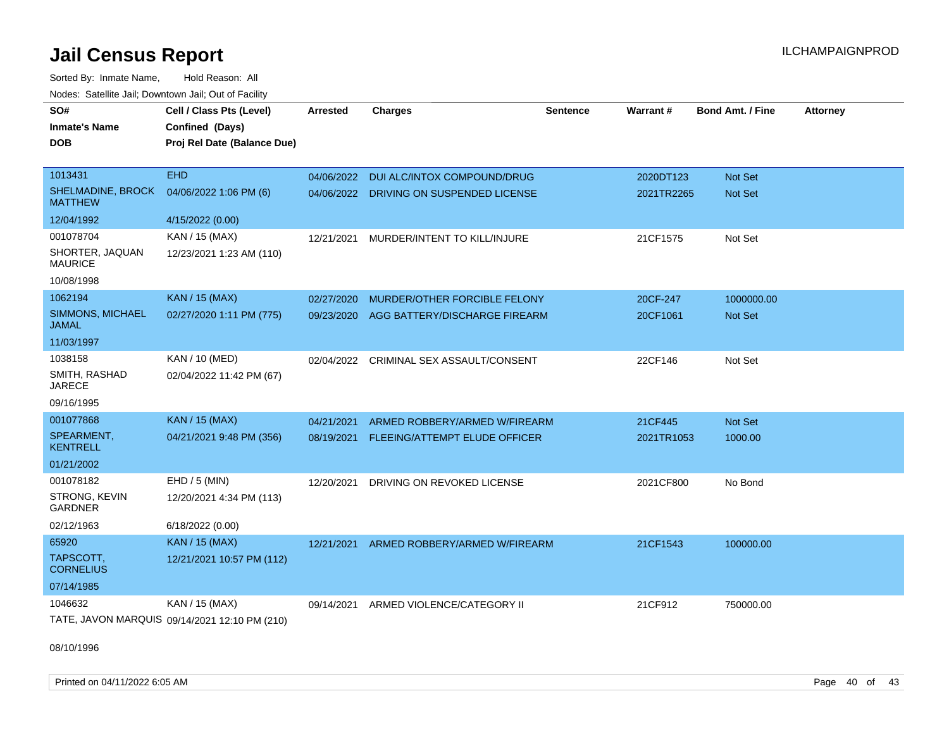Sorted By: Inmate Name, Hold Reason: All Nodes: Satellite Jail; Downtown Jail; Out of Facility

| SO#                                        | Cell / Class Pts (Level)                      | <b>Arrested</b> | <b>Charges</b>                          | <b>Sentence</b> | Warrant#   | <b>Bond Amt. / Fine</b> | <b>Attorney</b> |
|--------------------------------------------|-----------------------------------------------|-----------------|-----------------------------------------|-----------------|------------|-------------------------|-----------------|
| <b>Inmate's Name</b>                       | Confined (Days)                               |                 |                                         |                 |            |                         |                 |
| <b>DOB</b>                                 | Proj Rel Date (Balance Due)                   |                 |                                         |                 |            |                         |                 |
|                                            |                                               |                 |                                         |                 |            |                         |                 |
| 1013431                                    | <b>EHD</b>                                    | 04/06/2022      | DUI ALC/INTOX COMPOUND/DRUG             |                 | 2020DT123  | Not Set                 |                 |
| <b>SHELMADINE, BROCK</b><br><b>MATTHEW</b> | 04/06/2022 1:06 PM (6)                        |                 | 04/06/2022 DRIVING ON SUSPENDED LICENSE |                 | 2021TR2265 | <b>Not Set</b>          |                 |
| 12/04/1992                                 | 4/15/2022 (0.00)                              |                 |                                         |                 |            |                         |                 |
| 001078704                                  | KAN / 15 (MAX)                                | 12/21/2021      | MURDER/INTENT TO KILL/INJURE            |                 | 21CF1575   | Not Set                 |                 |
| SHORTER, JAQUAN<br><b>MAURICE</b>          | 12/23/2021 1:23 AM (110)                      |                 |                                         |                 |            |                         |                 |
| 10/08/1998                                 |                                               |                 |                                         |                 |            |                         |                 |
| 1062194                                    | <b>KAN / 15 (MAX)</b>                         | 02/27/2020      | MURDER/OTHER FORCIBLE FELONY            |                 | 20CF-247   | 1000000.00              |                 |
| SIMMONS, MICHAEL<br><b>JAMAL</b>           | 02/27/2020 1:11 PM (775)                      | 09/23/2020      | AGG BATTERY/DISCHARGE FIREARM           |                 | 20CF1061   | Not Set                 |                 |
| 11/03/1997                                 |                                               |                 |                                         |                 |            |                         |                 |
| 1038158                                    | <b>KAN / 10 (MED)</b>                         | 02/04/2022      | CRIMINAL SEX ASSAULT/CONSENT            |                 | 22CF146    | Not Set                 |                 |
| SMITH, RASHAD<br><b>JARECE</b>             | 02/04/2022 11:42 PM (67)                      |                 |                                         |                 |            |                         |                 |
| 09/16/1995                                 |                                               |                 |                                         |                 |            |                         |                 |
| 001077868                                  | <b>KAN / 15 (MAX)</b>                         | 04/21/2021      | ARMED ROBBERY/ARMED W/FIREARM           |                 | 21CF445    | Not Set                 |                 |
| SPEARMENT,<br><b>KENTRELL</b>              | 04/21/2021 9:48 PM (356)                      | 08/19/2021      | FLEEING/ATTEMPT ELUDE OFFICER           |                 | 2021TR1053 | 1000.00                 |                 |
| 01/21/2002                                 |                                               |                 |                                         |                 |            |                         |                 |
| 001078182                                  | EHD / 5 (MIN)                                 | 12/20/2021      | DRIVING ON REVOKED LICENSE              |                 | 2021CF800  | No Bond                 |                 |
| STRONG, KEVIN<br><b>GARDNER</b>            | 12/20/2021 4:34 PM (113)                      |                 |                                         |                 |            |                         |                 |
| 02/12/1963                                 | 6/18/2022 (0.00)                              |                 |                                         |                 |            |                         |                 |
| 65920                                      | KAN / 15 (MAX)                                | 12/21/2021      | ARMED ROBBERY/ARMED W/FIREARM           |                 | 21CF1543   | 100000.00               |                 |
| TAPSCOTT,<br><b>CORNELIUS</b>              | 12/21/2021 10:57 PM (112)                     |                 |                                         |                 |            |                         |                 |
| 07/14/1985                                 |                                               |                 |                                         |                 |            |                         |                 |
| 1046632                                    | KAN / 15 (MAX)                                | 09/14/2021      | ARMED VIOLENCE/CATEGORY II              |                 | 21CF912    | 750000.00               |                 |
|                                            | TATE, JAVON MARQUIS 09/14/2021 12:10 PM (210) |                 |                                         |                 |            |                         |                 |

08/10/1996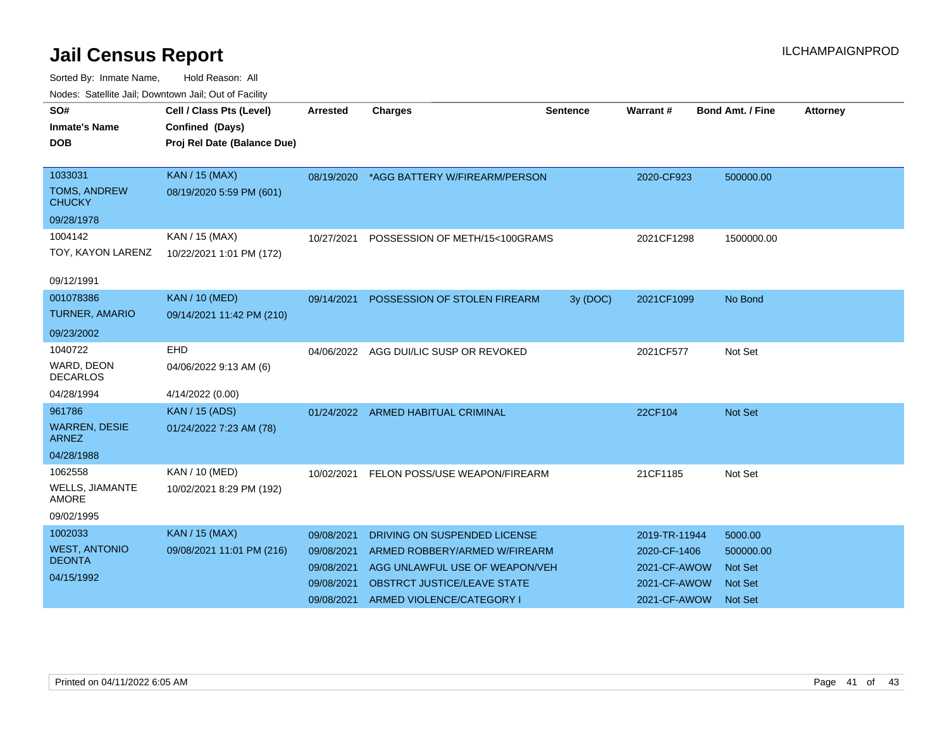| roaco. Calcinio can, Downlown can, Out or Fability |                             |            |                                          |                 |               |                         |                 |
|----------------------------------------------------|-----------------------------|------------|------------------------------------------|-----------------|---------------|-------------------------|-----------------|
| SO#                                                | Cell / Class Pts (Level)    | Arrested   | <b>Charges</b>                           | <b>Sentence</b> | Warrant#      | <b>Bond Amt. / Fine</b> | <b>Attorney</b> |
| <b>Inmate's Name</b>                               | Confined (Days)             |            |                                          |                 |               |                         |                 |
| <b>DOB</b>                                         | Proj Rel Date (Balance Due) |            |                                          |                 |               |                         |                 |
|                                                    |                             |            |                                          |                 |               |                         |                 |
| 1033031                                            | <b>KAN / 15 (MAX)</b>       |            | 08/19/2020 *AGG BATTERY W/FIREARM/PERSON |                 | 2020-CF923    | 500000.00               |                 |
| <b>TOMS, ANDREW</b><br><b>CHUCKY</b>               | 08/19/2020 5:59 PM (601)    |            |                                          |                 |               |                         |                 |
| 09/28/1978                                         |                             |            |                                          |                 |               |                         |                 |
| 1004142                                            | KAN / 15 (MAX)              | 10/27/2021 | POSSESSION OF METH/15<100GRAMS           |                 | 2021CF1298    | 1500000.00              |                 |
| TOY, KAYON LARENZ                                  | 10/22/2021 1:01 PM (172)    |            |                                          |                 |               |                         |                 |
|                                                    |                             |            |                                          |                 |               |                         |                 |
| 09/12/1991                                         |                             |            |                                          |                 |               |                         |                 |
| 001078386                                          | <b>KAN / 10 (MED)</b>       |            | 09/14/2021 POSSESSION OF STOLEN FIREARM  | 3y (DOC)        | 2021CF1099    | No Bond                 |                 |
| <b>TURNER, AMARIO</b>                              | 09/14/2021 11:42 PM (210)   |            |                                          |                 |               |                         |                 |
| 09/23/2002                                         |                             |            |                                          |                 |               |                         |                 |
| 1040722                                            | <b>EHD</b>                  |            | 04/06/2022 AGG DUI/LIC SUSP OR REVOKED   |                 | 2021CF577     | Not Set                 |                 |
| WARD, DEON<br><b>DECARLOS</b>                      | 04/06/2022 9:13 AM (6)      |            |                                          |                 |               |                         |                 |
| 04/28/1994                                         | 4/14/2022 (0.00)            |            |                                          |                 |               |                         |                 |
| 961786                                             | <b>KAN / 15 (ADS)</b>       | 01/24/2022 | ARMED HABITUAL CRIMINAL                  |                 | 22CF104       | Not Set                 |                 |
| <b>WARREN, DESIE</b><br><b>ARNEZ</b>               | 01/24/2022 7:23 AM (78)     |            |                                          |                 |               |                         |                 |
| 04/28/1988                                         |                             |            |                                          |                 |               |                         |                 |
| 1062558                                            | KAN / 10 (MED)              | 10/02/2021 | FELON POSS/USE WEAPON/FIREARM            |                 | 21CF1185      | Not Set                 |                 |
| WELLS, JIAMANTE<br>AMORE                           | 10/02/2021 8:29 PM (192)    |            |                                          |                 |               |                         |                 |
| 09/02/1995                                         |                             |            |                                          |                 |               |                         |                 |
| 1002033                                            | <b>KAN / 15 (MAX)</b>       | 09/08/2021 | DRIVING ON SUSPENDED LICENSE             |                 | 2019-TR-11944 | 5000.00                 |                 |
| <b>WEST, ANTONIO</b>                               | 09/08/2021 11:01 PM (216)   | 09/08/2021 | ARMED ROBBERY/ARMED W/FIREARM            |                 | 2020-CF-1406  | 500000.00               |                 |
| <b>DEONTA</b>                                      |                             | 09/08/2021 | AGG UNLAWFUL USE OF WEAPON/VEH           |                 | 2021-CF-AWOW  | <b>Not Set</b>          |                 |
| 04/15/1992                                         |                             | 09/08/2021 | <b>OBSTRCT JUSTICE/LEAVE STATE</b>       |                 | 2021-CF-AWOW  | <b>Not Set</b>          |                 |
|                                                    |                             | 09/08/2021 | ARMED VIOLENCE/CATEGORY I                |                 | 2021-CF-AWOW  | <b>Not Set</b>          |                 |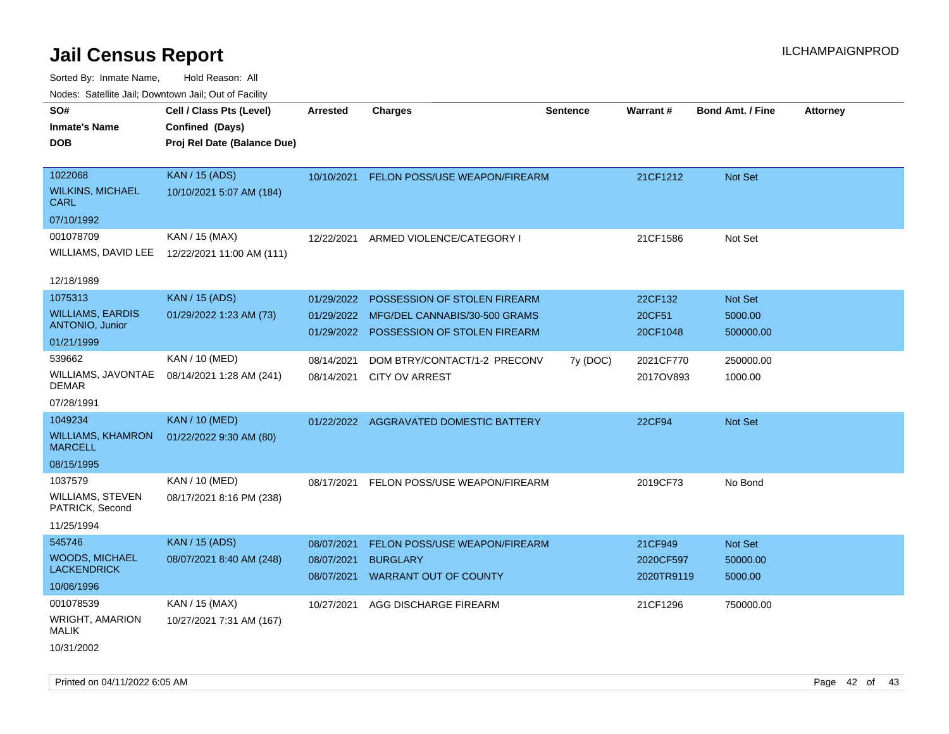| roaco. Catolino cali, Downtown cali, Out of Facility |                             |                          |                                                 |                 |                         |                         |                 |
|------------------------------------------------------|-----------------------------|--------------------------|-------------------------------------------------|-----------------|-------------------------|-------------------------|-----------------|
| SO#                                                  | Cell / Class Pts (Level)    | <b>Arrested</b>          | <b>Charges</b>                                  | <b>Sentence</b> | Warrant#                | <b>Bond Amt. / Fine</b> | <b>Attorney</b> |
| Inmate's Name                                        | Confined (Days)             |                          |                                                 |                 |                         |                         |                 |
| DOB                                                  | Proj Rel Date (Balance Due) |                          |                                                 |                 |                         |                         |                 |
|                                                      |                             |                          |                                                 |                 |                         |                         |                 |
| 1022068                                              | <b>KAN / 15 (ADS)</b>       | 10/10/2021               | FELON POSS/USE WEAPON/FIREARM                   |                 | 21CF1212                | Not Set                 |                 |
| <b>WILKINS, MICHAEL</b><br>CARL                      | 10/10/2021 5:07 AM (184)    |                          |                                                 |                 |                         |                         |                 |
| 07/10/1992                                           |                             |                          |                                                 |                 |                         |                         |                 |
| 001078709                                            | KAN / 15 (MAX)              | 12/22/2021               | ARMED VIOLENCE/CATEGORY I                       |                 | 21CF1586                | Not Set                 |                 |
| WILLIAMS, DAVID LEE                                  | 12/22/2021 11:00 AM (111)   |                          |                                                 |                 |                         |                         |                 |
| 12/18/1989                                           |                             |                          |                                                 |                 |                         |                         |                 |
| 1075313                                              | <b>KAN / 15 (ADS)</b>       | 01/29/2022               | POSSESSION OF STOLEN FIREARM                    |                 | 22CF132                 | Not Set                 |                 |
| <b>WILLIAMS, EARDIS</b>                              | 01/29/2022 1:23 AM (73)     | 01/29/2022               | MFG/DEL CANNABIS/30-500 GRAMS                   |                 | 20CF51                  | 5000.00                 |                 |
| ANTONIO, Junior                                      |                             | 01/29/2022               | POSSESSION OF STOLEN FIREARM                    |                 | 20CF1048                | 500000.00               |                 |
| 01/21/1999                                           |                             |                          |                                                 |                 |                         |                         |                 |
| 539662                                               | KAN / 10 (MED)              | 08/14/2021               | DOM BTRY/CONTACT/1-2 PRECONV                    | 7y (DOC)        | 2021CF770               | 250000.00               |                 |
| <b>WILLIAMS, JAVONTAE</b><br>DEMAR                   | 08/14/2021 1:28 AM (241)    | 08/14/2021               | CITY OV ARREST                                  |                 | 2017OV893               | 1000.00                 |                 |
| 07/28/1991                                           |                             |                          |                                                 |                 |                         |                         |                 |
| 1049234                                              | <b>KAN / 10 (MED)</b>       |                          | 01/22/2022 AGGRAVATED DOMESTIC BATTERY          |                 | 22CF94                  | Not Set                 |                 |
| <b>WILLIAMS, KHAMRON</b><br><b>MARCELL</b>           | 01/22/2022 9:30 AM (80)     |                          |                                                 |                 |                         |                         |                 |
| 08/15/1995                                           |                             |                          |                                                 |                 |                         |                         |                 |
| 1037579                                              | KAN / 10 (MED)              | 08/17/2021               | FELON POSS/USE WEAPON/FIREARM                   |                 | 2019CF73                | No Bond                 |                 |
| <b>WILLIAMS, STEVEN</b><br>PATRICK, Second           | 08/17/2021 8:16 PM (238)    |                          |                                                 |                 |                         |                         |                 |
| 11/25/1994                                           |                             |                          |                                                 |                 |                         |                         |                 |
| 545746                                               | <b>KAN / 15 (ADS)</b>       | 08/07/2021               | FELON POSS/USE WEAPON/FIREARM                   |                 | 21CF949                 | Not Set                 |                 |
| <b>WOODS, MICHAEL</b><br><b>LACKENDRICK</b>          | 08/07/2021 8:40 AM (248)    | 08/07/2021<br>08/07/2021 | <b>BURGLARY</b><br><b>WARRANT OUT OF COUNTY</b> |                 | 2020CF597<br>2020TR9119 | 50000.00<br>5000.00     |                 |
| 10/06/1996                                           |                             |                          |                                                 |                 |                         |                         |                 |
| 001078539                                            | KAN / 15 (MAX)              | 10/27/2021               | AGG DISCHARGE FIREARM                           |                 | 21CF1296                | 750000.00               |                 |
| WRIGHT, AMARION<br>MALIK                             | 10/27/2021 7:31 AM (167)    |                          |                                                 |                 |                         |                         |                 |
| 10/31/2002                                           |                             |                          |                                                 |                 |                         |                         |                 |